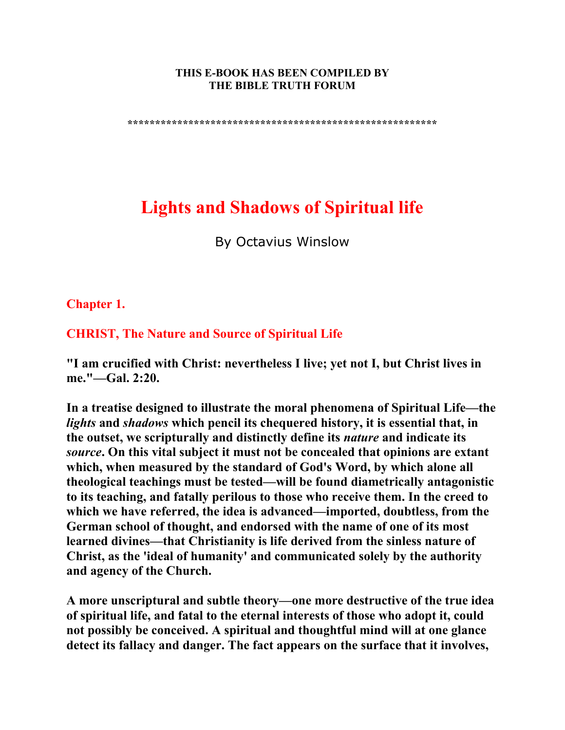#### **THIS E-BOOK HAS BEEN COMPILED BY THE BIBLE TRUTH FORUM**

**\*\*\*\*\*\*\*\*\*\*\*\*\*\*\*\*\*\*\*\*\*\*\*\*\*\*\*\*\*\*\*\*\*\*\*\*\*\*\*\*\*\*\*\*\*\*\*\*\*\*\*\*\*\*\*\*** 

# **Lights and Shadows of Spiritual life**

By Octavius Winslow

**Chapter 1.** 

**CHRIST, The Nature and Source of Spiritual Life**

**"I am crucified with Christ: nevertheless I live; yet not I, but Christ lives in me."—Gal. 2:20.** 

**In a treatise designed to illustrate the moral phenomena of Spiritual Life—the**  *lights* **and** *shadows* **which pencil its chequered history, it is essential that, in the outset, we scripturally and distinctly define its** *nature* **and indicate its**  *source***. On this vital subject it must not be concealed that opinions are extant which, when measured by the standard of God's Word, by which alone all theological teachings must be tested—will be found diametrically antagonistic to its teaching, and fatally perilous to those who receive them. In the creed to which we have referred, the idea is advanced—imported, doubtless, from the German school of thought, and endorsed with the name of one of its most learned divines—that Christianity is life derived from the sinless nature of Christ, as the 'ideal of humanity' and communicated solely by the authority and agency of the Church.** 

**A more unscriptural and subtle theory—one more destructive of the true idea of spiritual life, and fatal to the eternal interests of those who adopt it, could not possibly be conceived. A spiritual and thoughtful mind will at one glance detect its fallacy and danger. The fact appears on the surface that it involves,**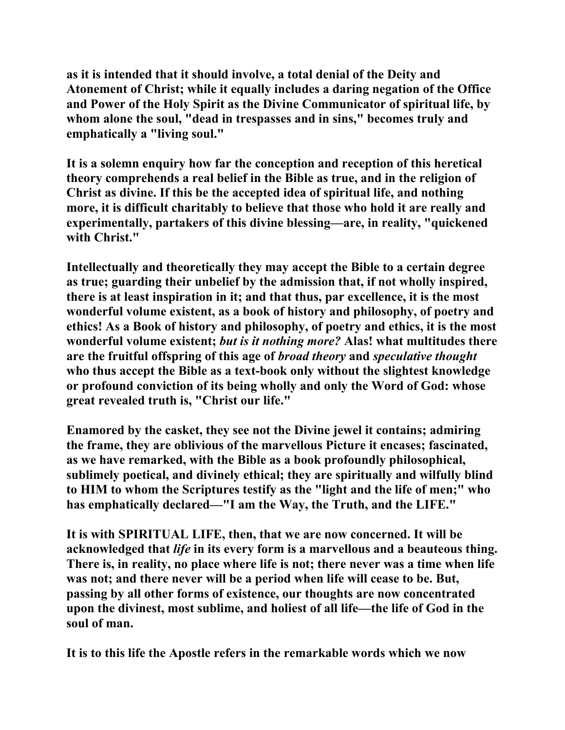**as it is intended that it should involve, a total denial of the Deity and Atonement of Christ; while it equally includes a daring negation of the Office and Power of the Holy Spirit as the Divine Communicator of spiritual life, by whom alone the soul, "dead in trespasses and in sins," becomes truly and emphatically a "living soul."** 

**It is a solemn enquiry how far the conception and reception of this heretical theory comprehends a real belief in the Bible as true, and in the religion of Christ as divine. If this be the accepted idea of spiritual life, and nothing more, it is difficult charitably to believe that those who hold it are really and experimentally, partakers of this divine blessing—are, in reality, "quickened with Christ."** 

**Intellectually and theoretically they may accept the Bible to a certain degree as true; guarding their unbelief by the admission that, if not wholly inspired, there is at least inspiration in it; and that thus, par excellence, it is the most wonderful volume existent, as a book of history and philosophy, of poetry and ethics! As a Book of history and philosophy, of poetry and ethics, it is the most wonderful volume existent;** *but is it nothing more?* **Alas! what multitudes there are the fruitful offspring of this age of** *broad theory* **and** *speculative thought* **who thus accept the Bible as a text-book only without the slightest knowledge or profound conviction of its being wholly and only the Word of God: whose great revealed truth is, "Christ our life."** 

**Enamored by the casket, they see not the Divine jewel it contains; admiring the frame, they are oblivious of the marvellous Picture it encases; fascinated, as we have remarked, with the Bible as a book profoundly philosophical, sublimely poetical, and divinely ethical; they are spiritually and wilfully blind to HIM to whom the Scriptures testify as the "light and the life of men;" who has emphatically declared—"I am the Way, the Truth, and the LIFE."** 

**It is with SPIRITUAL LIFE, then, that we are now concerned. It will be acknowledged that** *life* **in its every form is a marvellous and a beauteous thing. There is, in reality, no place where life is not; there never was a time when life was not; and there never will be a period when life will cease to be. But, passing by all other forms of existence, our thoughts are now concentrated upon the divinest, most sublime, and holiest of all life—the life of God in the soul of man.** 

**It is to this life the Apostle refers in the remarkable words which we now**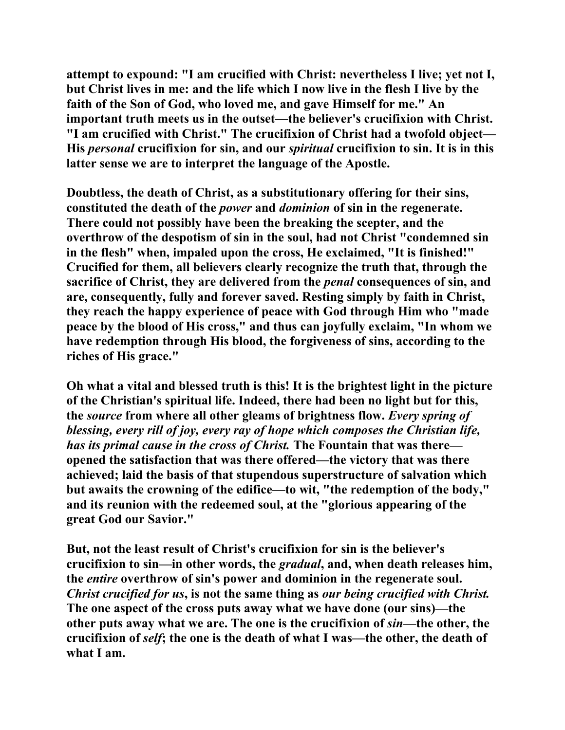**attempt to expound: "I am crucified with Christ: nevertheless I live; yet not I, but Christ lives in me: and the life which I now live in the flesh I live by the faith of the Son of God, who loved me, and gave Himself for me." An important truth meets us in the outset—the believer's crucifixion with Christ. "I am crucified with Christ." The crucifixion of Christ had a twofold object— His** *personal* **crucifixion for sin, and our** *spiritual* **crucifixion to sin. It is in this latter sense we are to interpret the language of the Apostle.** 

**Doubtless, the death of Christ, as a substitutionary offering for their sins, constituted the death of the** *power* **and** *dominion* **of sin in the regenerate. There could not possibly have been the breaking the scepter, and the overthrow of the despotism of sin in the soul, had not Christ "condemned sin in the flesh" when, impaled upon the cross, He exclaimed, "It is finished!" Crucified for them, all believers clearly recognize the truth that, through the sacrifice of Christ, they are delivered from the** *penal* **consequences of sin, and are, consequently, fully and forever saved. Resting simply by faith in Christ, they reach the happy experience of peace with God through Him who "made peace by the blood of His cross," and thus can joyfully exclaim, "In whom we have redemption through His blood, the forgiveness of sins, according to the riches of His grace."** 

**Oh what a vital and blessed truth is this! It is the brightest light in the picture of the Christian's spiritual life. Indeed, there had been no light but for this, the** *source* **from where all other gleams of brightness flow.** *Every spring of blessing, every rill of joy, every ray of hope which composes the Christian life, has its primal cause in the cross of Christ.* **The Fountain that was there opened the satisfaction that was there offered—the victory that was there achieved; laid the basis of that stupendous superstructure of salvation which but awaits the crowning of the edifice—to wit, "the redemption of the body," and its reunion with the redeemed soul, at the "glorious appearing of the great God our Savior."** 

**But, not the least result of Christ's crucifixion for sin is the believer's crucifixion to sin—in other words, the** *gradual***, and, when death releases him, the** *entire* **overthrow of sin's power and dominion in the regenerate soul.**  *Christ crucified for us***, is not the same thing as** *our being crucified with Christ.* **The one aspect of the cross puts away what we have done (our sins)—the other puts away what we are. The one is the crucifixion of**  $sin$ **—the other, the crucifixion of** *self***; the one is the death of what I was—the other, the death of what I am.**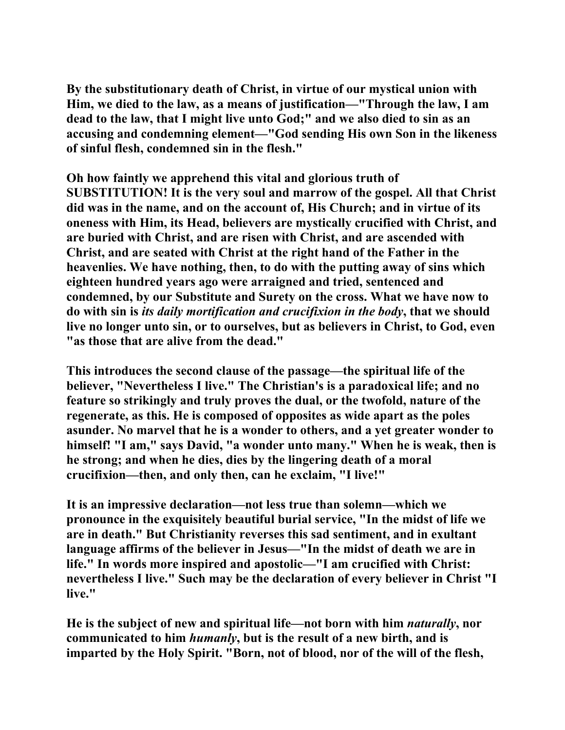**By the substitutionary death of Christ, in virtue of our mystical union with Him, we died to the law, as a means of justification—"Through the law, I am dead to the law, that I might live unto God;" and we also died to sin as an accusing and condemning element—"God sending His own Son in the likeness of sinful flesh, condemned sin in the flesh."** 

**Oh how faintly we apprehend this vital and glorious truth of SUBSTITUTION! It is the very soul and marrow of the gospel. All that Christ did was in the name, and on the account of, His Church; and in virtue of its oneness with Him, its Head, believers are mystically crucified with Christ, and are buried with Christ, and are risen with Christ, and are ascended with Christ, and are seated with Christ at the right hand of the Father in the heavenlies. We have nothing, then, to do with the putting away of sins which eighteen hundred years ago were arraigned and tried, sentenced and condemned, by our Substitute and Surety on the cross. What we have now to do with sin is** *its daily mortification and crucifixion in the body***, that we should live no longer unto sin, or to ourselves, but as believers in Christ, to God, even "as those that are alive from the dead."** 

**This introduces the second clause of the passage—the spiritual life of the believer, "Nevertheless I live." The Christian's is a paradoxical life; and no feature so strikingly and truly proves the dual, or the twofold, nature of the regenerate, as this. He is composed of opposites as wide apart as the poles asunder. No marvel that he is a wonder to others, and a yet greater wonder to himself! "I am," says David, "a wonder unto many." When he is weak, then is he strong; and when he dies, dies by the lingering death of a moral crucifixion—then, and only then, can he exclaim, "I live!"** 

**It is an impressive declaration—not less true than solemn—which we pronounce in the exquisitely beautiful burial service, "In the midst of life we are in death." But Christianity reverses this sad sentiment, and in exultant language affirms of the believer in Jesus—"In the midst of death we are in life." In words more inspired and apostolic—"I am crucified with Christ: nevertheless I live." Such may be the declaration of every believer in Christ "I live."** 

**He is the subject of new and spiritual life—not born with him** *naturally***, nor communicated to him** *humanly***, but is the result of a new birth, and is imparted by the Holy Spirit. "Born, not of blood, nor of the will of the flesh,**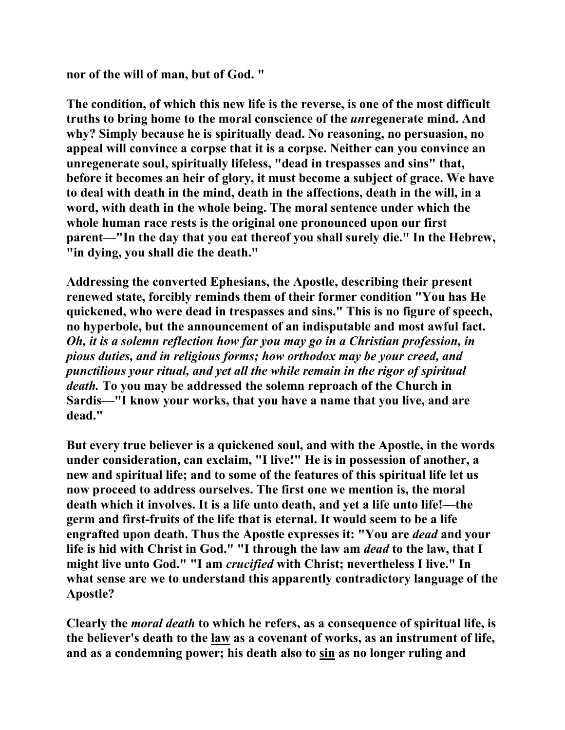**nor of the will of man, but of God. "** 

**The condition, of which this new life is the reverse, is one of the most difficult truths to bring home to the moral conscience of the** *un***regenerate mind. And why? Simply because he is spiritually dead. No reasoning, no persuasion, no appeal will convince a corpse that it is a corpse. Neither can you convince an unregenerate soul, spiritually lifeless, "dead in trespasses and sins" that, before it becomes an heir of glory, it must become a subject of grace. We have to deal with death in the mind, death in the affections, death in the will, in a word, with death in the whole being. The moral sentence under which the whole human race rests is the original one pronounced upon our first parent—"In the day that you eat thereof you shall surely die." In the Hebrew, "in dying, you shall die the death."** 

**Addressing the converted Ephesians, the Apostle, describing their present renewed state, forcibly reminds them of their former condition "You has He quickened, who were dead in trespasses and sins." This is no figure of speech, no hyperbole, but the announcement of an indisputable and most awful fact.**  *Oh, it is a solemn reflection how far you may go in a Christian profession, in pious duties, and in religious forms; how orthodox may be your creed, and punctilious your ritual, and yet all the while remain in the rigor of spiritual death.* **To you may be addressed the solemn reproach of the Church in Sardis—"I know your works, that you have a name that you live, and are dead."** 

**But every true believer is a quickened soul, and with the Apostle, in the words under consideration, can exclaim, "I live!" He is in possession of another, a new and spiritual life; and to some of the features of this spiritual life let us now proceed to address ourselves. The first one we mention is, the moral death which it involves. It is a life unto death, and yet a life unto life!—the germ and first-fruits of the life that is eternal. It would seem to be a life engrafted upon death. Thus the Apostle expresses it: "You are** *dead* **and your life is hid with Christ in God." "I through the law am** *dead* **to the law, that I might live unto God." "I am** *crucified* **with Christ; nevertheless I live." In what sense are we to understand this apparently contradictory language of the Apostle?** 

**Clearly the** *moral death* **to which he refers, as a consequence of spiritual life, is the believer's death to the law as a covenant of works, as an instrument of life, and as a condemning power; his death also to sin as no longer ruling and**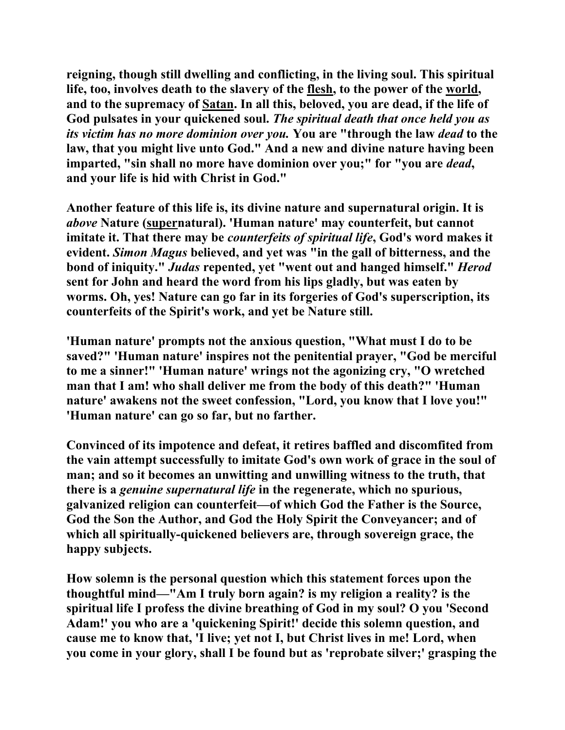**reigning, though still dwelling and conflicting, in the living soul. This spiritual life, too, involves death to the slavery of the flesh, to the power of the world, and to the supremacy of Satan. In all this, beloved, you are dead, if the life of God pulsates in your quickened soul.** *The spiritual death that once held you as its victim has no more dominion over you.* **You are "through the law** *dead* **to the law, that you might live unto God." And a new and divine nature having been imparted, "sin shall no more have dominion over you;" for "you are** *dead***, and your life is hid with Christ in God."** 

**Another feature of this life is, its divine nature and supernatural origin. It is**  *above* **Nature (supernatural). 'Human nature' may counterfeit, but cannot imitate it. That there may be** *counterfeits of spiritual life***, God's word makes it evident.** *Simon Magus* **believed, and yet was "in the gall of bitterness, and the bond of iniquity."** *Judas* **repented, yet "went out and hanged himself."** *Herod* **sent for John and heard the word from his lips gladly, but was eaten by worms. Oh, yes! Nature can go far in its forgeries of God's superscription, its counterfeits of the Spirit's work, and yet be Nature still.** 

**'Human nature' prompts not the anxious question, "What must I do to be saved?" 'Human nature' inspires not the penitential prayer, "God be merciful to me a sinner!" 'Human nature' wrings not the agonizing cry, "O wretched man that I am! who shall deliver me from the body of this death?" 'Human nature' awakens not the sweet confession, "Lord, you know that I love you!" 'Human nature' can go so far, but no farther.** 

**Convinced of its impotence and defeat, it retires baffled and discomfited from the vain attempt successfully to imitate God's own work of grace in the soul of man; and so it becomes an unwitting and unwilling witness to the truth, that there is a** *genuine supernatural life* **in the regenerate, which no spurious, galvanized religion can counterfeit—of which God the Father is the Source, God the Son the Author, and God the Holy Spirit the Conveyancer; and of which all spiritually-quickened believers are, through sovereign grace, the happy subjects.** 

**How solemn is the personal question which this statement forces upon the thoughtful mind—"Am I truly born again? is my religion a reality? is the spiritual life I profess the divine breathing of God in my soul? O you 'Second Adam!' you who are a 'quickening Spirit!' decide this solemn question, and cause me to know that, 'I live; yet not I, but Christ lives in me! Lord, when you come in your glory, shall I be found but as 'reprobate silver;' grasping the**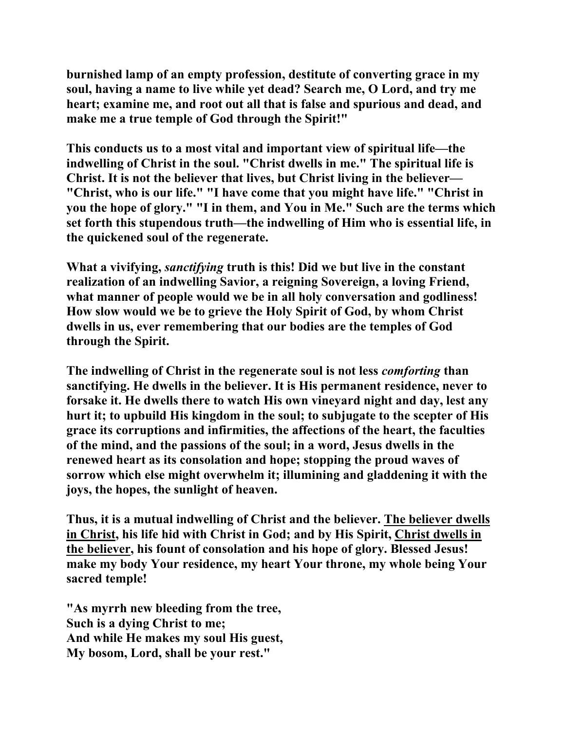**burnished lamp of an empty profession, destitute of converting grace in my soul, having a name to live while yet dead? Search me, O Lord, and try me heart; examine me, and root out all that is false and spurious and dead, and make me a true temple of God through the Spirit!"** 

**This conducts us to a most vital and important view of spiritual life—the indwelling of Christ in the soul. "Christ dwells in me." The spiritual life is Christ. It is not the believer that lives, but Christ living in the believer— "Christ, who is our life." "I have come that you might have life." "Christ in you the hope of glory." "I in them, and You in Me." Such are the terms which set forth this stupendous truth—the indwelling of Him who is essential life, in the quickened soul of the regenerate.** 

**What a vivifying,** *sanctifying* **truth is this! Did we but live in the constant realization of an indwelling Savior, a reigning Sovereign, a loving Friend, what manner of people would we be in all holy conversation and godliness! How slow would we be to grieve the Holy Spirit of God, by whom Christ dwells in us, ever remembering that our bodies are the temples of God through the Spirit.** 

**The indwelling of Christ in the regenerate soul is not less** *comforting* **than sanctifying. He dwells in the believer. It is His permanent residence, never to forsake it. He dwells there to watch His own vineyard night and day, lest any hurt it; to upbuild His kingdom in the soul; to subjugate to the scepter of His grace its corruptions and infirmities, the affections of the heart, the faculties of the mind, and the passions of the soul; in a word, Jesus dwells in the renewed heart as its consolation and hope; stopping the proud waves of sorrow which else might overwhelm it; illumining and gladdening it with the joys, the hopes, the sunlight of heaven.** 

**Thus, it is a mutual indwelling of Christ and the believer. The believer dwells in Christ, his life hid with Christ in God; and by His Spirit, Christ dwells in the believer, his fount of consolation and his hope of glory. Blessed Jesus! make my body Your residence, my heart Your throne, my whole being Your sacred temple!** 

**"As myrrh new bleeding from the tree, Such is a dying Christ to me; And while He makes my soul His guest, My bosom, Lord, shall be your rest."**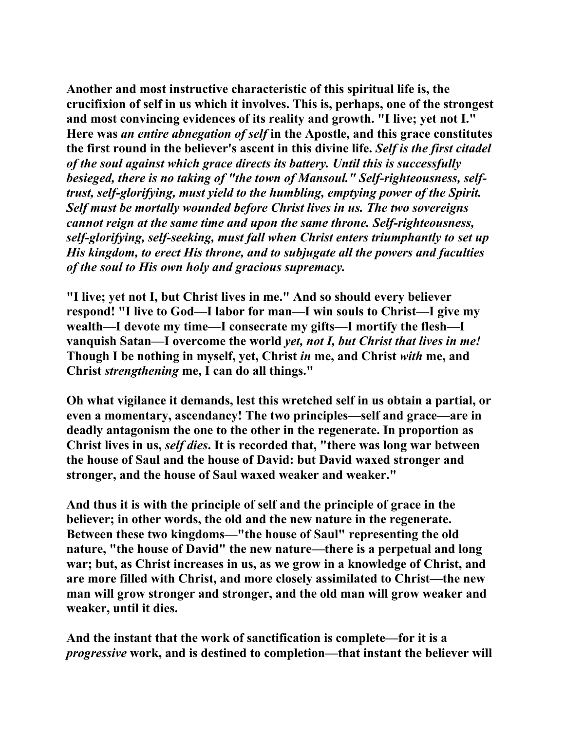**Another and most instructive characteristic of this spiritual life is, the crucifixion of self in us which it involves. This is, perhaps, one of the strongest and most convincing evidences of its reality and growth. "I live; yet not I." Here was** *an entire abnegation of self* **in the Apostle, and this grace constitutes the first round in the believer's ascent in this divine life.** *Self is the first citadel of the soul against which grace directs its battery. Until this is successfully besieged, there is no taking of "the town of Mansoul." Self-righteousness, selftrust, self-glorifying, must yield to the humbling, emptying power of the Spirit. Self must be mortally wounded before Christ lives in us. The two sovereigns cannot reign at the same time and upon the same throne. Self-righteousness, self-glorifying, self-seeking, must fall when Christ enters triumphantly to set up His kingdom, to erect His throne, and to subjugate all the powers and faculties of the soul to His own holy and gracious supremacy.* 

**"I live; yet not I, but Christ lives in me." And so should every believer respond! "I live to God—I labor for man—I win souls to Christ—I give my wealth—I devote my time—I consecrate my gifts—I mortify the flesh—I vanquish Satan—I overcome the world** *yet, not I, but Christ that lives in me!* **Though I be nothing in myself, yet, Christ** *in* **me, and Christ** *with* **me, and Christ** *strengthening* **me, I can do all things."** 

**Oh what vigilance it demands, lest this wretched self in us obtain a partial, or even a momentary, ascendancy! The two principles—self and grace—are in deadly antagonism the one to the other in the regenerate. In proportion as Christ lives in us,** *self dies***. It is recorded that, "there was long war between the house of Saul and the house of David: but David waxed stronger and stronger, and the house of Saul waxed weaker and weaker."** 

**And thus it is with the principle of self and the principle of grace in the believer; in other words, the old and the new nature in the regenerate. Between these two kingdoms—"the house of Saul" representing the old nature, "the house of David" the new nature—there is a perpetual and long war; but, as Christ increases in us, as we grow in a knowledge of Christ, and are more filled with Christ, and more closely assimilated to Christ—the new man will grow stronger and stronger, and the old man will grow weaker and weaker, until it dies.** 

**And the instant that the work of sanctification is complete—for it is a**  *progressive* **work, and is destined to completion—that instant the believer will**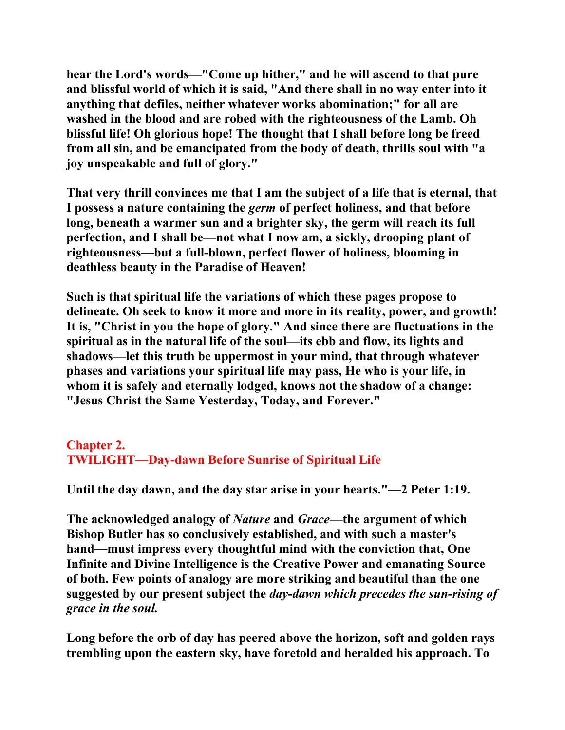**hear the Lord's words—"Come up hither," and he will ascend to that pure and blissful world of which it is said, "And there shall in no way enter into it anything that defiles, neither whatever works abomination;" for all are washed in the blood and are robed with the righteousness of the Lamb. Oh blissful life! Oh glorious hope! The thought that I shall before long be freed from all sin, and be emancipated from the body of death, thrills soul with "a joy unspeakable and full of glory."** 

**That very thrill convinces me that I am the subject of a life that is eternal, that I possess a nature containing the** *germ* **of perfect holiness, and that before long, beneath a warmer sun and a brighter sky, the germ will reach its full perfection, and I shall be—not what I now am, a sickly, drooping plant of righteousness—but a full-blown, perfect flower of holiness, blooming in deathless beauty in the Paradise of Heaven!** 

**Such is that spiritual life the variations of which these pages propose to delineate. Oh seek to know it more and more in its reality, power, and growth! It is, "Christ in you the hope of glory." And since there are fluctuations in the spiritual as in the natural life of the soul—its ebb and flow, its lights and shadows—let this truth be uppermost in your mind, that through whatever phases and variations your spiritual life may pass, He who is your life, in whom it is safely and eternally lodged, knows not the shadow of a change: "Jesus Christ the Same Yesterday, Today, and Forever."** 

# **Chapter 2. TWILIGHT—Day-dawn Before Sunrise of Spiritual Life**

**Until the day dawn, and the day star arise in your hearts."—2 Peter 1:19.** 

**The acknowledged analogy of** *Nature* **and** *Grace***—the argument of which Bishop Butler has so conclusively established, and with such a master's hand—must impress every thoughtful mind with the conviction that, One Infinite and Divine Intelligence is the Creative Power and emanating Source of both. Few points of analogy are more striking and beautiful than the one suggested by our present subject the** *day-dawn which precedes the sun-rising of grace in the soul.* 

**Long before the orb of day has peered above the horizon, soft and golden rays trembling upon the eastern sky, have foretold and heralded his approach. To**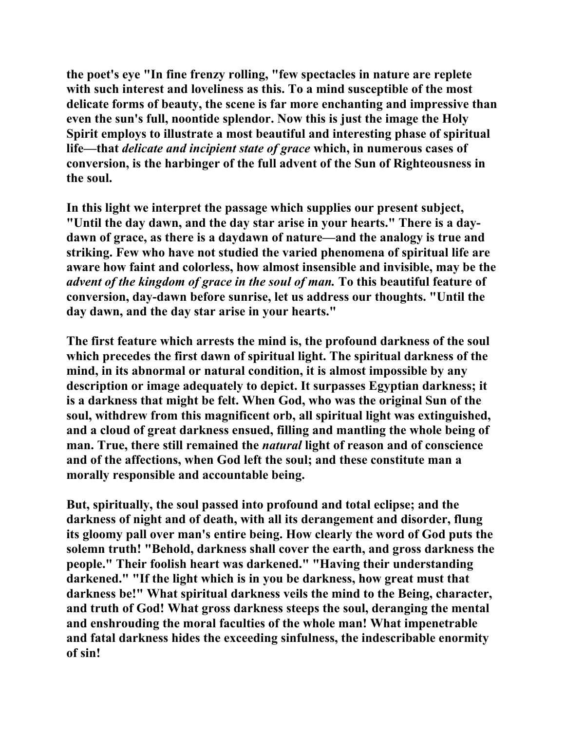**the poet's eye "In fine frenzy rolling, "few spectacles in nature are replete with such interest and loveliness as this. To a mind susceptible of the most delicate forms of beauty, the scene is far more enchanting and impressive than even the sun's full, noontide splendor. Now this is just the image the Holy Spirit employs to illustrate a most beautiful and interesting phase of spiritual life—that** *delicate and incipient state of grace* **which, in numerous cases of conversion, is the harbinger of the full advent of the Sun of Righteousness in the soul.** 

**In this light we interpret the passage which supplies our present subject, "Until the day dawn, and the day star arise in your hearts." There is a daydawn of grace, as there is a daydawn of nature—and the analogy is true and striking. Few who have not studied the varied phenomena of spiritual life are aware how faint and colorless, how almost insensible and invisible, may be the**  *advent of the kingdom of grace in the soul of man.* **To this beautiful feature of conversion, day-dawn before sunrise, let us address our thoughts. "Until the day dawn, and the day star arise in your hearts."** 

**The first feature which arrests the mind is, the profound darkness of the soul which precedes the first dawn of spiritual light. The spiritual darkness of the mind, in its abnormal or natural condition, it is almost impossible by any description or image adequately to depict. It surpasses Egyptian darkness; it is a darkness that might be felt. When God, who was the original Sun of the soul, withdrew from this magnificent orb, all spiritual light was extinguished, and a cloud of great darkness ensued, filling and mantling the whole being of man. True, there still remained the** *natural* **light of reason and of conscience and of the affections, when God left the soul; and these constitute man a morally responsible and accountable being.** 

**But, spiritually, the soul passed into profound and total eclipse; and the darkness of night and of death, with all its derangement and disorder, flung its gloomy pall over man's entire being. How clearly the word of God puts the solemn truth! "Behold, darkness shall cover the earth, and gross darkness the people." Their foolish heart was darkened." "Having their understanding darkened." "If the light which is in you be darkness, how great must that darkness be!" What spiritual darkness veils the mind to the Being, character, and truth of God! What gross darkness steeps the soul, deranging the mental and enshrouding the moral faculties of the whole man! What impenetrable and fatal darkness hides the exceeding sinfulness, the indescribable enormity of sin!**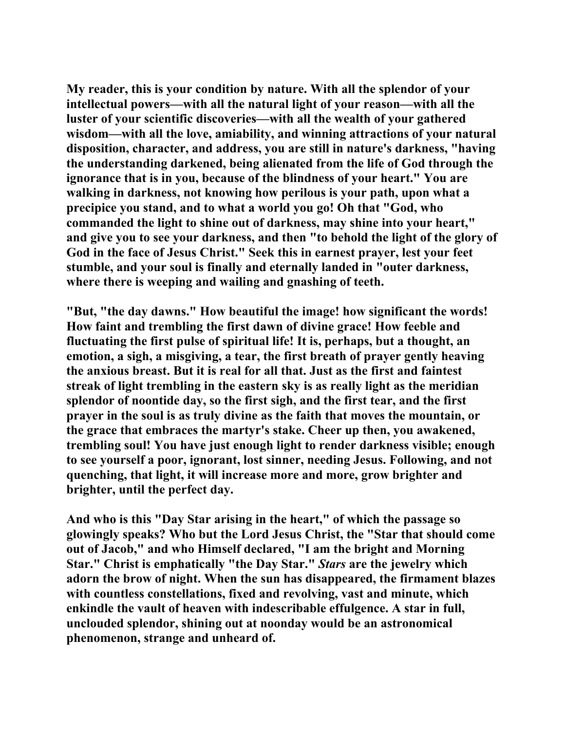**My reader, this is your condition by nature. With all the splendor of your intellectual powers—with all the natural light of your reason—with all the luster of your scientific discoveries—with all the wealth of your gathered wisdom—with all the love, amiability, and winning attractions of your natural disposition, character, and address, you are still in nature's darkness, "having the understanding darkened, being alienated from the life of God through the ignorance that is in you, because of the blindness of your heart." You are walking in darkness, not knowing how perilous is your path, upon what a precipice you stand, and to what a world you go! Oh that "God, who commanded the light to shine out of darkness, may shine into your heart," and give you to see your darkness, and then "to behold the light of the glory of God in the face of Jesus Christ." Seek this in earnest prayer, lest your feet stumble, and your soul is finally and eternally landed in "outer darkness, where there is weeping and wailing and gnashing of teeth.** 

**"But, "the day dawns." How beautiful the image! how significant the words! How faint and trembling the first dawn of divine grace! How feeble and fluctuating the first pulse of spiritual life! It is, perhaps, but a thought, an emotion, a sigh, a misgiving, a tear, the first breath of prayer gently heaving the anxious breast. But it is real for all that. Just as the first and faintest streak of light trembling in the eastern sky is as really light as the meridian splendor of noontide day, so the first sigh, and the first tear, and the first prayer in the soul is as truly divine as the faith that moves the mountain, or the grace that embraces the martyr's stake. Cheer up then, you awakened, trembling soul! You have just enough light to render darkness visible; enough to see yourself a poor, ignorant, lost sinner, needing Jesus. Following, and not quenching, that light, it will increase more and more, grow brighter and brighter, until the perfect day.** 

**And who is this "Day Star arising in the heart," of which the passage so glowingly speaks? Who but the Lord Jesus Christ, the "Star that should come out of Jacob," and who Himself declared, "I am the bright and Morning Star." Christ is emphatically "the Day Star."** *Stars* **are the jewelry which adorn the brow of night. When the sun has disappeared, the firmament blazes with countless constellations, fixed and revolving, vast and minute, which enkindle the vault of heaven with indescribable effulgence. A star in full, unclouded splendor, shining out at noonday would be an astronomical phenomenon, strange and unheard of.**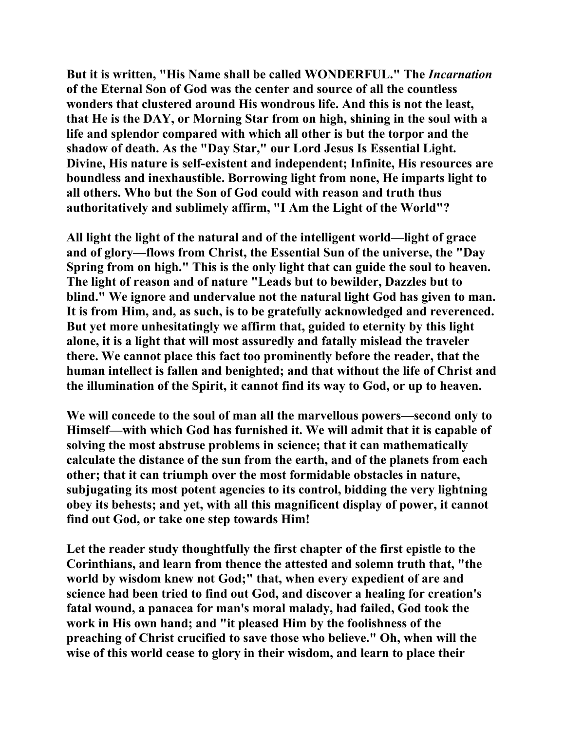**But it is written, "His Name shall be called WONDERFUL." The** *Incarnation* **of the Eternal Son of God was the center and source of all the countless wonders that clustered around His wondrous life. And this is not the least, that He is the DAY, or Morning Star from on high, shining in the soul with a life and splendor compared with which all other is but the torpor and the shadow of death. As the "Day Star," our Lord Jesus Is Essential Light. Divine, His nature is self-existent and independent; Infinite, His resources are boundless and inexhaustible. Borrowing light from none, He imparts light to all others. Who but the Son of God could with reason and truth thus authoritatively and sublimely affirm, "I Am the Light of the World"?** 

**All light the light of the natural and of the intelligent world—light of grace and of glory—flows from Christ, the Essential Sun of the universe, the "Day Spring from on high." This is the only light that can guide the soul to heaven. The light of reason and of nature "Leads but to bewilder, Dazzles but to blind." We ignore and undervalue not the natural light God has given to man. It is from Him, and, as such, is to be gratefully acknowledged and reverenced. But yet more unhesitatingly we affirm that, guided to eternity by this light alone, it is a light that will most assuredly and fatally mislead the traveler there. We cannot place this fact too prominently before the reader, that the human intellect is fallen and benighted; and that without the life of Christ and the illumination of the Spirit, it cannot find its way to God, or up to heaven.** 

**We will concede to the soul of man all the marvellous powers—second only to Himself—with which God has furnished it. We will admit that it is capable of solving the most abstruse problems in science; that it can mathematically calculate the distance of the sun from the earth, and of the planets from each other; that it can triumph over the most formidable obstacles in nature, subjugating its most potent agencies to its control, bidding the very lightning obey its behests; and yet, with all this magnificent display of power, it cannot find out God, or take one step towards Him!** 

**Let the reader study thoughtfully the first chapter of the first epistle to the Corinthians, and learn from thence the attested and solemn truth that, "the world by wisdom knew not God;" that, when every expedient of are and science had been tried to find out God, and discover a healing for creation's fatal wound, a panacea for man's moral malady, had failed, God took the work in His own hand; and "it pleased Him by the foolishness of the preaching of Christ crucified to save those who believe." Oh, when will the wise of this world cease to glory in their wisdom, and learn to place their**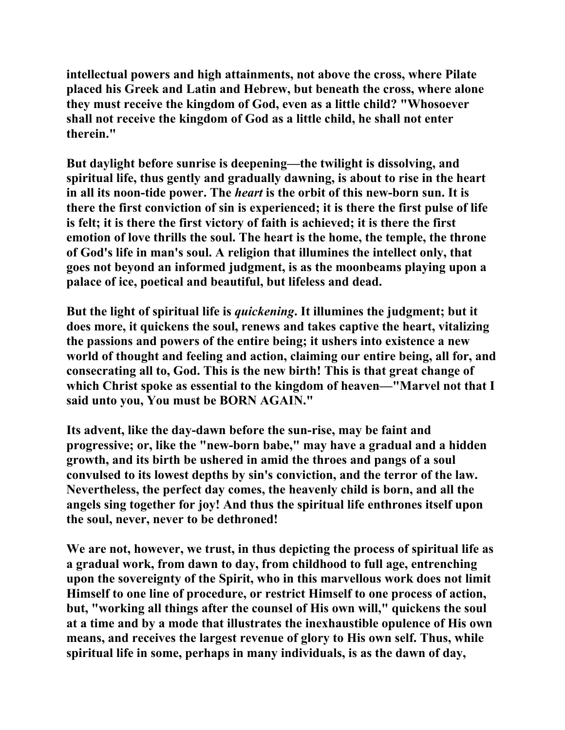**intellectual powers and high attainments, not above the cross, where Pilate placed his Greek and Latin and Hebrew, but beneath the cross, where alone they must receive the kingdom of God, even as a little child? "Whosoever shall not receive the kingdom of God as a little child, he shall not enter therein."** 

**But daylight before sunrise is deepening—the twilight is dissolving, and spiritual life, thus gently and gradually dawning, is about to rise in the heart in all its noon-tide power. The** *heart* **is the orbit of this new-born sun. It is there the first conviction of sin is experienced; it is there the first pulse of life is felt; it is there the first victory of faith is achieved; it is there the first emotion of love thrills the soul. The heart is the home, the temple, the throne of God's life in man's soul. A religion that illumines the intellect only, that goes not beyond an informed judgment, is as the moonbeams playing upon a palace of ice, poetical and beautiful, but lifeless and dead.** 

**But the light of spiritual life is** *quickening***. It illumines the judgment; but it does more, it quickens the soul, renews and takes captive the heart, vitalizing the passions and powers of the entire being; it ushers into existence a new world of thought and feeling and action, claiming our entire being, all for, and consecrating all to, God. This is the new birth! This is that great change of which Christ spoke as essential to the kingdom of heaven—"Marvel not that I said unto you, You must be BORN AGAIN."** 

**Its advent, like the day-dawn before the sun-rise, may be faint and progressive; or, like the "new-born babe," may have a gradual and a hidden growth, and its birth be ushered in amid the throes and pangs of a soul convulsed to its lowest depths by sin's conviction, and the terror of the law. Nevertheless, the perfect day comes, the heavenly child is born, and all the angels sing together for joy! And thus the spiritual life enthrones itself upon the soul, never, never to be dethroned!** 

**We are not, however, we trust, in thus depicting the process of spiritual life as a gradual work, from dawn to day, from childhood to full age, entrenching upon the sovereignty of the Spirit, who in this marvellous work does not limit Himself to one line of procedure, or restrict Himself to one process of action, but, "working all things after the counsel of His own will," quickens the soul at a time and by a mode that illustrates the inexhaustible opulence of His own means, and receives the largest revenue of glory to His own self. Thus, while spiritual life in some, perhaps in many individuals, is as the dawn of day,**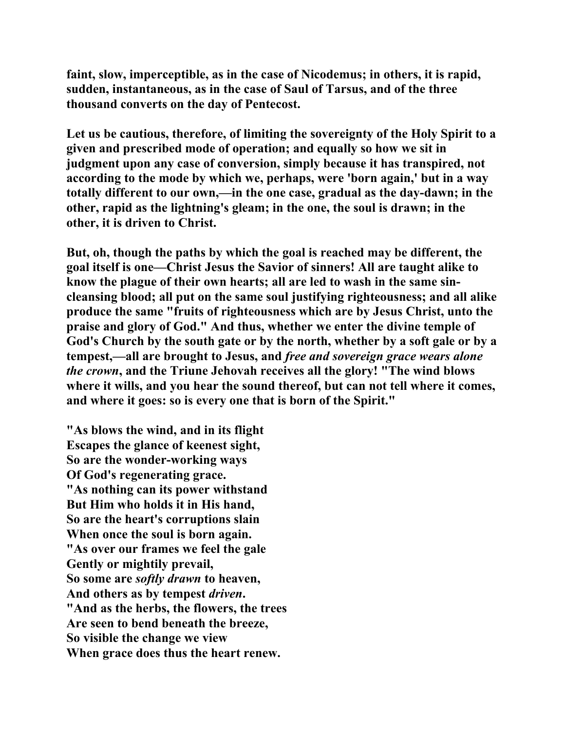**faint, slow, imperceptible, as in the case of Nicodemus; in others, it is rapid, sudden, instantaneous, as in the case of Saul of Tarsus, and of the three thousand converts on the day of Pentecost.** 

**Let us be cautious, therefore, of limiting the sovereignty of the Holy Spirit to a given and prescribed mode of operation; and equally so how we sit in judgment upon any case of conversion, simply because it has transpired, not according to the mode by which we, perhaps, were 'born again,' but in a way totally different to our own,—in the one case, gradual as the day-dawn; in the other, rapid as the lightning's gleam; in the one, the soul is drawn; in the other, it is driven to Christ.** 

**But, oh, though the paths by which the goal is reached may be different, the goal itself is one—Christ Jesus the Savior of sinners! All are taught alike to know the plague of their own hearts; all are led to wash in the same sincleansing blood; all put on the same soul justifying righteousness; and all alike produce the same "fruits of righteousness which are by Jesus Christ, unto the praise and glory of God." And thus, whether we enter the divine temple of God's Church by the south gate or by the north, whether by a soft gale or by a tempest,—all are brought to Jesus, and** *free and sovereign grace wears alone the crown***, and the Triune Jehovah receives all the glory! "The wind blows where it wills, and you hear the sound thereof, but can not tell where it comes, and where it goes: so is every one that is born of the Spirit."** 

**"As blows the wind, and in its flight Escapes the glance of keenest sight, So are the wonder-working ways Of God's regenerating grace. "As nothing can its power withstand But Him who holds it in His hand, So are the heart's corruptions slain When once the soul is born again. "As over our frames we feel the gale Gently or mightily prevail, So some are** *softly drawn* **to heaven, And others as by tempest** *driven***. "And as the herbs, the flowers, the trees Are seen to bend beneath the breeze, So visible the change we view When grace does thus the heart renew.**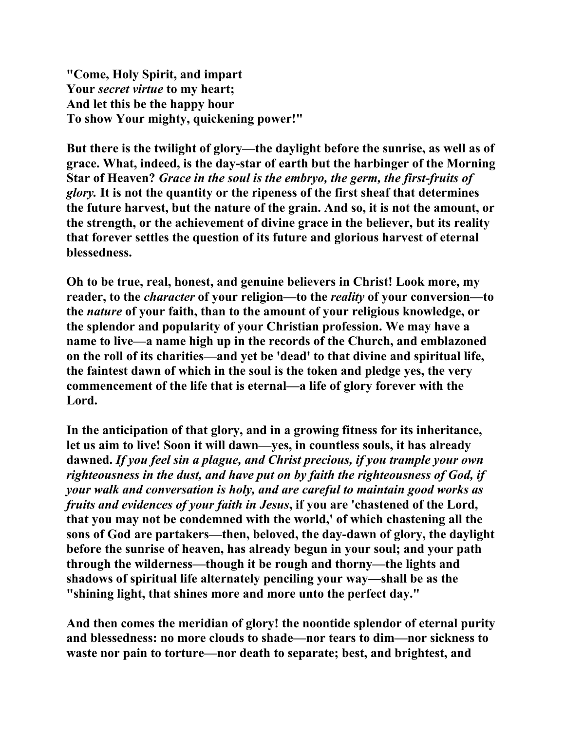**"Come, Holy Spirit, and impart Your** *secret virtue* **to my heart; And let this be the happy hour To show Your mighty, quickening power!"** 

**But there is the twilight of glory—the daylight before the sunrise, as well as of grace. What, indeed, is the day-star of earth but the harbinger of the Morning Star of Heaven?** *Grace in the soul is the embryo, the germ, the first-fruits of glory.* **It is not the quantity or the ripeness of the first sheaf that determines the future harvest, but the nature of the grain. And so, it is not the amount, or the strength, or the achievement of divine grace in the believer, but its reality that forever settles the question of its future and glorious harvest of eternal blessedness.** 

**Oh to be true, real, honest, and genuine believers in Christ! Look more, my reader, to the** *character* **of your religion—to the** *reality* **of your conversion—to the** *nature* **of your faith, than to the amount of your religious knowledge, or the splendor and popularity of your Christian profession. We may have a name to live—a name high up in the records of the Church, and emblazoned on the roll of its charities—and yet be 'dead' to that divine and spiritual life, the faintest dawn of which in the soul is the token and pledge yes, the very commencement of the life that is eternal—a life of glory forever with the Lord.** 

**In the anticipation of that glory, and in a growing fitness for its inheritance, let us aim to live! Soon it will dawn—yes, in countless souls, it has already dawned.** *If you feel sin a plague, and Christ precious, if you trample your own righteousness in the dust, and have put on by faith the righteousness of God, if your walk and conversation is holy, and are careful to maintain good works as fruits and evidences of your faith in Jesus***, if you are 'chastened of the Lord, that you may not be condemned with the world,' of which chastening all the sons of God are partakers—then, beloved, the day-dawn of glory, the daylight before the sunrise of heaven, has already begun in your soul; and your path through the wilderness—though it be rough and thorny—the lights and shadows of spiritual life alternately penciling your way—shall be as the "shining light, that shines more and more unto the perfect day."** 

**And then comes the meridian of glory! the noontide splendor of eternal purity and blessedness: no more clouds to shade—nor tears to dim—nor sickness to waste nor pain to torture—nor death to separate; best, and brightest, and**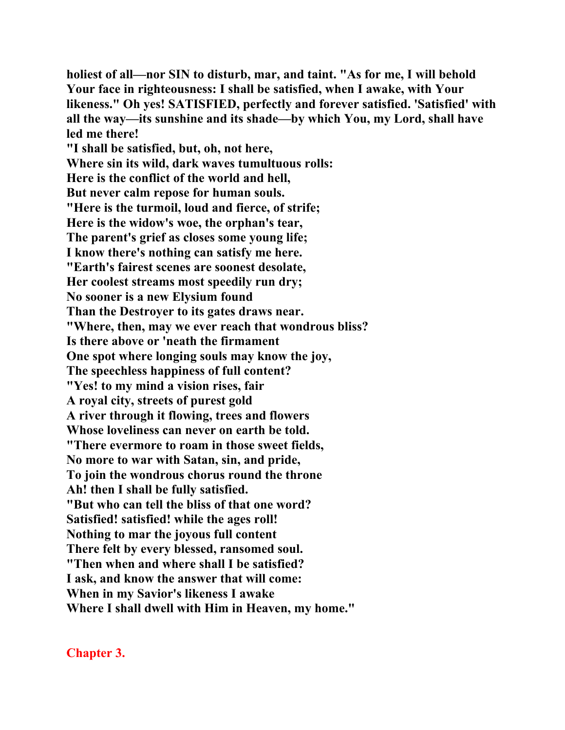**holiest of all—nor SIN to disturb, mar, and taint. "As for me, I will behold Your face in righteousness: I shall be satisfied, when I awake, with Your likeness." Oh yes! SATISFIED, perfectly and forever satisfied. 'Satisfied' with all the way—its sunshine and its shade—by which You, my Lord, shall have led me there!** 

**"I shall be satisfied, but, oh, not here, Where sin its wild, dark waves tumultuous rolls: Here is the conflict of the world and hell, But never calm repose for human souls. "Here is the turmoil, loud and fierce, of strife; Here is the widow's woe, the orphan's tear, The parent's grief as closes some young life; I know there's nothing can satisfy me here. "Earth's fairest scenes are soonest desolate, Her coolest streams most speedily run dry; No sooner is a new Elysium found Than the Destroyer to its gates draws near. "Where, then, may we ever reach that wondrous bliss? Is there above or 'neath the firmament One spot where longing souls may know the joy, The speechless happiness of full content? "Yes! to my mind a vision rises, fair A royal city, streets of purest gold A river through it flowing, trees and flowers Whose loveliness can never on earth be told. "There evermore to roam in those sweet fields, No more to war with Satan, sin, and pride, To join the wondrous chorus round the throne Ah! then I shall be fully satisfied. "But who can tell the bliss of that one word? Satisfied! satisfied! while the ages roll! Nothing to mar the joyous full content There felt by every blessed, ransomed soul. "Then when and where shall I be satisfied? I ask, and know the answer that will come: When in my Savior's likeness I awake Where I shall dwell with Him in Heaven, my home."** 

**Chapter 3.**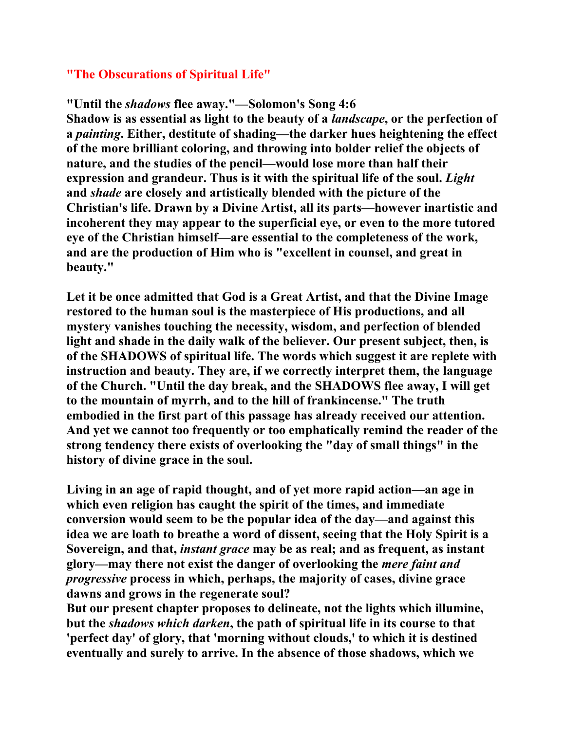### **"The Obscurations of Spiritual Life"**

## **"Until the** *shadows* **flee away."—Solomon's Song 4:6**

**Shadow is as essential as light to the beauty of a** *landscape***, or the perfection of a** *painting***. Either, destitute of shading—the darker hues heightening the effect of the more brilliant coloring, and throwing into bolder relief the objects of nature, and the studies of the pencil—would lose more than half their expression and grandeur. Thus is it with the spiritual life of the soul.** *Light* **and** *shade* **are closely and artistically blended with the picture of the Christian's life. Drawn by a Divine Artist, all its parts—however inartistic and incoherent they may appear to the superficial eye, or even to the more tutored eye of the Christian himself—are essential to the completeness of the work, and are the production of Him who is "excellent in counsel, and great in beauty."** 

**Let it be once admitted that God is a Great Artist, and that the Divine Image restored to the human soul is the masterpiece of His productions, and all mystery vanishes touching the necessity, wisdom, and perfection of blended light and shade in the daily walk of the believer. Our present subject, then, is of the SHADOWS of spiritual life. The words which suggest it are replete with instruction and beauty. They are, if we correctly interpret them, the language of the Church. "Until the day break, and the SHADOWS flee away, I will get to the mountain of myrrh, and to the hill of frankincense." The truth embodied in the first part of this passage has already received our attention. And yet we cannot too frequently or too emphatically remind the reader of the strong tendency there exists of overlooking the "day of small things" in the history of divine grace in the soul.** 

**Living in an age of rapid thought, and of yet more rapid action—an age in which even religion has caught the spirit of the times, and immediate conversion would seem to be the popular idea of the day—and against this idea we are loath to breathe a word of dissent, seeing that the Holy Spirit is a Sovereign, and that,** *instant grace* **may be as real; and as frequent, as instant glory—may there not exist the danger of overlooking the** *mere faint and progressive* **process in which, perhaps, the majority of cases, divine grace dawns and grows in the regenerate soul?** 

**But our present chapter proposes to delineate, not the lights which illumine, but the** *shadows which darken***, the path of spiritual life in its course to that 'perfect day' of glory, that 'morning without clouds,' to which it is destined eventually and surely to arrive. In the absence of those shadows, which we**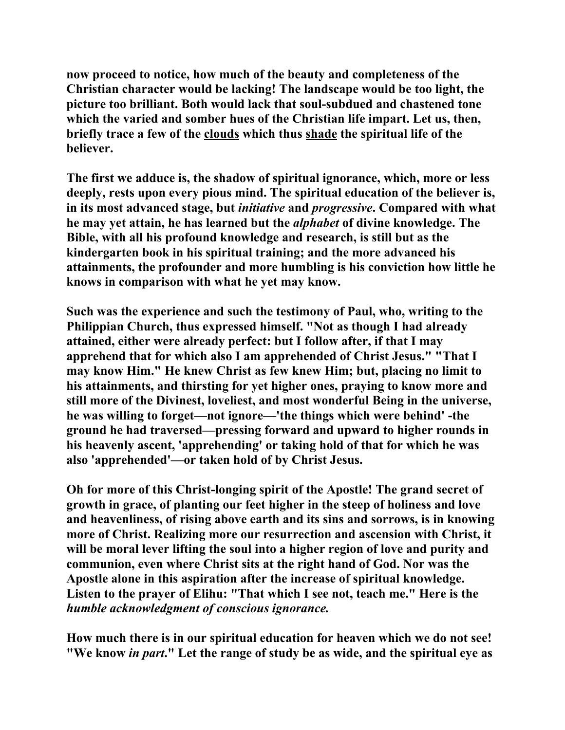**now proceed to notice, how much of the beauty and completeness of the Christian character would be lacking! The landscape would be too light, the picture too brilliant. Both would lack that soul-subdued and chastened tone which the varied and somber hues of the Christian life impart. Let us, then, briefly trace a few of the clouds which thus shade the spiritual life of the believer.** 

**The first we adduce is, the shadow of spiritual ignorance, which, more or less deeply, rests upon every pious mind. The spiritual education of the believer is, in its most advanced stage, but** *initiative* **and** *progressive***. Compared with what he may yet attain, he has learned but the** *alphabet* **of divine knowledge. The Bible, with all his profound knowledge and research, is still but as the kindergarten book in his spiritual training; and the more advanced his attainments, the profounder and more humbling is his conviction how little he knows in comparison with what he yet may know.** 

**Such was the experience and such the testimony of Paul, who, writing to the Philippian Church, thus expressed himself. "Not as though I had already attained, either were already perfect: but I follow after, if that I may apprehend that for which also I am apprehended of Christ Jesus." "That I may know Him." He knew Christ as few knew Him; but, placing no limit to his attainments, and thirsting for yet higher ones, praying to know more and still more of the Divinest, loveliest, and most wonderful Being in the universe, he was willing to forget—not ignore—'the things which were behind' -the ground he had traversed—pressing forward and upward to higher rounds in his heavenly ascent, 'apprehending' or taking hold of that for which he was also 'apprehended'—or taken hold of by Christ Jesus.** 

**Oh for more of this Christ-longing spirit of the Apostle! The grand secret of growth in grace, of planting our feet higher in the steep of holiness and love and heavenliness, of rising above earth and its sins and sorrows, is in knowing more of Christ. Realizing more our resurrection and ascension with Christ, it will be moral lever lifting the soul into a higher region of love and purity and communion, even where Christ sits at the right hand of God. Nor was the Apostle alone in this aspiration after the increase of spiritual knowledge. Listen to the prayer of Elihu: "That which I see not, teach me." Here is the**  *humble acknowledgment of conscious ignorance.*

**How much there is in our spiritual education for heaven which we do not see! "We know** *in part***." Let the range of study be as wide, and the spiritual eye as**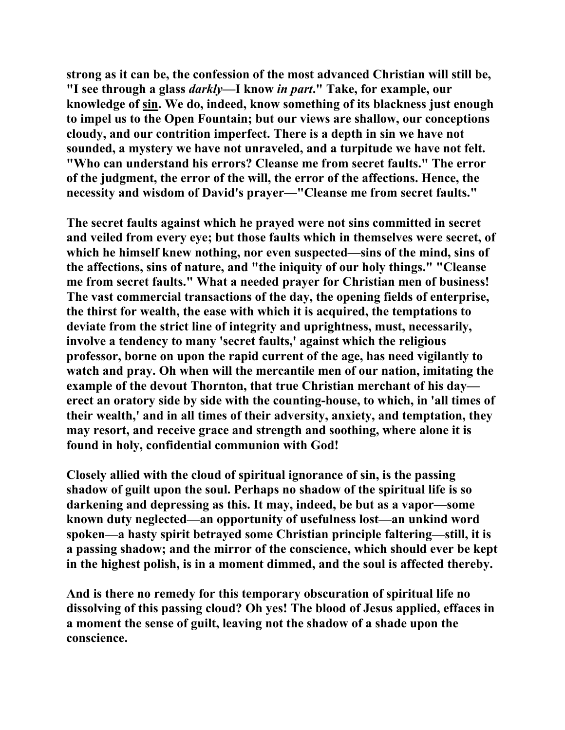**strong as it can be, the confession of the most advanced Christian will still be, "I see through a glass** *darkly***—I know** *in part***." Take, for example, our knowledge of sin. We do, indeed, know something of its blackness just enough to impel us to the Open Fountain; but our views are shallow, our conceptions cloudy, and our contrition imperfect. There is a depth in sin we have not sounded, a mystery we have not unraveled, and a turpitude we have not felt. "Who can understand his errors? Cleanse me from secret faults." The error of the judgment, the error of the will, the error of the affections. Hence, the necessity and wisdom of David's prayer—"Cleanse me from secret faults."** 

**The secret faults against which he prayed were not sins committed in secret and veiled from every eye; but those faults which in themselves were secret, of which he himself knew nothing, nor even suspected—sins of the mind, sins of the affections, sins of nature, and "the iniquity of our holy things." "Cleanse me from secret faults." What a needed prayer for Christian men of business! The vast commercial transactions of the day, the opening fields of enterprise, the thirst for wealth, the ease with which it is acquired, the temptations to deviate from the strict line of integrity and uprightness, must, necessarily, involve a tendency to many 'secret faults,' against which the religious professor, borne on upon the rapid current of the age, has need vigilantly to watch and pray. Oh when will the mercantile men of our nation, imitating the example of the devout Thornton, that true Christian merchant of his day erect an oratory side by side with the counting-house, to which, in 'all times of their wealth,' and in all times of their adversity, anxiety, and temptation, they may resort, and receive grace and strength and soothing, where alone it is found in holy, confidential communion with God!** 

**Closely allied with the cloud of spiritual ignorance of sin, is the passing shadow of guilt upon the soul. Perhaps no shadow of the spiritual life is so darkening and depressing as this. It may, indeed, be but as a vapor—some known duty neglected—an opportunity of usefulness lost—an unkind word spoken—a hasty spirit betrayed some Christian principle faltering—still, it is a passing shadow; and the mirror of the conscience, which should ever be kept in the highest polish, is in a moment dimmed, and the soul is affected thereby.** 

**And is there no remedy for this temporary obscuration of spiritual life no dissolving of this passing cloud? Oh yes! The blood of Jesus applied, effaces in a moment the sense of guilt, leaving not the shadow of a shade upon the conscience.**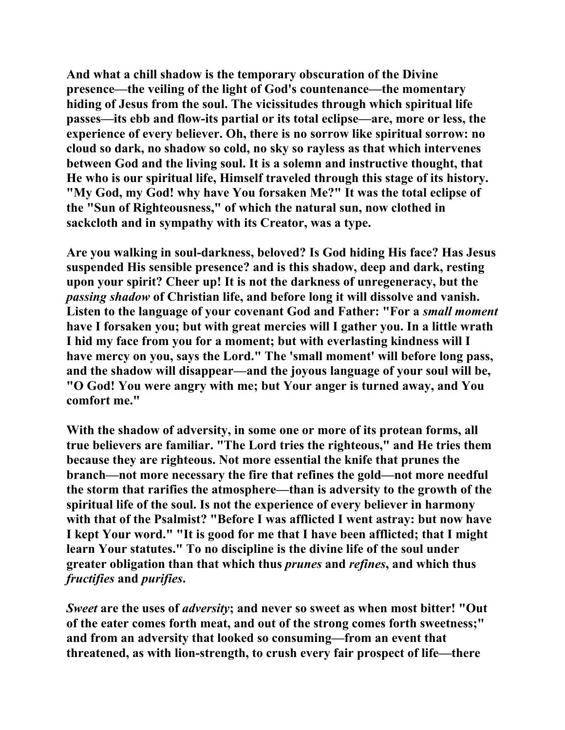**And what a chill shadow is the temporary obscuration of the Divine presence—the veiling of the light of God's countenance—the momentary hiding of Jesus from the soul. The vicissitudes through which spiritual life passes—its ebb and flow-its partial or its total eclipse—are, more or less, the experience of every believer. Oh, there is no sorrow like spiritual sorrow: no cloud so dark, no shadow so cold, no sky so rayless as that which intervenes between God and the living soul. It is a solemn and instructive thought, that He who is our spiritual life, Himself traveled through this stage of its history. "My God, my God! why have You forsaken Me?" It was the total eclipse of the "Sun of Righteousness," of which the natural sun, now clothed in sackcloth and in sympathy with its Creator, was a type.** 

**Are you walking in soul-darkness, beloved? Is God hiding His face? Has Jesus suspended His sensible presence? and is this shadow, deep and dark, resting upon your spirit? Cheer up! It is not the darkness of unregeneracy, but the**  *passing shadow* **of Christian life, and before long it will dissolve and vanish. Listen to the language of your covenant God and Father: "For a** *small moment* **have I forsaken you; but with great mercies will I gather you. In a little wrath I hid my face from you for a moment; but with everlasting kindness will I have mercy on you, says the Lord." The 'small moment' will before long pass, and the shadow will disappear—and the joyous language of your soul will be, "O God! You were angry with me; but Your anger is turned away, and You comfort me."** 

**With the shadow of adversity, in some one or more of its protean forms, all true believers are familiar. "The Lord tries the righteous," and He tries them because they are righteous. Not more essential the knife that prunes the branch—not more necessary the fire that refines the gold—not more needful the storm that rarifies the atmosphere—than is adversity to the growth of the spiritual life of the soul. Is not the experience of every believer in harmony with that of the Psalmist? "Before I was afflicted I went astray: but now have I kept Your word." "It is good for me that I have been afflicted; that I might learn Your statutes." To no discipline is the divine life of the soul under greater obligation than that which thus** *prunes* **and** *refines***, and which thus**  *fructifies* **and** *purifies***.** 

*Sweet* **are the uses of** *adversity***; and never so sweet as when most bitter! "Out of the eater comes forth meat, and out of the strong comes forth sweetness;" and from an adversity that looked so consuming—from an event that threatened, as with lion-strength, to crush every fair prospect of life—there**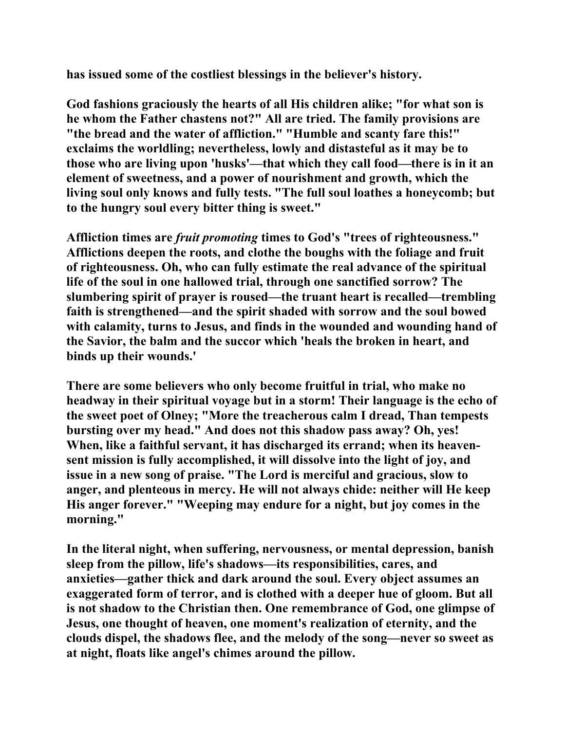**has issued some of the costliest blessings in the believer's history.** 

**God fashions graciously the hearts of all His children alike; "for what son is he whom the Father chastens not?" All are tried. The family provisions are "the bread and the water of affliction." "Humble and scanty fare this!" exclaims the worldling; nevertheless, lowly and distasteful as it may be to those who are living upon 'husks'—that which they call food—there is in it an element of sweetness, and a power of nourishment and growth, which the living soul only knows and fully tests. "The full soul loathes a honeycomb; but to the hungry soul every bitter thing is sweet."** 

**Affliction times are** *fruit promoting* **times to God's "trees of righteousness." Afflictions deepen the roots, and clothe the boughs with the foliage and fruit of righteousness. Oh, who can fully estimate the real advance of the spiritual life of the soul in one hallowed trial, through one sanctified sorrow? The slumbering spirit of prayer is roused—the truant heart is recalled—trembling faith is strengthened—and the spirit shaded with sorrow and the soul bowed with calamity, turns to Jesus, and finds in the wounded and wounding hand of the Savior, the balm and the succor which 'heals the broken in heart, and binds up their wounds.'** 

**There are some believers who only become fruitful in trial, who make no headway in their spiritual voyage but in a storm! Their language is the echo of the sweet poet of Olney; "More the treacherous calm I dread, Than tempests bursting over my head." And does not this shadow pass away? Oh, yes! When, like a faithful servant, it has discharged its errand; when its heavensent mission is fully accomplished, it will dissolve into the light of joy, and issue in a new song of praise. "The Lord is merciful and gracious, slow to anger, and plenteous in mercy. He will not always chide: neither will He keep His anger forever." "Weeping may endure for a night, but joy comes in the morning."** 

**In the literal night, when suffering, nervousness, or mental depression, banish sleep from the pillow, life's shadows—its responsibilities, cares, and anxieties—gather thick and dark around the soul. Every object assumes an exaggerated form of terror, and is clothed with a deeper hue of gloom. But all is not shadow to the Christian then. One remembrance of God, one glimpse of Jesus, one thought of heaven, one moment's realization of eternity, and the clouds dispel, the shadows flee, and the melody of the song—never so sweet as at night, floats like angel's chimes around the pillow.**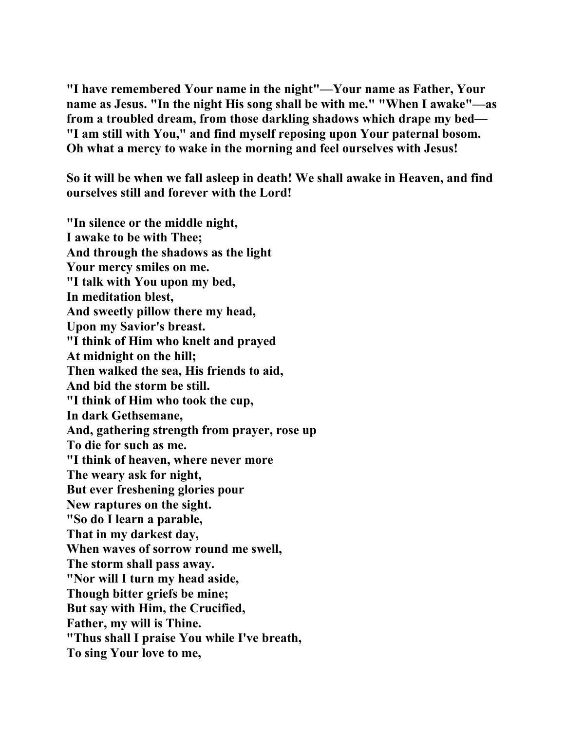**"I have remembered Your name in the night"—Your name as Father, Your name as Jesus. "In the night His song shall be with me." "When I awake"—as from a troubled dream, from those darkling shadows which drape my bed— "I am still with You," and find myself reposing upon Your paternal bosom. Oh what a mercy to wake in the morning and feel ourselves with Jesus!** 

**So it will be when we fall asleep in death! We shall awake in Heaven, and find ourselves still and forever with the Lord!** 

**"In silence or the middle night, I awake to be with Thee; And through the shadows as the light Your mercy smiles on me. "I talk with You upon my bed, In meditation blest, And sweetly pillow there my head, Upon my Savior's breast. "I think of Him who knelt and prayed At midnight on the hill; Then walked the sea, His friends to aid, And bid the storm be still. "I think of Him who took the cup, In dark Gethsemane, And, gathering strength from prayer, rose up To die for such as me. "I think of heaven, where never more The weary ask for night, But ever freshening glories pour New raptures on the sight. "So do I learn a parable, That in my darkest day, When waves of sorrow round me swell, The storm shall pass away. "Nor will I turn my head aside, Though bitter griefs be mine; But say with Him, the Crucified, Father, my will is Thine. "Thus shall I praise You while I've breath, To sing Your love to me,**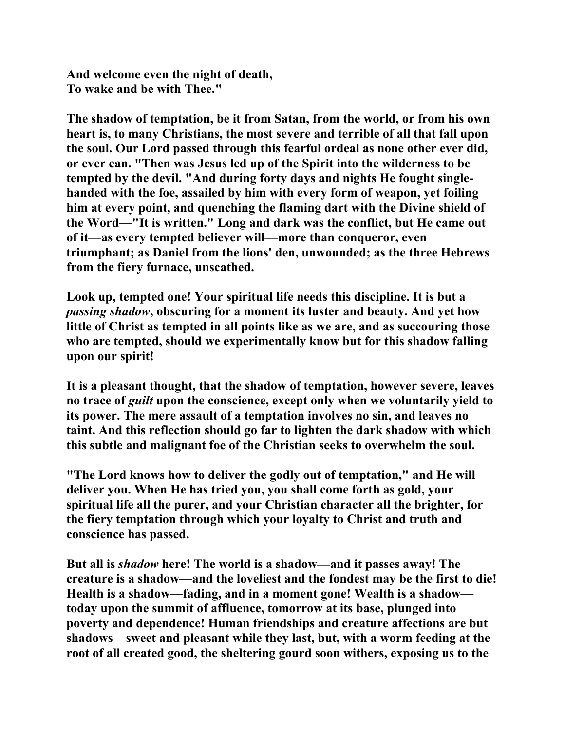**And welcome even the night of death, To wake and be with Thee."** 

**The shadow of temptation, be it from Satan, from the world, or from his own heart is, to many Christians, the most severe and terrible of all that fall upon the soul. Our Lord passed through this fearful ordeal as none other ever did, or ever can. "Then was Jesus led up of the Spirit into the wilderness to be tempted by the devil. "And during forty days and nights He fought singlehanded with the foe, assailed by him with every form of weapon, yet foiling him at every point, and quenching the flaming dart with the Divine shield of the Word—"It is written." Long and dark was the conflict, but He came out of it—as every tempted believer will—more than conqueror, even triumphant; as Daniel from the lions' den, unwounded; as the three Hebrews from the fiery furnace, unscathed.** 

**Look up, tempted one! Your spiritual life needs this discipline. It is but a**  *passing shadow***, obscuring for a moment its luster and beauty. And yet how little of Christ as tempted in all points like as we are, and as succouring those who are tempted, should we experimentally know but for this shadow falling upon our spirit!** 

**It is a pleasant thought, that the shadow of temptation, however severe, leaves no trace of** *guilt* **upon the conscience, except only when we voluntarily yield to its power. The mere assault of a temptation involves no sin, and leaves no taint. And this reflection should go far to lighten the dark shadow with which this subtle and malignant foe of the Christian seeks to overwhelm the soul.** 

**"The Lord knows how to deliver the godly out of temptation," and He will deliver you. When He has tried you, you shall come forth as gold, your spiritual life all the purer, and your Christian character all the brighter, for the fiery temptation through which your loyalty to Christ and truth and conscience has passed.** 

**But all is** *shadow* **here! The world is a shadow—and it passes away! The creature is a shadow—and the loveliest and the fondest may be the first to die! Health is a shadow—fading, and in a moment gone! Wealth is a shadow today upon the summit of affluence, tomorrow at its base, plunged into poverty and dependence! Human friendships and creature affections are but shadows—sweet and pleasant while they last, but, with a worm feeding at the root of all created good, the sheltering gourd soon withers, exposing us to the**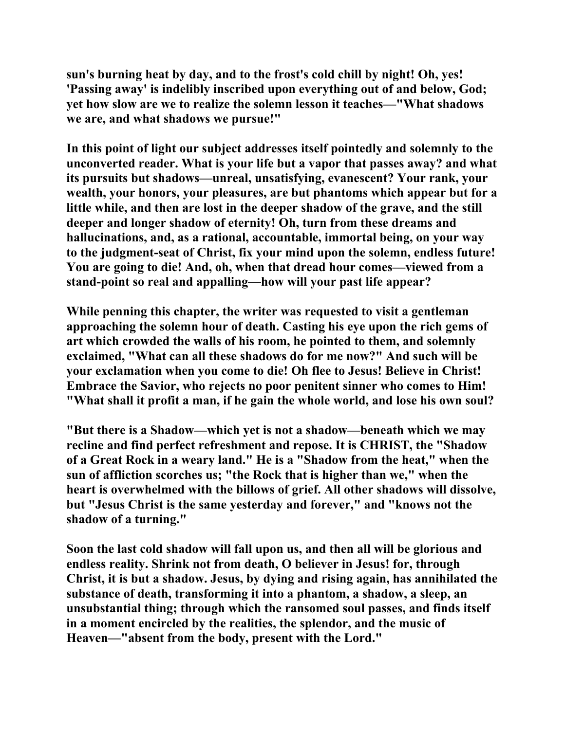**sun's burning heat by day, and to the frost's cold chill by night! Oh, yes! 'Passing away' is indelibly inscribed upon everything out of and below, God; yet how slow are we to realize the solemn lesson it teaches—"What shadows we are, and what shadows we pursue!"** 

**In this point of light our subject addresses itself pointedly and solemnly to the unconverted reader. What is your life but a vapor that passes away? and what its pursuits but shadows—unreal, unsatisfying, evanescent? Your rank, your wealth, your honors, your pleasures, are but phantoms which appear but for a little while, and then are lost in the deeper shadow of the grave, and the still deeper and longer shadow of eternity! Oh, turn from these dreams and hallucinations, and, as a rational, accountable, immortal being, on your way to the judgment-seat of Christ, fix your mind upon the solemn, endless future! You are going to die! And, oh, when that dread hour comes—viewed from a stand-point so real and appalling—how will your past life appear?** 

**While penning this chapter, the writer was requested to visit a gentleman approaching the solemn hour of death. Casting his eye upon the rich gems of art which crowded the walls of his room, he pointed to them, and solemnly exclaimed, "What can all these shadows do for me now?" And such will be your exclamation when you come to die! Oh flee to Jesus! Believe in Christ! Embrace the Savior, who rejects no poor penitent sinner who comes to Him! "What shall it profit a man, if he gain the whole world, and lose his own soul?** 

**"But there is a Shadow—which yet is not a shadow—beneath which we may recline and find perfect refreshment and repose. It is CHRIST, the "Shadow of a Great Rock in a weary land." He is a "Shadow from the heat," when the sun of affliction scorches us; "the Rock that is higher than we," when the heart is overwhelmed with the billows of grief. All other shadows will dissolve, but "Jesus Christ is the same yesterday and forever," and "knows not the shadow of a turning."** 

**Soon the last cold shadow will fall upon us, and then all will be glorious and endless reality. Shrink not from death, O believer in Jesus! for, through Christ, it is but a shadow. Jesus, by dying and rising again, has annihilated the substance of death, transforming it into a phantom, a shadow, a sleep, an unsubstantial thing; through which the ransomed soul passes, and finds itself in a moment encircled by the realities, the splendor, and the music of Heaven—"absent from the body, present with the Lord."**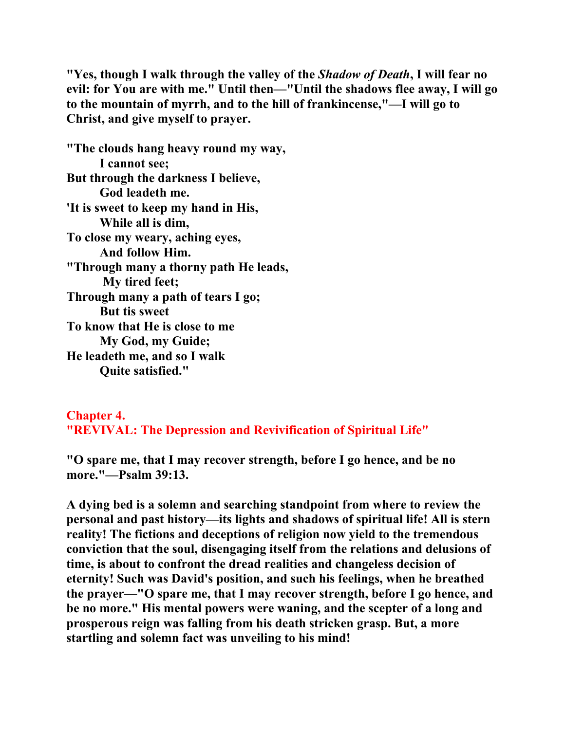**"Yes, though I walk through the valley of the** *Shadow of Death***, I will fear no evil: for You are with me." Until then—"Until the shadows flee away, I will go to the mountain of myrrh, and to the hill of frankincense,"—I will go to Christ, and give myself to prayer.** 

**"The clouds hang heavy round my way, I cannot see; But through the darkness I believe, God leadeth me. 'It is sweet to keep my hand in His, While all is dim, To close my weary, aching eyes, And follow Him. "Through many a thorny path He leads, My tired feet; Through many a path of tears I go; But tis sweet To know that He is close to me My God, my Guide; He leadeth me, and so I walk Quite satisfied."** 

**Chapter 4. "REVIVAL: The Depression and Revivification of Spiritual Life"**

**"O spare me, that I may recover strength, before I go hence, and be no more."—Psalm 39:13.** 

**A dying bed is a solemn and searching standpoint from where to review the personal and past history—its lights and shadows of spiritual life! All is stern reality! The fictions and deceptions of religion now yield to the tremendous conviction that the soul, disengaging itself from the relations and delusions of time, is about to confront the dread realities and changeless decision of eternity! Such was David's position, and such his feelings, when he breathed the prayer—"O spare me, that I may recover strength, before I go hence, and be no more." His mental powers were waning, and the scepter of a long and prosperous reign was falling from his death stricken grasp. But, a more startling and solemn fact was unveiling to his mind!**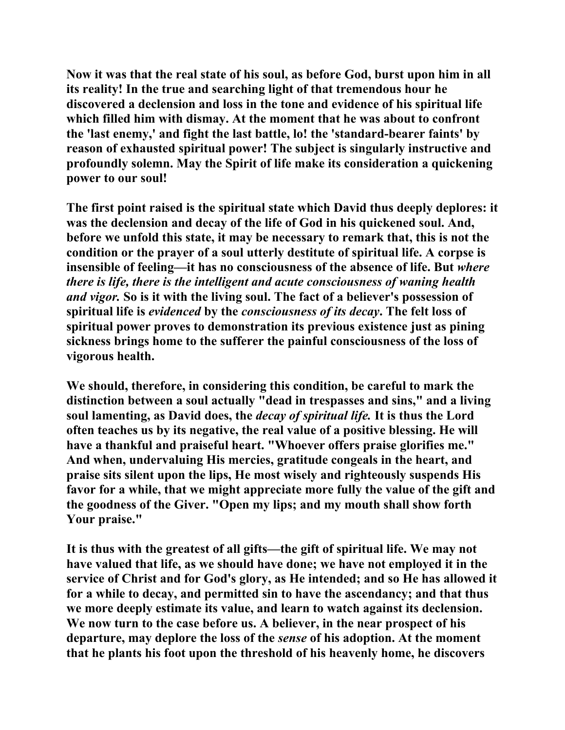**Now it was that the real state of his soul, as before God, burst upon him in all its reality! In the true and searching light of that tremendous hour he discovered a declension and loss in the tone and evidence of his spiritual life which filled him with dismay. At the moment that he was about to confront the 'last enemy,' and fight the last battle, lo! the 'standard-bearer faints' by reason of exhausted spiritual power! The subject is singularly instructive and profoundly solemn. May the Spirit of life make its consideration a quickening power to our soul!** 

**The first point raised is the spiritual state which David thus deeply deplores: it was the declension and decay of the life of God in his quickened soul. And, before we unfold this state, it may be necessary to remark that, this is not the condition or the prayer of a soul utterly destitute of spiritual life. A corpse is insensible of feeling—it has no consciousness of the absence of life. But** *where there is life, there is the intelligent and acute consciousness of waning health and vigor.* **So is it with the living soul. The fact of a believer's possession of spiritual life is** *evidenced* **by the** *consciousness of its decay***. The felt loss of spiritual power proves to demonstration its previous existence just as pining sickness brings home to the sufferer the painful consciousness of the loss of vigorous health.** 

**We should, therefore, in considering this condition, be careful to mark the distinction between a soul actually "dead in trespasses and sins," and a living soul lamenting, as David does, the** *decay of spiritual life.* **It is thus the Lord often teaches us by its negative, the real value of a positive blessing. He will have a thankful and praiseful heart. "Whoever offers praise glorifies me." And when, undervaluing His mercies, gratitude congeals in the heart, and praise sits silent upon the lips, He most wisely and righteously suspends His favor for a while, that we might appreciate more fully the value of the gift and the goodness of the Giver. "Open my lips; and my mouth shall show forth Your praise."** 

**It is thus with the greatest of all gifts—the gift of spiritual life. We may not have valued that life, as we should have done; we have not employed it in the service of Christ and for God's glory, as He intended; and so He has allowed it for a while to decay, and permitted sin to have the ascendancy; and that thus we more deeply estimate its value, and learn to watch against its declension. We now turn to the case before us. A believer, in the near prospect of his departure, may deplore the loss of the** *sense* **of his adoption. At the moment that he plants his foot upon the threshold of his heavenly home, he discovers**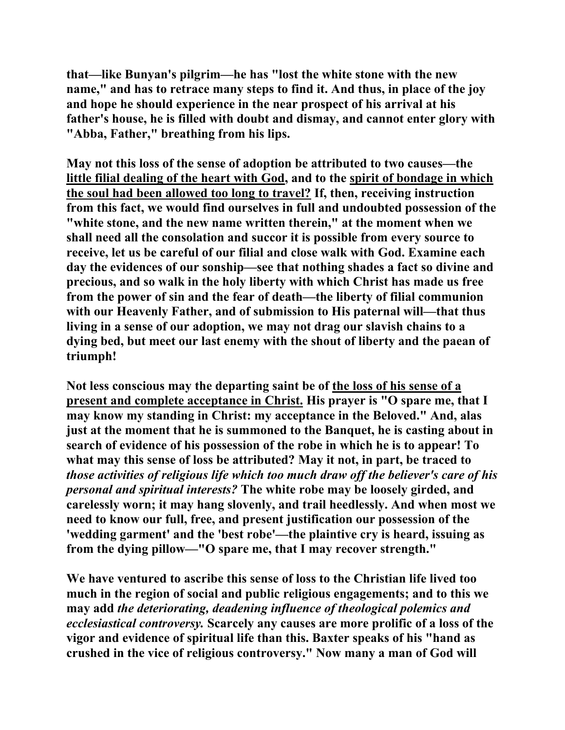**that—like Bunyan's pilgrim—he has "lost the white stone with the new name," and has to retrace many steps to find it. And thus, in place of the joy and hope he should experience in the near prospect of his arrival at his father's house, he is filled with doubt and dismay, and cannot enter glory with "Abba, Father," breathing from his lips.** 

**May not this loss of the sense of adoption be attributed to two causes—the little filial dealing of the heart with God, and to the spirit of bondage in which the soul had been allowed too long to travel? If, then, receiving instruction from this fact, we would find ourselves in full and undoubted possession of the "white stone, and the new name written therein," at the moment when we shall need all the consolation and succor it is possible from every source to receive, let us be careful of our filial and close walk with God. Examine each day the evidences of our sonship—see that nothing shades a fact so divine and precious, and so walk in the holy liberty with which Christ has made us free from the power of sin and the fear of death—the liberty of filial communion with our Heavenly Father, and of submission to His paternal will—that thus living in a sense of our adoption, we may not drag our slavish chains to a dying bed, but meet our last enemy with the shout of liberty and the paean of triumph!** 

**Not less conscious may the departing saint be of the loss of his sense of a present and complete acceptance in Christ. His prayer is "O spare me, that I may know my standing in Christ: my acceptance in the Beloved." And, alas just at the moment that he is summoned to the Banquet, he is casting about in search of evidence of his possession of the robe in which he is to appear! To what may this sense of loss be attributed? May it not, in part, be traced to**  *those activities of religious life which too much draw off the believer's care of his personal and spiritual interests?* **The white robe may be loosely girded, and carelessly worn; it may hang slovenly, and trail heedlessly. And when most we need to know our full, free, and present justification our possession of the 'wedding garment' and the 'best robe'—the plaintive cry is heard, issuing as from the dying pillow—"O spare me, that I may recover strength."** 

**We have ventured to ascribe this sense of loss to the Christian life lived too much in the region of social and public religious engagements; and to this we may add** *the deteriorating, deadening influence of theological polemics and ecclesiastical controversy.* **Scarcely any causes are more prolific of a loss of the vigor and evidence of spiritual life than this. Baxter speaks of his "hand as crushed in the vice of religious controversy." Now many a man of God will**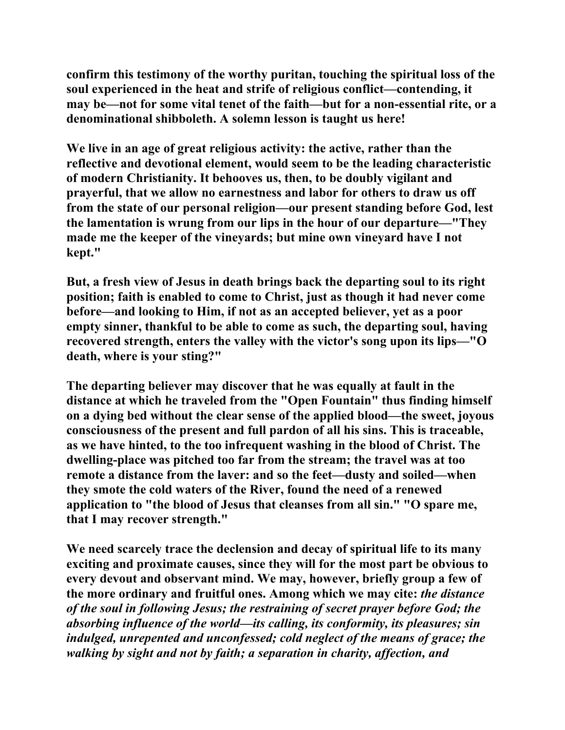**confirm this testimony of the worthy puritan, touching the spiritual loss of the soul experienced in the heat and strife of religious conflict—contending, it may be—not for some vital tenet of the faith—but for a non-essential rite, or a denominational shibboleth. A solemn lesson is taught us here!** 

**We live in an age of great religious activity: the active, rather than the reflective and devotional element, would seem to be the leading characteristic of modern Christianity. It behooves us, then, to be doubly vigilant and prayerful, that we allow no earnestness and labor for others to draw us off from the state of our personal religion—our present standing before God, lest the lamentation is wrung from our lips in the hour of our departure—"They made me the keeper of the vineyards; but mine own vineyard have I not kept."** 

**But, a fresh view of Jesus in death brings back the departing soul to its right position; faith is enabled to come to Christ, just as though it had never come before—and looking to Him, if not as an accepted believer, yet as a poor empty sinner, thankful to be able to come as such, the departing soul, having recovered strength, enters the valley with the victor's song upon its lips—"O death, where is your sting?"** 

**The departing believer may discover that he was equally at fault in the distance at which he traveled from the "Open Fountain" thus finding himself on a dying bed without the clear sense of the applied blood—the sweet, joyous consciousness of the present and full pardon of all his sins. This is traceable, as we have hinted, to the too infrequent washing in the blood of Christ. The dwelling-place was pitched too far from the stream; the travel was at too remote a distance from the laver: and so the feet—dusty and soiled—when they smote the cold waters of the River, found the need of a renewed application to "the blood of Jesus that cleanses from all sin." "O spare me, that I may recover strength."** 

**We need scarcely trace the declension and decay of spiritual life to its many exciting and proximate causes, since they will for the most part be obvious to every devout and observant mind. We may, however, briefly group a few of the more ordinary and fruitful ones. Among which we may cite:** *the distance of the soul in following Jesus; the restraining of secret prayer before God; the absorbing influence of the world—its calling, its conformity, its pleasures; sin indulged, unrepented and unconfessed; cold neglect of the means of grace; the walking by sight and not by faith; a separation in charity, affection, and*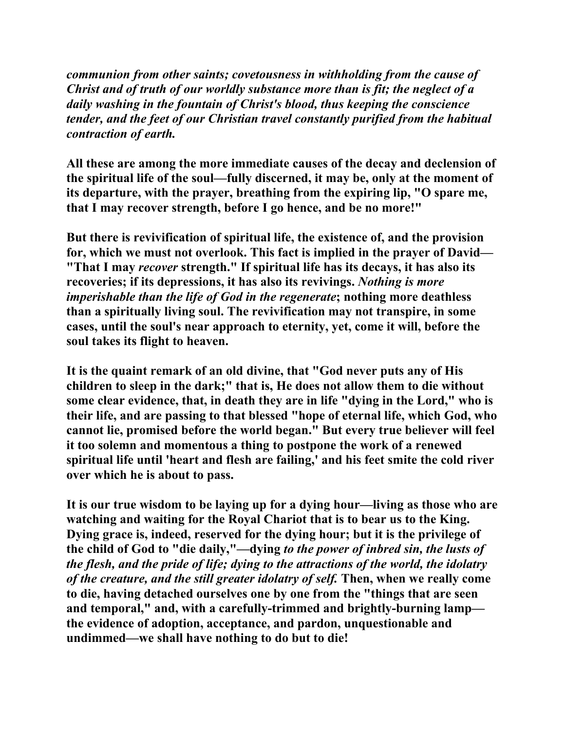*communion from other saints; covetousness in withholding from the cause of Christ and of truth of our worldly substance more than is fit; the neglect of a daily washing in the fountain of Christ's blood, thus keeping the conscience tender, and the feet of our Christian travel constantly purified from the habitual contraction of earth.*

**All these are among the more immediate causes of the decay and declension of the spiritual life of the soul—fully discerned, it may be, only at the moment of its departure, with the prayer, breathing from the expiring lip, "O spare me, that I may recover strength, before I go hence, and be no more!"** 

**But there is revivification of spiritual life, the existence of, and the provision for, which we must not overlook. This fact is implied in the prayer of David— "That I may** *recover* **strength." If spiritual life has its decays, it has also its recoveries; if its depressions, it has also its revivings.** *Nothing is more imperishable than the life of God in the regenerate***; nothing more deathless than a spiritually living soul. The revivification may not transpire, in some cases, until the soul's near approach to eternity, yet, come it will, before the soul takes its flight to heaven.** 

**It is the quaint remark of an old divine, that "God never puts any of His children to sleep in the dark;" that is, He does not allow them to die without some clear evidence, that, in death they are in life "dying in the Lord," who is their life, and are passing to that blessed "hope of eternal life, which God, who cannot lie, promised before the world began." But every true believer will feel it too solemn and momentous a thing to postpone the work of a renewed spiritual life until 'heart and flesh are failing,' and his feet smite the cold river over which he is about to pass.** 

**It is our true wisdom to be laying up for a dying hour—living as those who are watching and waiting for the Royal Chariot that is to bear us to the King. Dying grace is, indeed, reserved for the dying hour; but it is the privilege of the child of God to "die daily,"—dying** *to the power of inbred sin, the lusts of the flesh, and the pride of life; dying to the attractions of the world, the idolatry of the creature, and the still greater idolatry of self.* **Then, when we really come to die, having detached ourselves one by one from the "things that are seen and temporal," and, with a carefully-trimmed and brightly-burning lamp the evidence of adoption, acceptance, and pardon, unquestionable and undimmed—we shall have nothing to do but to die!**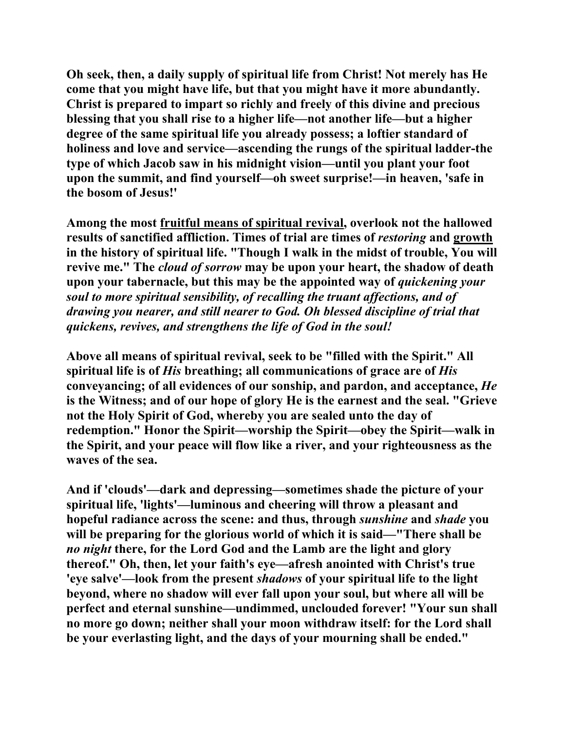**Oh seek, then, a daily supply of spiritual life from Christ! Not merely has He come that you might have life, but that you might have it more abundantly. Christ is prepared to impart so richly and freely of this divine and precious blessing that you shall rise to a higher life—not another life—but a higher degree of the same spiritual life you already possess; a loftier standard of holiness and love and service—ascending the rungs of the spiritual ladder-the type of which Jacob saw in his midnight vision—until you plant your foot upon the summit, and find yourself—oh sweet surprise!—in heaven, 'safe in the bosom of Jesus!'** 

**Among the most fruitful means of spiritual revival, overlook not the hallowed results of sanctified affliction. Times of trial are times of** *restoring* **and growth in the history of spiritual life. "Though I walk in the midst of trouble, You will revive me." The** *cloud of sorrow* **may be upon your heart, the shadow of death upon your tabernacle, but this may be the appointed way of** *quickening your soul to more spiritual sensibility, of recalling the truant affections, and of drawing you nearer, and still nearer to God. Oh blessed discipline of trial that quickens, revives, and strengthens the life of God in the soul!* 

**Above all means of spiritual revival, seek to be "filled with the Spirit." All spiritual life is of** *His* **breathing; all communications of grace are of** *His* **conveyancing; of all evidences of our sonship, and pardon, and acceptance,** *He* **is the Witness; and of our hope of glory He is the earnest and the seal. "Grieve not the Holy Spirit of God, whereby you are sealed unto the day of redemption." Honor the Spirit—worship the Spirit—obey the Spirit—walk in the Spirit, and your peace will flow like a river, and your righteousness as the waves of the sea.** 

**And if 'clouds'—dark and depressing—sometimes shade the picture of your spiritual life, 'lights'—luminous and cheering will throw a pleasant and hopeful radiance across the scene: and thus, through** *sunshine* **and** *shade* **you will be preparing for the glorious world of which it is said—"There shall be**  *no night* **there, for the Lord God and the Lamb are the light and glory thereof." Oh, then, let your faith's eye—afresh anointed with Christ's true 'eye salve'—look from the present** *shadows* **of your spiritual life to the light beyond, where no shadow will ever fall upon your soul, but where all will be perfect and eternal sunshine—undimmed, unclouded forever! "Your sun shall no more go down; neither shall your moon withdraw itself: for the Lord shall be your everlasting light, and the days of your mourning shall be ended."**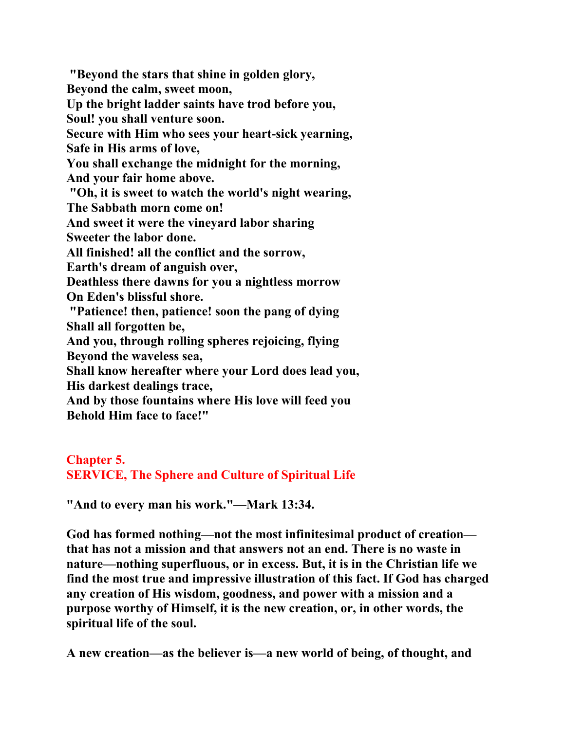**"Beyond the stars that shine in golden glory, Beyond the calm, sweet moon, Up the bright ladder saints have trod before you, Soul! you shall venture soon. Secure with Him who sees your heart-sick yearning, Safe in His arms of love, You shall exchange the midnight for the morning, And your fair home above. "Oh, it is sweet to watch the world's night wearing, The Sabbath morn come on! And sweet it were the vineyard labor sharing Sweeter the labor done. All finished! all the conflict and the sorrow, Earth's dream of anguish over, Deathless there dawns for you a nightless morrow On Eden's blissful shore. "Patience! then, patience! soon the pang of dying Shall all forgotten be, And you, through rolling spheres rejoicing, flying Beyond the waveless sea, Shall know hereafter where your Lord does lead you, His darkest dealings trace, And by those fountains where His love will feed you Behold Him face to face!"** 

**Chapter 5. SERVICE, The Sphere and Culture of Spiritual Life**

**"And to every man his work."—Mark 13:34.** 

**God has formed nothing—not the most infinitesimal product of creation that has not a mission and that answers not an end. There is no waste in nature—nothing superfluous, or in excess. But, it is in the Christian life we find the most true and impressive illustration of this fact. If God has charged any creation of His wisdom, goodness, and power with a mission and a purpose worthy of Himself, it is the new creation, or, in other words, the spiritual life of the soul.** 

**A new creation—as the believer is—a new world of being, of thought, and**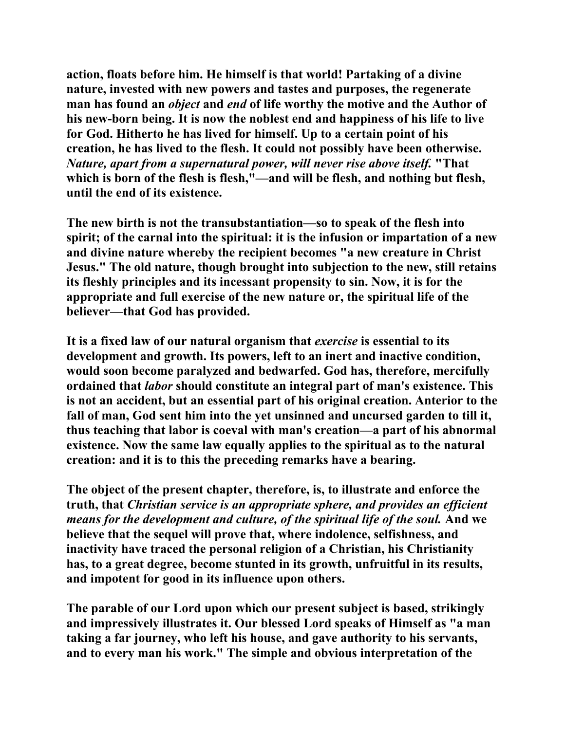**action, floats before him. He himself is that world! Partaking of a divine nature, invested with new powers and tastes and purposes, the regenerate man has found an** *object* **and** *end* **of life worthy the motive and the Author of his new-born being. It is now the noblest end and happiness of his life to live for God. Hitherto he has lived for himself. Up to a certain point of his creation, he has lived to the flesh. It could not possibly have been otherwise.**  *Nature, apart from a supernatural power, will never rise above itself.* **"That**  which is born of the flesh is flesh,"—and will be flesh, and nothing but flesh, **until the end of its existence.** 

**The new birth is not the transubstantiation—so to speak of the flesh into spirit; of the carnal into the spiritual: it is the infusion or impartation of a new and divine nature whereby the recipient becomes "a new creature in Christ Jesus." The old nature, though brought into subjection to the new, still retains its fleshly principles and its incessant propensity to sin. Now, it is for the appropriate and full exercise of the new nature or, the spiritual life of the believer—that God has provided.** 

**It is a fixed law of our natural organism that** *exercise* **is essential to its development and growth. Its powers, left to an inert and inactive condition, would soon become paralyzed and bedwarfed. God has, therefore, mercifully ordained that** *labor* **should constitute an integral part of man's existence. This is not an accident, but an essential part of his original creation. Anterior to the fall of man, God sent him into the yet unsinned and uncursed garden to till it, thus teaching that labor is coeval with man's creation—a part of his abnormal existence. Now the same law equally applies to the spiritual as to the natural creation: and it is to this the preceding remarks have a bearing.** 

**The object of the present chapter, therefore, is, to illustrate and enforce the truth, that** *Christian service is an appropriate sphere, and provides an efficient means for the development and culture, of the spiritual life of the soul.* **And we believe that the sequel will prove that, where indolence, selfishness, and inactivity have traced the personal religion of a Christian, his Christianity has, to a great degree, become stunted in its growth, unfruitful in its results, and impotent for good in its influence upon others.** 

**The parable of our Lord upon which our present subject is based, strikingly and impressively illustrates it. Our blessed Lord speaks of Himself as "a man taking a far journey, who left his house, and gave authority to his servants, and to every man his work." The simple and obvious interpretation of the**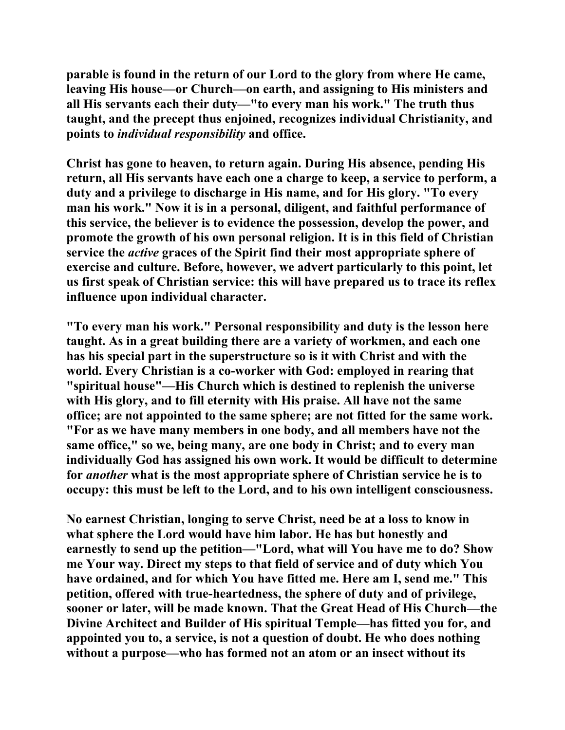**parable is found in the return of our Lord to the glory from where He came, leaving His house—or Church—on earth, and assigning to His ministers and all His servants each their duty—"to every man his work." The truth thus taught, and the precept thus enjoined, recognizes individual Christianity, and points to** *individual responsibility* **and office.** 

**Christ has gone to heaven, to return again. During His absence, pending His return, all His servants have each one a charge to keep, a service to perform, a duty and a privilege to discharge in His name, and for His glory. "To every man his work." Now it is in a personal, diligent, and faithful performance of this service, the believer is to evidence the possession, develop the power, and promote the growth of his own personal religion. It is in this field of Christian service the** *active* **graces of the Spirit find their most appropriate sphere of exercise and culture. Before, however, we advert particularly to this point, let us first speak of Christian service: this will have prepared us to trace its reflex influence upon individual character.** 

**"To every man his work." Personal responsibility and duty is the lesson here taught. As in a great building there are a variety of workmen, and each one has his special part in the superstructure so is it with Christ and with the world. Every Christian is a co-worker with God: employed in rearing that "spiritual house"—His Church which is destined to replenish the universe with His glory, and to fill eternity with His praise. All have not the same office; are not appointed to the same sphere; are not fitted for the same work. "For as we have many members in one body, and all members have not the same office," so we, being many, are one body in Christ; and to every man individually God has assigned his own work. It would be difficult to determine for** *another* **what is the most appropriate sphere of Christian service he is to occupy: this must be left to the Lord, and to his own intelligent consciousness.** 

**No earnest Christian, longing to serve Christ, need be at a loss to know in what sphere the Lord would have him labor. He has but honestly and earnestly to send up the petition—"Lord, what will You have me to do? Show me Your way. Direct my steps to that field of service and of duty which You have ordained, and for which You have fitted me. Here am I, send me." This petition, offered with true-heartedness, the sphere of duty and of privilege, sooner or later, will be made known. That the Great Head of His Church—the Divine Architect and Builder of His spiritual Temple—has fitted you for, and appointed you to, a service, is not a question of doubt. He who does nothing without a purpose—who has formed not an atom or an insect without its**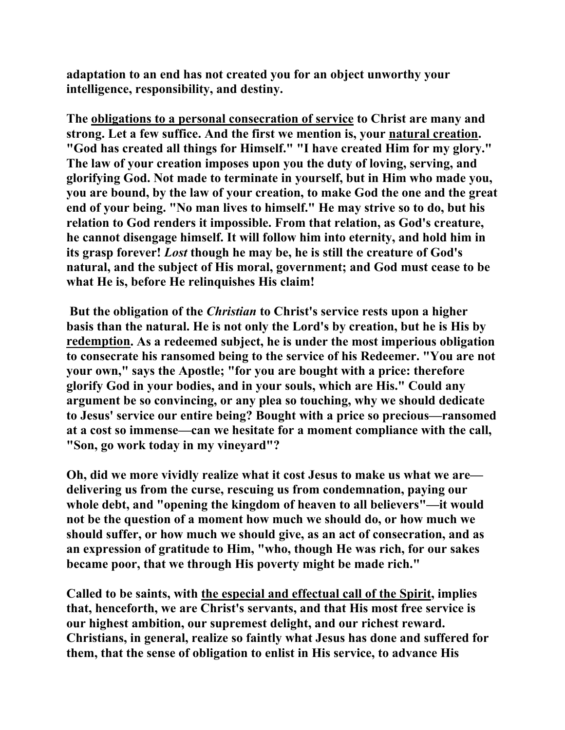**adaptation to an end has not created you for an object unworthy your intelligence, responsibility, and destiny.** 

**The obligations to a personal consecration of service to Christ are many and strong. Let a few suffice. And the first we mention is, your natural creation. "God has created all things for Himself." "I have created Him for my glory." The law of your creation imposes upon you the duty of loving, serving, and glorifying God. Not made to terminate in yourself, but in Him who made you, you are bound, by the law of your creation, to make God the one and the great end of your being. "No man lives to himself." He may strive so to do, but his relation to God renders it impossible. From that relation, as God's creature, he cannot disengage himself. It will follow him into eternity, and hold him in its grasp forever!** *Lost* **though he may be, he is still the creature of God's natural, and the subject of His moral, government; and God must cease to be what He is, before He relinquishes His claim!** 

 **But the obligation of the** *Christian* **to Christ's service rests upon a higher basis than the natural. He is not only the Lord's by creation, but he is His by redemption. As a redeemed subject, he is under the most imperious obligation to consecrate his ransomed being to the service of his Redeemer. "You are not your own," says the Apostle; "for you are bought with a price: therefore glorify God in your bodies, and in your souls, which are His." Could any argument be so convincing, or any plea so touching, why we should dedicate to Jesus' service our entire being? Bought with a price so precious—ransomed at a cost so immense—can we hesitate for a moment compliance with the call, "Son, go work today in my vineyard"?** 

**Oh, did we more vividly realize what it cost Jesus to make us what we are delivering us from the curse, rescuing us from condemnation, paying our whole debt, and "opening the kingdom of heaven to all believers"—it would not be the question of a moment how much we should do, or how much we should suffer, or how much we should give, as an act of consecration, and as an expression of gratitude to Him, "who, though He was rich, for our sakes became poor, that we through His poverty might be made rich."** 

**Called to be saints, with the especial and effectual call of the Spirit, implies that, henceforth, we are Christ's servants, and that His most free service is our highest ambition, our supremest delight, and our richest reward. Christians, in general, realize so faintly what Jesus has done and suffered for them, that the sense of obligation to enlist in His service, to advance His**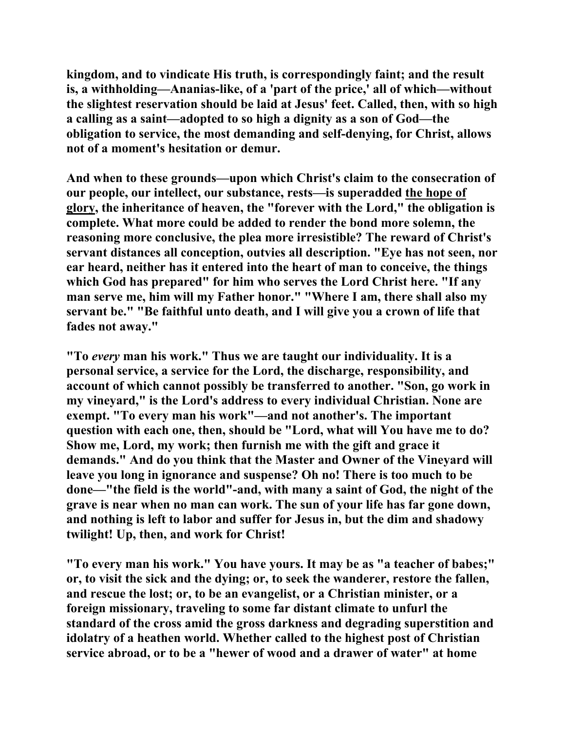**kingdom, and to vindicate His truth, is correspondingly faint; and the result is, a withholding—Ananias-like, of a 'part of the price,' all of which—without the slightest reservation should be laid at Jesus' feet. Called, then, with so high a calling as a saint—adopted to so high a dignity as a son of God—the obligation to service, the most demanding and self-denying, for Christ, allows not of a moment's hesitation or demur.** 

**And when to these grounds—upon which Christ's claim to the consecration of our people, our intellect, our substance, rests—is superadded the hope of glory, the inheritance of heaven, the "forever with the Lord," the obligation is complete. What more could be added to render the bond more solemn, the reasoning more conclusive, the plea more irresistible? The reward of Christ's servant distances all conception, outvies all description. "Eye has not seen, nor ear heard, neither has it entered into the heart of man to conceive, the things which God has prepared" for him who serves the Lord Christ here. "If any man serve me, him will my Father honor." "Where I am, there shall also my servant be." "Be faithful unto death, and I will give you a crown of life that fades not away."** 

**"To** *every* **man his work." Thus we are taught our individuality. It is a personal service, a service for the Lord, the discharge, responsibility, and account of which cannot possibly be transferred to another. "Son, go work in my vineyard," is the Lord's address to every individual Christian. None are exempt. "To every man his work"—and not another's. The important question with each one, then, should be "Lord, what will You have me to do? Show me, Lord, my work; then furnish me with the gift and grace it demands." And do you think that the Master and Owner of the Vineyard will leave you long in ignorance and suspense? Oh no! There is too much to be done—"the field is the world"-and, with many a saint of God, the night of the grave is near when no man can work. The sun of your life has far gone down, and nothing is left to labor and suffer for Jesus in, but the dim and shadowy twilight! Up, then, and work for Christ!** 

**"To every man his work." You have yours. It may be as "a teacher of babes;" or, to visit the sick and the dying; or, to seek the wanderer, restore the fallen, and rescue the lost; or, to be an evangelist, or a Christian minister, or a foreign missionary, traveling to some far distant climate to unfurl the standard of the cross amid the gross darkness and degrading superstition and idolatry of a heathen world. Whether called to the highest post of Christian service abroad, or to be a "hewer of wood and a drawer of water" at home**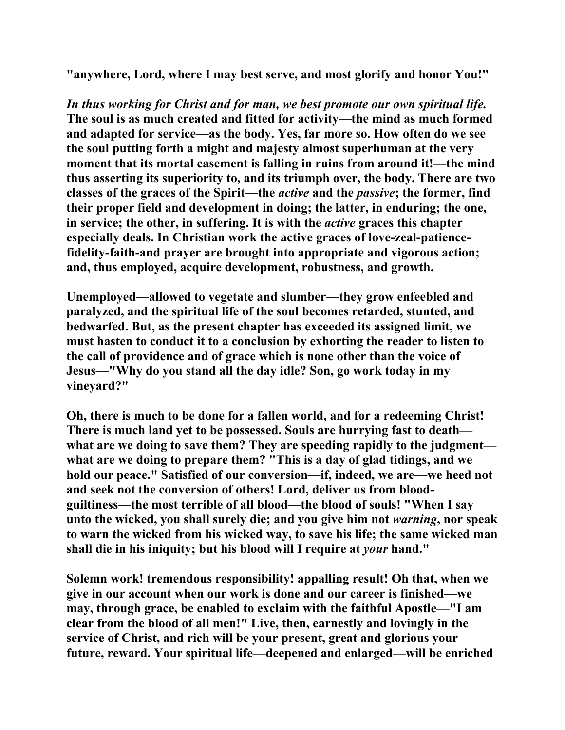**"anywhere, Lord, where I may best serve, and most glorify and honor You!"** 

*In thus working for Christ and for man, we best promote our own spiritual life.*  **The soul is as much created and fitted for activity—the mind as much formed and adapted for service—as the body. Yes, far more so. How often do we see the soul putting forth a might and majesty almost superhuman at the very moment that its mortal casement is falling in ruins from around it!—the mind thus asserting its superiority to, and its triumph over, the body. There are two classes of the graces of the Spirit—the** *active* **and the** *passive***; the former, find their proper field and development in doing; the latter, in enduring; the one, in service; the other, in suffering. It is with the** *active* **graces this chapter especially deals. In Christian work the active graces of love-zeal-patiencefidelity-faith-and prayer are brought into appropriate and vigorous action; and, thus employed, acquire development, robustness, and growth.** 

**Unemployed—allowed to vegetate and slumber—they grow enfeebled and paralyzed, and the spiritual life of the soul becomes retarded, stunted, and bedwarfed. But, as the present chapter has exceeded its assigned limit, we must hasten to conduct it to a conclusion by exhorting the reader to listen to the call of providence and of grace which is none other than the voice of Jesus—"Why do you stand all the day idle? Son, go work today in my vineyard?"** 

**Oh, there is much to be done for a fallen world, and for a redeeming Christ! There is much land yet to be possessed. Souls are hurrying fast to death what are we doing to save them? They are speeding rapidly to the judgment what are we doing to prepare them? "This is a day of glad tidings, and we hold our peace." Satisfied of our conversion—if, indeed, we are—we heed not and seek not the conversion of others! Lord, deliver us from bloodguiltiness—the most terrible of all blood—the blood of souls! "When I say unto the wicked, you shall surely die; and you give him not** *warning***, nor speak to warn the wicked from his wicked way, to save his life; the same wicked man shall die in his iniquity; but his blood will I require at** *your* **hand."** 

**Solemn work! tremendous responsibility! appalling result! Oh that, when we give in our account when our work is done and our career is finished—we may, through grace, be enabled to exclaim with the faithful Apostle—"I am clear from the blood of all men!" Live, then, earnestly and lovingly in the service of Christ, and rich will be your present, great and glorious your future, reward. Your spiritual life—deepened and enlarged—will be enriched**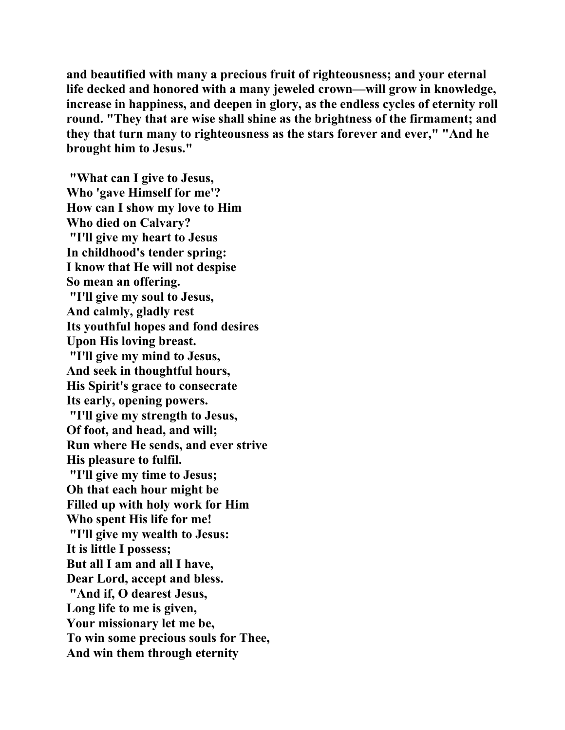**and beautified with many a precious fruit of righteousness; and your eternal life decked and honored with a many jeweled crown—will grow in knowledge, increase in happiness, and deepen in glory, as the endless cycles of eternity roll round. "They that are wise shall shine as the brightness of the firmament; and they that turn many to righteousness as the stars forever and ever," "And he brought him to Jesus."** 

 **"What can I give to Jesus, Who 'gave Himself for me'? How can I show my love to Him Who died on Calvary? "I'll give my heart to Jesus In childhood's tender spring: I know that He will not despise So mean an offering. "I'll give my soul to Jesus, And calmly, gladly rest Its youthful hopes and fond desires Upon His loving breast. "I'll give my mind to Jesus, And seek in thoughtful hours, His Spirit's grace to consecrate Its early, opening powers. "I'll give my strength to Jesus, Of foot, and head, and will; Run where He sends, and ever strive His pleasure to fulfil. "I'll give my time to Jesus; Oh that each hour might be Filled up with holy work for Him Who spent His life for me! "I'll give my wealth to Jesus: It is little I possess; But all I am and all I have, Dear Lord, accept and bless. "And if, O dearest Jesus, Long life to me is given, Your missionary let me be, To win some precious souls for Thee, And win them through eternity**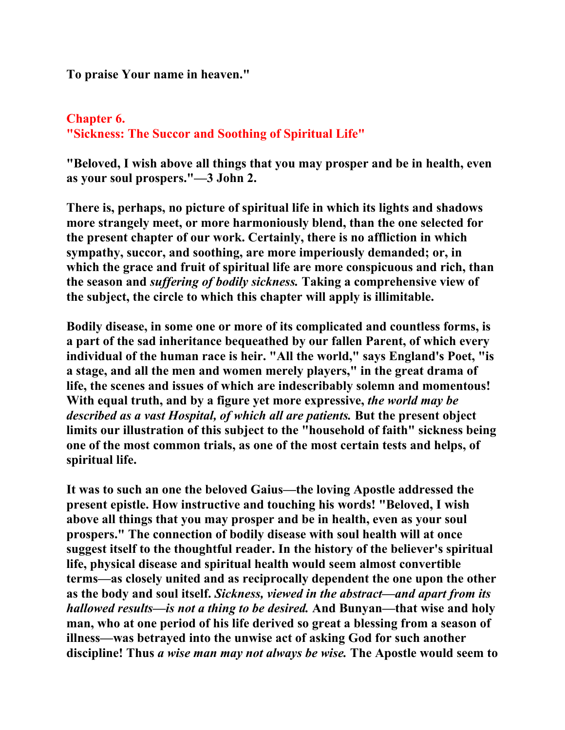**To praise Your name in heaven."** 

# **Chapter 6. "Sickness: The Succor and Soothing of Spiritual Life"**

**"Beloved, I wish above all things that you may prosper and be in health, even as your soul prospers."—3 John 2.** 

**There is, perhaps, no picture of spiritual life in which its lights and shadows more strangely meet, or more harmoniously blend, than the one selected for the present chapter of our work. Certainly, there is no affliction in which sympathy, succor, and soothing, are more imperiously demanded; or, in which the grace and fruit of spiritual life are more conspicuous and rich, than the season and** *suffering of bodily sickness.* **Taking a comprehensive view of the subject, the circle to which this chapter will apply is illimitable.** 

**Bodily disease, in some one or more of its complicated and countless forms, is a part of the sad inheritance bequeathed by our fallen Parent, of which every individual of the human race is heir. "All the world," says England's Poet, "is a stage, and all the men and women merely players," in the great drama of life, the scenes and issues of which are indescribably solemn and momentous! With equal truth, and by a figure yet more expressive,** *the world may be described as a vast Hospital, of which all are patients.* **But the present object limits our illustration of this subject to the "household of faith" sickness being one of the most common trials, as one of the most certain tests and helps, of spiritual life.** 

**It was to such an one the beloved Gaius—the loving Apostle addressed the present epistle. How instructive and touching his words! "Beloved, I wish above all things that you may prosper and be in health, even as your soul prospers." The connection of bodily disease with soul health will at once suggest itself to the thoughtful reader. In the history of the believer's spiritual life, physical disease and spiritual health would seem almost convertible terms—as closely united and as reciprocally dependent the one upon the other as the body and soul itself.** *Sickness, viewed in the abstract—and apart from its hallowed results—is not a thing to be desired.* **And Bunyan—that wise and holy man, who at one period of his life derived so great a blessing from a season of illness—was betrayed into the unwise act of asking God for such another discipline! Thus** *a wise man may not always be wise.* **The Apostle would seem to**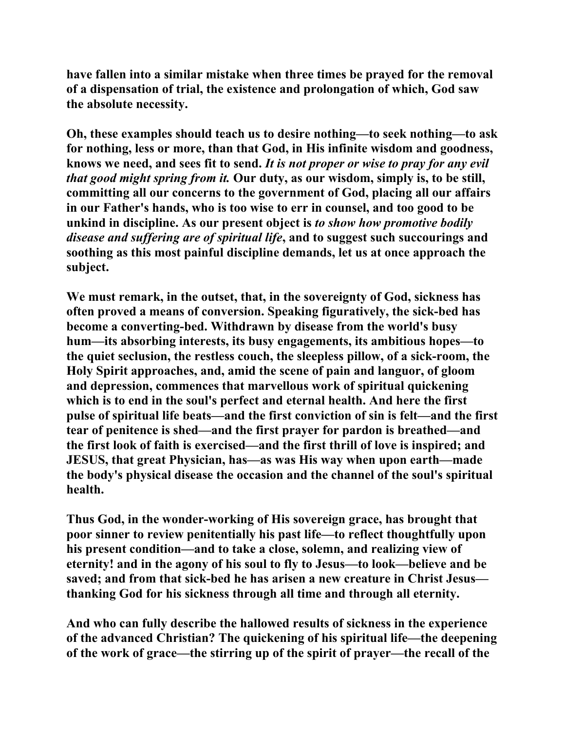**have fallen into a similar mistake when three times be prayed for the removal of a dispensation of trial, the existence and prolongation of which, God saw the absolute necessity.** 

**Oh, these examples should teach us to desire nothing—to seek nothing—to ask for nothing, less or more, than that God, in His infinite wisdom and goodness, knows we need, and sees fit to send.** *It is not proper or wise to pray for any evil that good might spring from it.* **Our duty, as our wisdom, simply is, to be still, committing all our concerns to the government of God, placing all our affairs in our Father's hands, who is too wise to err in counsel, and too good to be unkind in discipline. As our present object is** *to show how promotive bodily disease and suffering are of spiritual life***, and to suggest such succourings and soothing as this most painful discipline demands, let us at once approach the subject.** 

**We must remark, in the outset, that, in the sovereignty of God, sickness has often proved a means of conversion. Speaking figuratively, the sick-bed has become a converting-bed. Withdrawn by disease from the world's busy hum—its absorbing interests, its busy engagements, its ambitious hopes—to the quiet seclusion, the restless couch, the sleepless pillow, of a sick-room, the Holy Spirit approaches, and, amid the scene of pain and languor, of gloom and depression, commences that marvellous work of spiritual quickening which is to end in the soul's perfect and eternal health. And here the first pulse of spiritual life beats—and the first conviction of sin is felt—and the first tear of penitence is shed—and the first prayer for pardon is breathed—and the first look of faith is exercised—and the first thrill of love is inspired; and JESUS, that great Physician, has—as was His way when upon earth—made the body's physical disease the occasion and the channel of the soul's spiritual health.** 

**Thus God, in the wonder-working of His sovereign grace, has brought that poor sinner to review penitentially his past life—to reflect thoughtfully upon his present condition—and to take a close, solemn, and realizing view of eternity! and in the agony of his soul to fly to Jesus—to look—believe and be saved; and from that sick-bed he has arisen a new creature in Christ Jesus thanking God for his sickness through all time and through all eternity.** 

**And who can fully describe the hallowed results of sickness in the experience of the advanced Christian? The quickening of his spiritual life—the deepening of the work of grace—the stirring up of the spirit of prayer—the recall of the**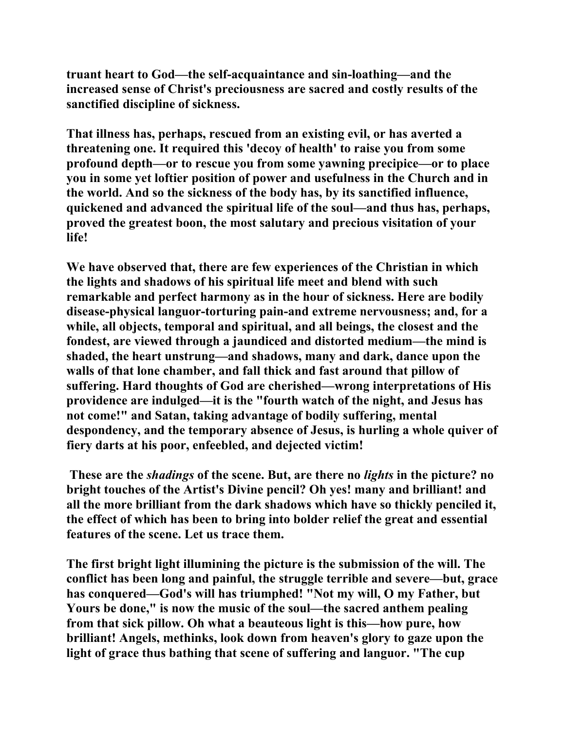**truant heart to God—the self-acquaintance and sin-loathing—and the increased sense of Christ's preciousness are sacred and costly results of the sanctified discipline of sickness.** 

**That illness has, perhaps, rescued from an existing evil, or has averted a threatening one. It required this 'decoy of health' to raise you from some profound depth—or to rescue you from some yawning precipice—or to place you in some yet loftier position of power and usefulness in the Church and in the world. And so the sickness of the body has, by its sanctified influence, quickened and advanced the spiritual life of the soul—and thus has, perhaps, proved the greatest boon, the most salutary and precious visitation of your life!** 

**We have observed that, there are few experiences of the Christian in which the lights and shadows of his spiritual life meet and blend with such remarkable and perfect harmony as in the hour of sickness. Here are bodily disease-physical languor-torturing pain-and extreme nervousness; and, for a while, all objects, temporal and spiritual, and all beings, the closest and the fondest, are viewed through a jaundiced and distorted medium—the mind is shaded, the heart unstrung—and shadows, many and dark, dance upon the walls of that lone chamber, and fall thick and fast around that pillow of suffering. Hard thoughts of God are cherished—wrong interpretations of His providence are indulged—it is the "fourth watch of the night, and Jesus has not come!" and Satan, taking advantage of bodily suffering, mental despondency, and the temporary absence of Jesus, is hurling a whole quiver of fiery darts at his poor, enfeebled, and dejected victim!** 

 **These are the** *shadings* **of the scene. But, are there no** *lights* **in the picture? no bright touches of the Artist's Divine pencil? Oh yes! many and brilliant! and all the more brilliant from the dark shadows which have so thickly penciled it, the effect of which has been to bring into bolder relief the great and essential features of the scene. Let us trace them.** 

**The first bright light illumining the picture is the submission of the will. The conflict has been long and painful, the struggle terrible and severe—but, grace has conquered—God's will has triumphed! "Not my will, O my Father, but Yours be done," is now the music of the soul—the sacred anthem pealing from that sick pillow. Oh what a beauteous light is this—how pure, how brilliant! Angels, methinks, look down from heaven's glory to gaze upon the light of grace thus bathing that scene of suffering and languor. "The cup**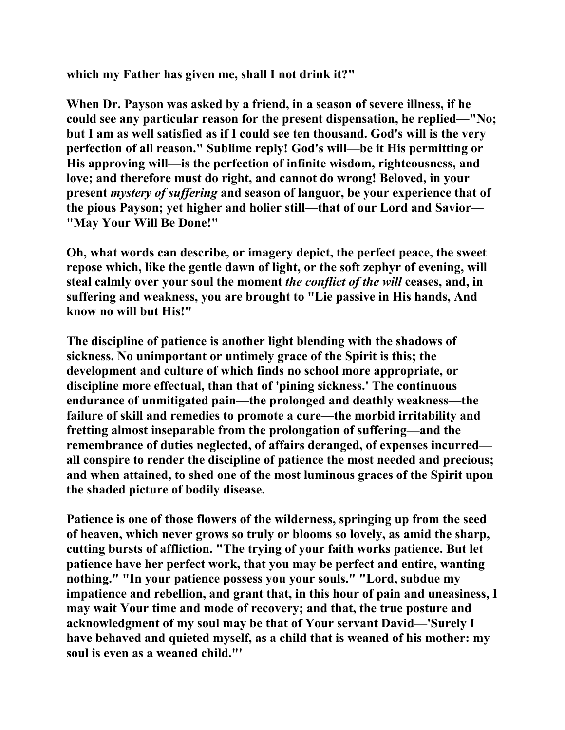**which my Father has given me, shall I not drink it?"** 

**When Dr. Payson was asked by a friend, in a season of severe illness, if he could see any particular reason for the present dispensation, he replied—"No; but I am as well satisfied as if I could see ten thousand. God's will is the very perfection of all reason." Sublime reply! God's will—be it His permitting or His approving will—is the perfection of infinite wisdom, righteousness, and love; and therefore must do right, and cannot do wrong! Beloved, in your present** *mystery of suffering* **and season of languor, be your experience that of the pious Payson; yet higher and holier still—that of our Lord and Savior— "May Your Will Be Done!"** 

**Oh, what words can describe, or imagery depict, the perfect peace, the sweet repose which, like the gentle dawn of light, or the soft zephyr of evening, will steal calmly over your soul the moment** *the conflict of the will* **ceases, and, in suffering and weakness, you are brought to "Lie passive in His hands, And know no will but His!"** 

**The discipline of patience is another light blending with the shadows of sickness. No unimportant or untimely grace of the Spirit is this; the development and culture of which finds no school more appropriate, or discipline more effectual, than that of 'pining sickness.' The continuous endurance of unmitigated pain—the prolonged and deathly weakness—the failure of skill and remedies to promote a cure—the morbid irritability and fretting almost inseparable from the prolongation of suffering—and the remembrance of duties neglected, of affairs deranged, of expenses incurred all conspire to render the discipline of patience the most needed and precious; and when attained, to shed one of the most luminous graces of the Spirit upon the shaded picture of bodily disease.** 

**Patience is one of those flowers of the wilderness, springing up from the seed of heaven, which never grows so truly or blooms so lovely, as amid the sharp, cutting bursts of affliction. "The trying of your faith works patience. But let patience have her perfect work, that you may be perfect and entire, wanting nothing." "In your patience possess you your souls." "Lord, subdue my impatience and rebellion, and grant that, in this hour of pain and uneasiness, I may wait Your time and mode of recovery; and that, the true posture and acknowledgment of my soul may be that of Your servant David—'Surely I have behaved and quieted myself, as a child that is weaned of his mother: my soul is even as a weaned child."'**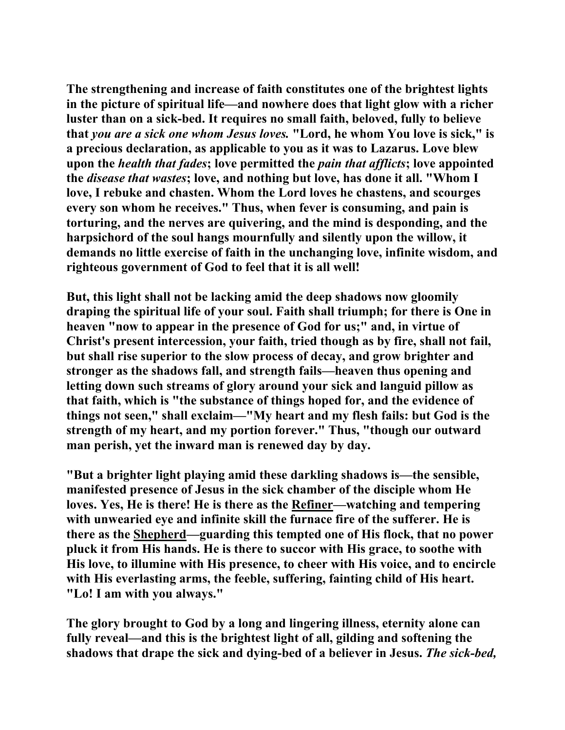**The strengthening and increase of faith constitutes one of the brightest lights in the picture of spiritual life—and nowhere does that light glow with a richer luster than on a sick-bed. It requires no small faith, beloved, fully to believe that** *you are a sick one whom Jesus loves.* **"Lord, he whom You love is sick," is a precious declaration, as applicable to you as it was to Lazarus. Love blew upon the** *health that fades***; love permitted the** *pain that afflicts***; love appointed the** *disease that wastes***; love, and nothing but love, has done it all. "Whom I love, I rebuke and chasten. Whom the Lord loves he chastens, and scourges every son whom he receives." Thus, when fever is consuming, and pain is torturing, and the nerves are quivering, and the mind is desponding, and the harpsichord of the soul hangs mournfully and silently upon the willow, it demands no little exercise of faith in the unchanging love, infinite wisdom, and righteous government of God to feel that it is all well!** 

**But, this light shall not be lacking amid the deep shadows now gloomily draping the spiritual life of your soul. Faith shall triumph; for there is One in heaven "now to appear in the presence of God for us;" and, in virtue of Christ's present intercession, your faith, tried though as by fire, shall not fail, but shall rise superior to the slow process of decay, and grow brighter and stronger as the shadows fall, and strength fails—heaven thus opening and letting down such streams of glory around your sick and languid pillow as that faith, which is "the substance of things hoped for, and the evidence of things not seen," shall exclaim—"My heart and my flesh fails: but God is the strength of my heart, and my portion forever." Thus, "though our outward man perish, yet the inward man is renewed day by day.** 

**"But a brighter light playing amid these darkling shadows is—the sensible, manifested presence of Jesus in the sick chamber of the disciple whom He loves. Yes, He is there! He is there as the Refiner—watching and tempering with unwearied eye and infinite skill the furnace fire of the sufferer. He is there as the Shepherd—guarding this tempted one of His flock, that no power pluck it from His hands. He is there to succor with His grace, to soothe with His love, to illumine with His presence, to cheer with His voice, and to encircle with His everlasting arms, the feeble, suffering, fainting child of His heart. "Lo! I am with you always."** 

**The glory brought to God by a long and lingering illness, eternity alone can fully reveal—and this is the brightest light of all, gilding and softening the shadows that drape the sick and dying-bed of a believer in Jesus.** *The sick-bed,*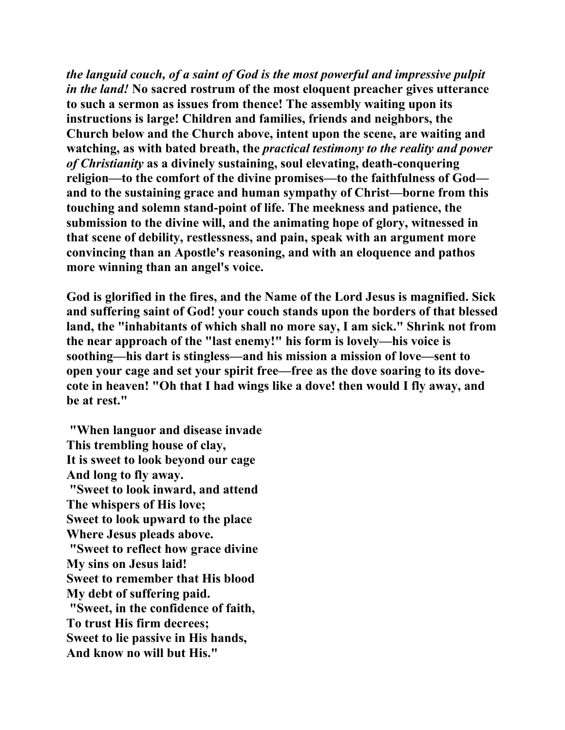*the languid couch, of a saint of God is the most powerful and impressive pulpit in the land!* **No sacred rostrum of the most eloquent preacher gives utterance to such a sermon as issues from thence! The assembly waiting upon its instructions is large! Children and families, friends and neighbors, the Church below and the Church above, intent upon the scene, are waiting and watching, as with bated breath, the** *practical testimony to the reality and power of Christianity* **as a divinely sustaining, soul elevating, death-conquering religion—to the comfort of the divine promises—to the faithfulness of God and to the sustaining grace and human sympathy of Christ—borne from this touching and solemn stand-point of life. The meekness and patience, the submission to the divine will, and the animating hope of glory, witnessed in that scene of debility, restlessness, and pain, speak with an argument more convincing than an Apostle's reasoning, and with an eloquence and pathos more winning than an angel's voice.** 

**God is glorified in the fires, and the Name of the Lord Jesus is magnified. Sick and suffering saint of God! your couch stands upon the borders of that blessed land, the "inhabitants of which shall no more say, I am sick." Shrink not from the near approach of the "last enemy!" his form is lovely—his voice is soothing—his dart is stingless—and his mission a mission of love—sent to open your cage and set your spirit free—free as the dove soaring to its dovecote in heaven! "Oh that I had wings like a dove! then would I fly away, and be at rest."** 

 **"When languor and disease invade This trembling house of clay, It is sweet to look beyond our cage And long to fly away. "Sweet to look inward, and attend The whispers of His love; Sweet to look upward to the place Where Jesus pleads above. "Sweet to reflect how grace divine My sins on Jesus laid! Sweet to remember that His blood My debt of suffering paid. "Sweet, in the confidence of faith, To trust His firm decrees; Sweet to lie passive in His hands, And know no will but His."**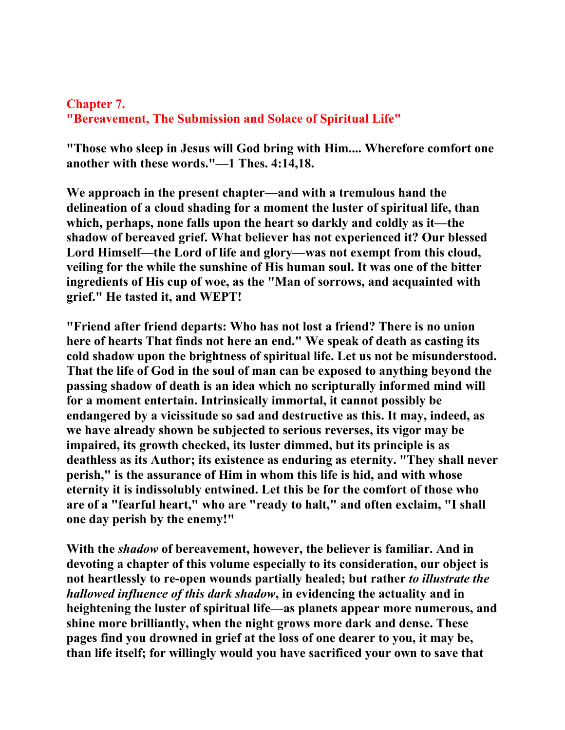## **Chapter 7. "Bereavement, The Submission and Solace of Spiritual Life"**

**"Those who sleep in Jesus will God bring with Him.... Wherefore comfort one another with these words."—1 Thes. 4:14,18.** 

**We approach in the present chapter—and with a tremulous hand the delineation of a cloud shading for a moment the luster of spiritual life, than which, perhaps, none falls upon the heart so darkly and coldly as it—the shadow of bereaved grief. What believer has not experienced it? Our blessed Lord Himself—the Lord of life and glory—was not exempt from this cloud, veiling for the while the sunshine of His human soul. It was one of the bitter ingredients of His cup of woe, as the "Man of sorrows, and acquainted with grief." He tasted it, and WEPT!** 

**"Friend after friend departs: Who has not lost a friend? There is no union here of hearts That finds not here an end." We speak of death as casting its cold shadow upon the brightness of spiritual life. Let us not be misunderstood. That the life of God in the soul of man can be exposed to anything beyond the passing shadow of death is an idea which no scripturally informed mind will for a moment entertain. Intrinsically immortal, it cannot possibly be endangered by a vicissitude so sad and destructive as this. It may, indeed, as we have already shown be subjected to serious reverses, its vigor may be impaired, its growth checked, its luster dimmed, but its principle is as deathless as its Author; its existence as enduring as eternity. "They shall never perish," is the assurance of Him in whom this life is hid, and with whose eternity it is indissolubly entwined. Let this be for the comfort of those who are of a "fearful heart," who are "ready to halt," and often exclaim, "I shall one day perish by the enemy!"** 

**With the** *shadow* **of bereavement, however, the believer is familiar. And in devoting a chapter of this volume especially to its consideration, our object is not heartlessly to re-open wounds partially healed; but rather** *to illustrate the hallowed influence of this dark shadow***, in evidencing the actuality and in heightening the luster of spiritual life—as planets appear more numerous, and shine more brilliantly, when the night grows more dark and dense. These pages find you drowned in grief at the loss of one dearer to you, it may be, than life itself; for willingly would you have sacrificed your own to save that**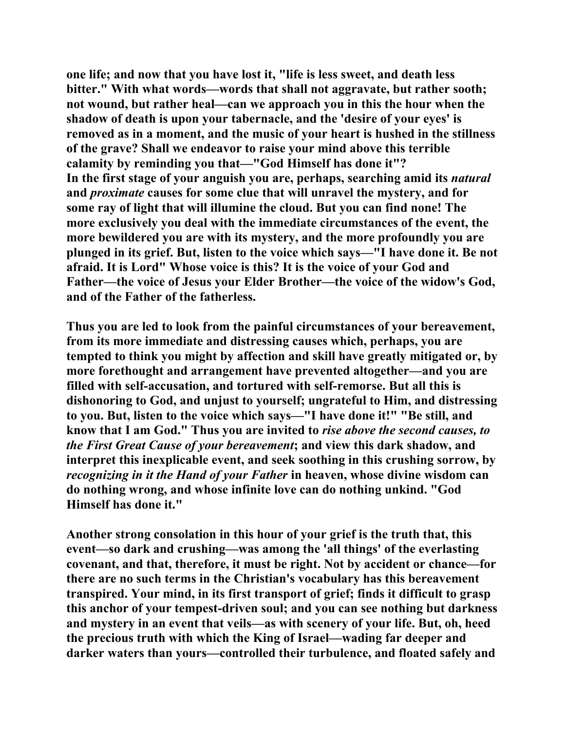**one life; and now that you have lost it, "life is less sweet, and death less bitter." With what words—words that shall not aggravate, but rather sooth; not wound, but rather heal—can we approach you in this the hour when the shadow of death is upon your tabernacle, and the 'desire of your eyes' is removed as in a moment, and the music of your heart is hushed in the stillness of the grave? Shall we endeavor to raise your mind above this terrible calamity by reminding you that—"God Himself has done it"? In the first stage of your anguish you are, perhaps, searching amid its** *natural* **and** *proximate* **causes for some clue that will unravel the mystery, and for some ray of light that will illumine the cloud. But you can find none! The more exclusively you deal with the immediate circumstances of the event, the more bewildered you are with its mystery, and the more profoundly you are plunged in its grief. But, listen to the voice which says—"I have done it. Be not afraid. It is Lord" Whose voice is this? It is the voice of your God and Father—the voice of Jesus your Elder Brother—the voice of the widow's God, and of the Father of the fatherless.** 

**Thus you are led to look from the painful circumstances of your bereavement, from its more immediate and distressing causes which, perhaps, you are tempted to think you might by affection and skill have greatly mitigated or, by more forethought and arrangement have prevented altogether—and you are filled with self-accusation, and tortured with self-remorse. But all this is dishonoring to God, and unjust to yourself; ungrateful to Him, and distressing to you. But, listen to the voice which says—"I have done it!" "Be still, and know that I am God." Thus you are invited to** *rise above the second causes, to the First Great Cause of your bereavement***; and view this dark shadow, and interpret this inexplicable event, and seek soothing in this crushing sorrow, by**  *recognizing in it the Hand of your Father* **in heaven, whose divine wisdom can do nothing wrong, and whose infinite love can do nothing unkind. "God Himself has done it."** 

**Another strong consolation in this hour of your grief is the truth that, this event—so dark and crushing—was among the 'all things' of the everlasting covenant, and that, therefore, it must be right. Not by accident or chance—for there are no such terms in the Christian's vocabulary has this bereavement transpired. Your mind, in its first transport of grief; finds it difficult to grasp this anchor of your tempest-driven soul; and you can see nothing but darkness and mystery in an event that veils—as with scenery of your life. But, oh, heed the precious truth with which the King of Israel—wading far deeper and darker waters than yours—controlled their turbulence, and floated safely and**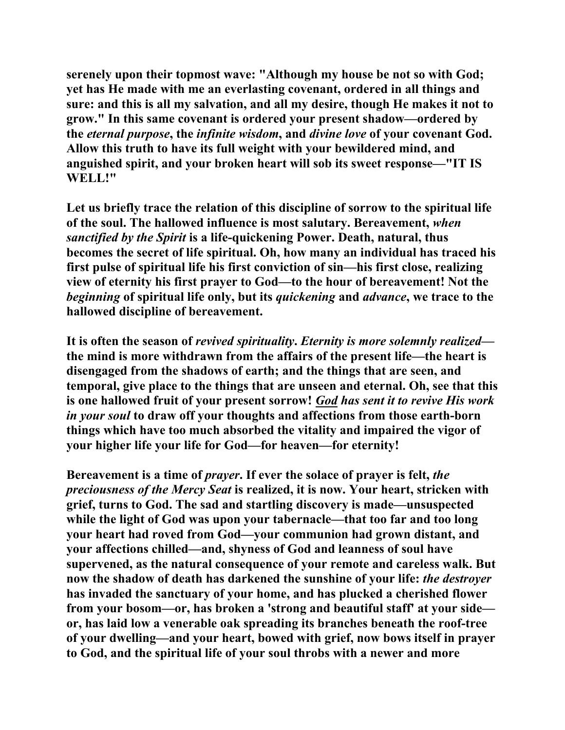**serenely upon their topmost wave: "Although my house be not so with God; yet has He made with me an everlasting covenant, ordered in all things and sure: and this is all my salvation, and all my desire, though He makes it not to grow." In this same covenant is ordered your present shadow—ordered by the** *eternal purpose***, the** *infinite wisdom***, and** *divine love* **of your covenant God. Allow this truth to have its full weight with your bewildered mind, and anguished spirit, and your broken heart will sob its sweet response—"IT IS WELL!"** 

**Let us briefly trace the relation of this discipline of sorrow to the spiritual life of the soul. The hallowed influence is most salutary. Bereavement,** *when sanctified by the Spirit* **is a life-quickening Power. Death, natural, thus becomes the secret of life spiritual. Oh, how many an individual has traced his first pulse of spiritual life his first conviction of sin—his first close, realizing view of eternity his first prayer to God—to the hour of bereavement! Not the**  *beginning* **of spiritual life only, but its** *quickening* **and** *advance***, we trace to the hallowed discipline of bereavement.** 

**It is often the season of** *revived spirituality***.** *Eternity is more solemnly realized* **the mind is more withdrawn from the affairs of the present life—the heart is disengaged from the shadows of earth; and the things that are seen, and temporal, give place to the things that are unseen and eternal. Oh, see that this is one hallowed fruit of your present sorrow!** *God has sent it to revive His work in your soul* **to draw off your thoughts and affections from those earth-born things which have too much absorbed the vitality and impaired the vigor of your higher life your life for God—for heaven—for eternity!** 

**Bereavement is a time of** *prayer***. If ever the solace of prayer is felt,** *the preciousness of the Mercy Seat* **is realized, it is now. Your heart, stricken with grief, turns to God. The sad and startling discovery is made—unsuspected while the light of God was upon your tabernacle—that too far and too long your heart had roved from God—your communion had grown distant, and your affections chilled—and, shyness of God and leanness of soul have supervened, as the natural consequence of your remote and careless walk. But now the shadow of death has darkened the sunshine of your life:** *the destroyer* **has invaded the sanctuary of your home, and has plucked a cherished flower from your bosom—or, has broken a 'strong and beautiful staff' at your side or, has laid low a venerable oak spreading its branches beneath the roof-tree of your dwelling—and your heart, bowed with grief, now bows itself in prayer to God, and the spiritual life of your soul throbs with a newer and more**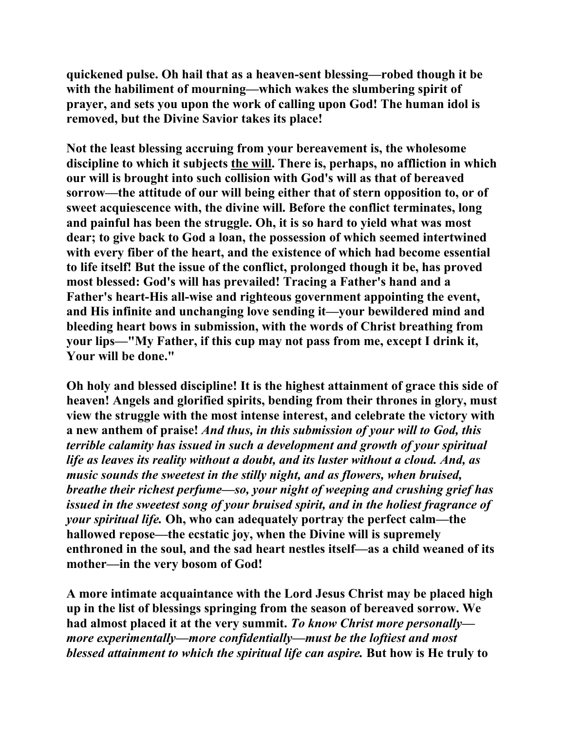**quickened pulse. Oh hail that as a heaven-sent blessing—robed though it be with the habiliment of mourning—which wakes the slumbering spirit of prayer, and sets you upon the work of calling upon God! The human idol is removed, but the Divine Savior takes its place!** 

**Not the least blessing accruing from your bereavement is, the wholesome discipline to which it subjects the will. There is, perhaps, no affliction in which our will is brought into such collision with God's will as that of bereaved sorrow—the attitude of our will being either that of stern opposition to, or of sweet acquiescence with, the divine will. Before the conflict terminates, long and painful has been the struggle. Oh, it is so hard to yield what was most dear; to give back to God a loan, the possession of which seemed intertwined with every fiber of the heart, and the existence of which had become essential to life itself! But the issue of the conflict, prolonged though it be, has proved most blessed: God's will has prevailed! Tracing a Father's hand and a Father's heart-His all-wise and righteous government appointing the event, and His infinite and unchanging love sending it—your bewildered mind and bleeding heart bows in submission, with the words of Christ breathing from your lips—"My Father, if this cup may not pass from me, except I drink it, Your will be done."** 

**Oh holy and blessed discipline! It is the highest attainment of grace this side of heaven! Angels and glorified spirits, bending from their thrones in glory, must view the struggle with the most intense interest, and celebrate the victory with a new anthem of praise!** *And thus, in this submission of your will to God, this terrible calamity has issued in such a development and growth of your spiritual life as leaves its reality without a doubt, and its luster without a cloud. And, as music sounds the sweetest in the stilly night, and as flowers, when bruised, breathe their richest perfume—so, your night of weeping and crushing grief has issued in the sweetest song of your bruised spirit, and in the holiest fragrance of your spiritual life.* **Oh, who can adequately portray the perfect calm—the hallowed repose—the ecstatic joy, when the Divine will is supremely enthroned in the soul, and the sad heart nestles itself—as a child weaned of its mother—in the very bosom of God!** 

**A more intimate acquaintance with the Lord Jesus Christ may be placed high up in the list of blessings springing from the season of bereaved sorrow. We had almost placed it at the very summit.** *To know Christ more personally more experimentally—more confidentially—must be the loftiest and most blessed attainment to which the spiritual life can aspire.* **But how is He truly to**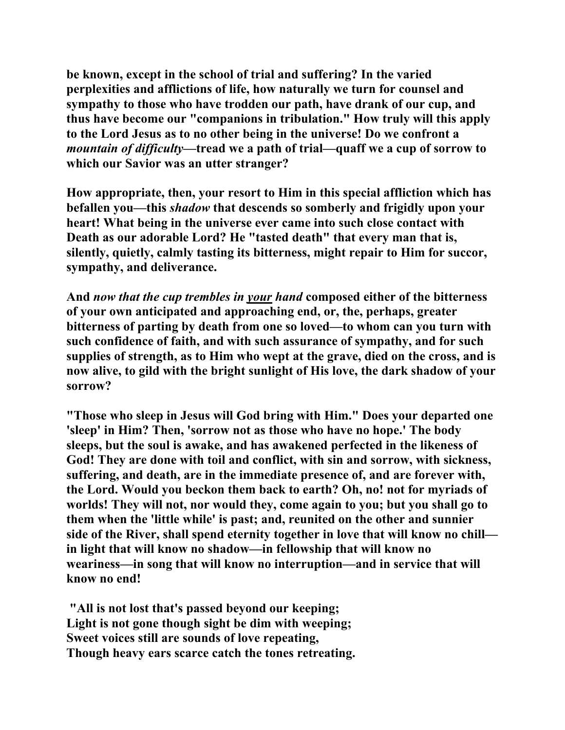**be known, except in the school of trial and suffering? In the varied perplexities and afflictions of life, how naturally we turn for counsel and sympathy to those who have trodden our path, have drank of our cup, and thus have become our "companions in tribulation." How truly will this apply to the Lord Jesus as to no other being in the universe! Do we confront a**  *mountain of difficulty—***tread we a path of trial—quaff we a cup of sorrow to which our Savior was an utter stranger?** 

**How appropriate, then, your resort to Him in this special affliction which has befallen you—this** *shadow* **that descends so somberly and frigidly upon your heart! What being in the universe ever came into such close contact with Death as our adorable Lord? He "tasted death" that every man that is, silently, quietly, calmly tasting its bitterness, might repair to Him for succor, sympathy, and deliverance.** 

**And** *now that the cup trembles in your hand* **composed either of the bitterness of your own anticipated and approaching end, or, the, perhaps, greater bitterness of parting by death from one so loved—to whom can you turn with such confidence of faith, and with such assurance of sympathy, and for such supplies of strength, as to Him who wept at the grave, died on the cross, and is now alive, to gild with the bright sunlight of His love, the dark shadow of your sorrow?** 

**"Those who sleep in Jesus will God bring with Him." Does your departed one 'sleep' in Him? Then, 'sorrow not as those who have no hope.' The body sleeps, but the soul is awake, and has awakened perfected in the likeness of God! They are done with toil and conflict, with sin and sorrow, with sickness, suffering, and death, are in the immediate presence of, and are forever with, the Lord. Would you beckon them back to earth? Oh, no! not for myriads of worlds! They will not, nor would they, come again to you; but you shall go to them when the 'little while' is past; and, reunited on the other and sunnier side of the River, shall spend eternity together in love that will know no chill in light that will know no shadow—in fellowship that will know no weariness—in song that will know no interruption—and in service that will know no end!** 

 **"All is not lost that's passed beyond our keeping; Light is not gone though sight be dim with weeping; Sweet voices still are sounds of love repeating, Though heavy ears scarce catch the tones retreating.**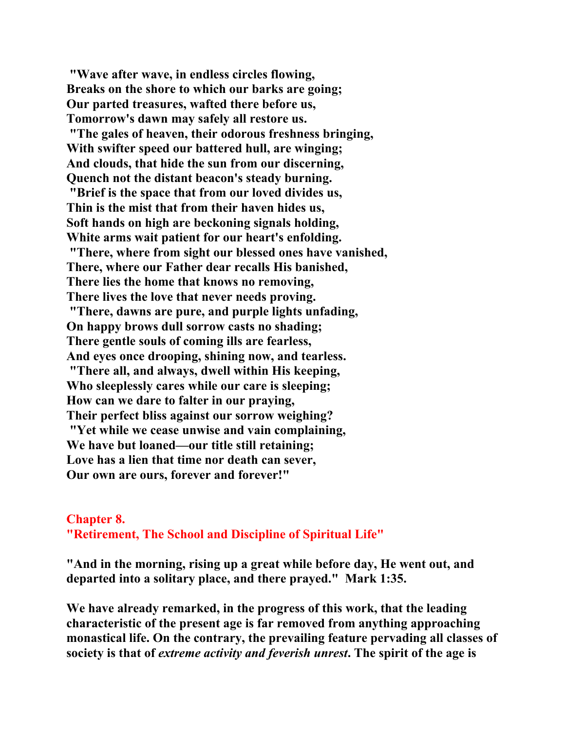**"Wave after wave, in endless circles flowing, Breaks on the shore to which our barks are going; Our parted treasures, wafted there before us, Tomorrow's dawn may safely all restore us. "The gales of heaven, their odorous freshness bringing, With swifter speed our battered hull, are winging; And clouds, that hide the sun from our discerning, Quench not the distant beacon's steady burning. "Brief is the space that from our loved divides us, Thin is the mist that from their haven hides us, Soft hands on high are beckoning signals holding, White arms wait patient for our heart's enfolding. "There, where from sight our blessed ones have vanished, There, where our Father dear recalls His banished, There lies the home that knows no removing, There lives the love that never needs proving. "There, dawns are pure, and purple lights unfading, On happy brows dull sorrow casts no shading; There gentle souls of coming ills are fearless, And eyes once drooping, shining now, and tearless. "There all, and always, dwell within His keeping, Who sleeplessly cares while our care is sleeping; How can we dare to falter in our praying, Their perfect bliss against our sorrow weighing? "Yet while we cease unwise and vain complaining, We have but loaned—our title still retaining; Love has a lien that time nor death can sever, Our own are ours, forever and forever!"** 

### **Chapter 8. "Retirement, The School and Discipline of Spiritual Life"**

**"And in the morning, rising up a great while before day, He went out, and departed into a solitary place, and there prayed." Mark 1:35.** 

**We have already remarked, in the progress of this work, that the leading characteristic of the present age is far removed from anything approaching monastical life. On the contrary, the prevailing feature pervading all classes of society is that of** *extreme activity and feverish unrest***. The spirit of the age is**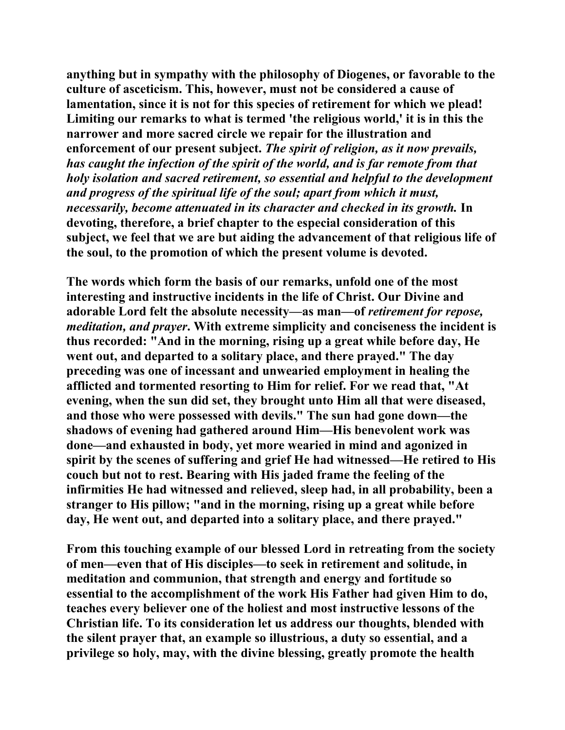**anything but in sympathy with the philosophy of Diogenes, or favorable to the culture of asceticism. This, however, must not be considered a cause of lamentation, since it is not for this species of retirement for which we plead! Limiting our remarks to what is termed 'the religious world,' it is in this the narrower and more sacred circle we repair for the illustration and enforcement of our present subject.** *The spirit of religion, as it now prevails, has caught the infection of the spirit of the world, and is far remote from that holy isolation and sacred retirement, so essential and helpful to the development and progress of the spiritual life of the soul; apart from which it must, necessarily, become attenuated in its character and checked in its growth.* In **devoting, therefore, a brief chapter to the especial consideration of this subject, we feel that we are but aiding the advancement of that religious life of the soul, to the promotion of which the present volume is devoted.** 

**The words which form the basis of our remarks, unfold one of the most interesting and instructive incidents in the life of Christ. Our Divine and adorable Lord felt the absolute necessity—as man—of** *retirement for repose, meditation, and prayer***. With extreme simplicity and conciseness the incident is thus recorded: "And in the morning, rising up a great while before day, He went out, and departed to a solitary place, and there prayed." The day preceding was one of incessant and unwearied employment in healing the afflicted and tormented resorting to Him for relief. For we read that, "At evening, when the sun did set, they brought unto Him all that were diseased, and those who were possessed with devils." The sun had gone down—the shadows of evening had gathered around Him—His benevolent work was done—and exhausted in body, yet more wearied in mind and agonized in spirit by the scenes of suffering and grief He had witnessed—He retired to His couch but not to rest. Bearing with His jaded frame the feeling of the infirmities He had witnessed and relieved, sleep had, in all probability, been a stranger to His pillow; "and in the morning, rising up a great while before day, He went out, and departed into a solitary place, and there prayed."** 

**From this touching example of our blessed Lord in retreating from the society of men—even that of His disciples—to seek in retirement and solitude, in meditation and communion, that strength and energy and fortitude so essential to the accomplishment of the work His Father had given Him to do, teaches every believer one of the holiest and most instructive lessons of the Christian life. To its consideration let us address our thoughts, blended with the silent prayer that, an example so illustrious, a duty so essential, and a privilege so holy, may, with the divine blessing, greatly promote the health**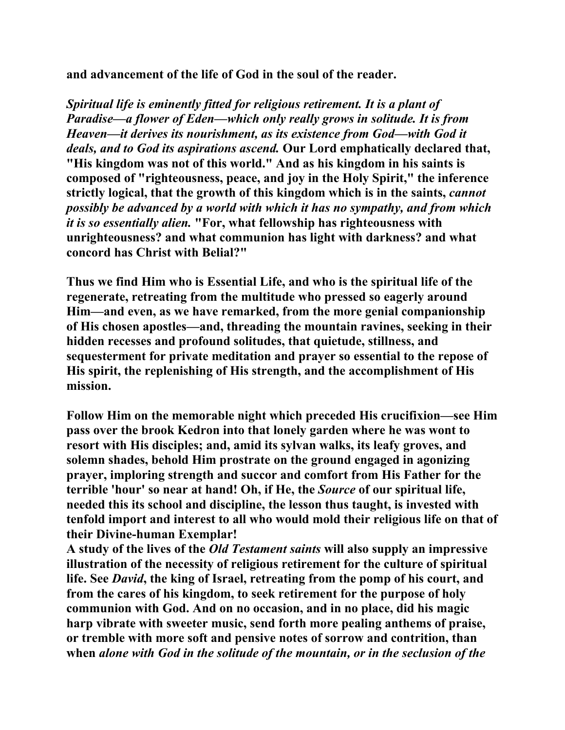**and advancement of the life of God in the soul of the reader.** 

*Spiritual life is eminently fitted for religious retirement. It is a plant of Paradise—a flower of Eden—which only really grows in solitude. It is from Heaven—it derives its nourishment, as its existence from God—with God it deals, and to God its aspirations ascend.* **Our Lord emphatically declared that, "His kingdom was not of this world." And as his kingdom in his saints is composed of "righteousness, peace, and joy in the Holy Spirit," the inference strictly logical, that the growth of this kingdom which is in the saints,** *cannot possibly be advanced by a world with which it has no sympathy, and from which it is so essentially alien.* **"For, what fellowship has righteousness with unrighteousness? and what communion has light with darkness? and what concord has Christ with Belial?"** 

**Thus we find Him who is Essential Life, and who is the spiritual life of the regenerate, retreating from the multitude who pressed so eagerly around Him—and even, as we have remarked, from the more genial companionship of His chosen apostles—and, threading the mountain ravines, seeking in their hidden recesses and profound solitudes, that quietude, stillness, and sequesterment for private meditation and prayer so essential to the repose of His spirit, the replenishing of His strength, and the accomplishment of His mission.** 

**Follow Him on the memorable night which preceded His crucifixion—see Him pass over the brook Kedron into that lonely garden where he was wont to resort with His disciples; and, amid its sylvan walks, its leafy groves, and solemn shades, behold Him prostrate on the ground engaged in agonizing prayer, imploring strength and succor and comfort from His Father for the terrible 'hour' so near at hand! Oh, if He, the** *Source* **of our spiritual life, needed this its school and discipline, the lesson thus taught, is invested with tenfold import and interest to all who would mold their religious life on that of their Divine-human Exemplar!** 

**A study of the lives of the** *Old Testament saints* **will also supply an impressive illustration of the necessity of religious retirement for the culture of spiritual life. See** *David***, the king of Israel, retreating from the pomp of his court, and from the cares of his kingdom, to seek retirement for the purpose of holy communion with God. And on no occasion, and in no place, did his magic harp vibrate with sweeter music, send forth more pealing anthems of praise, or tremble with more soft and pensive notes of sorrow and contrition, than when** *alone with God in the solitude of the mountain, or in the seclusion of the*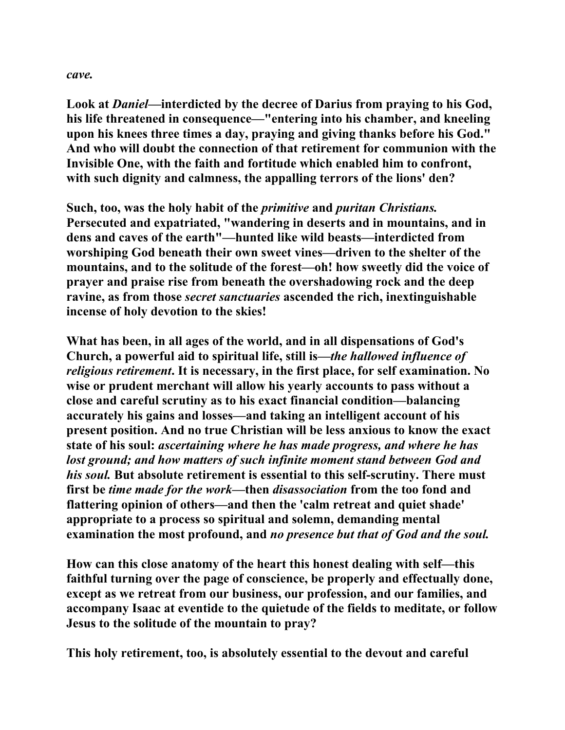#### *cave.*

**Look at** *Daniel***—interdicted by the decree of Darius from praying to his God, his life threatened in consequence—"entering into his chamber, and kneeling upon his knees three times a day, praying and giving thanks before his God." And who will doubt the connection of that retirement for communion with the Invisible One, with the faith and fortitude which enabled him to confront, with such dignity and calmness, the appalling terrors of the lions' den?** 

**Such, too, was the holy habit of the** *primitive* **and** *puritan Christians.*  **Persecuted and expatriated, "wandering in deserts and in mountains, and in dens and caves of the earth"—hunted like wild beasts—interdicted from worshiping God beneath their own sweet vines—driven to the shelter of the mountains, and to the solitude of the forest—oh! how sweetly did the voice of prayer and praise rise from beneath the overshadowing rock and the deep ravine, as from those** *secret sanctuaries* **ascended the rich, inextinguishable incense of holy devotion to the skies!** 

**What has been, in all ages of the world, and in all dispensations of God's Church, a powerful aid to spiritual life, still is—***the hallowed influence of religious retirement***. It is necessary, in the first place, for self examination. No wise or prudent merchant will allow his yearly accounts to pass without a close and careful scrutiny as to his exact financial condition—balancing accurately his gains and losses—and taking an intelligent account of his present position. And no true Christian will be less anxious to know the exact state of his soul:** *ascertaining where he has made progress, and where he has lost ground; and how matters of such infinite moment stand between God and his soul.* **But absolute retirement is essential to this self-scrutiny. There must first be** *time made for the work***—then** *disassociation* **from the too fond and flattering opinion of others—and then the 'calm retreat and quiet shade' appropriate to a process so spiritual and solemn, demanding mental examination the most profound, and** *no presence but that of God and the soul.* 

**How can this close anatomy of the heart this honest dealing with self—this faithful turning over the page of conscience, be properly and effectually done, except as we retreat from our business, our profession, and our families, and accompany Isaac at eventide to the quietude of the fields to meditate, or follow Jesus to the solitude of the mountain to pray?** 

**This holy retirement, too, is absolutely essential to the devout and careful**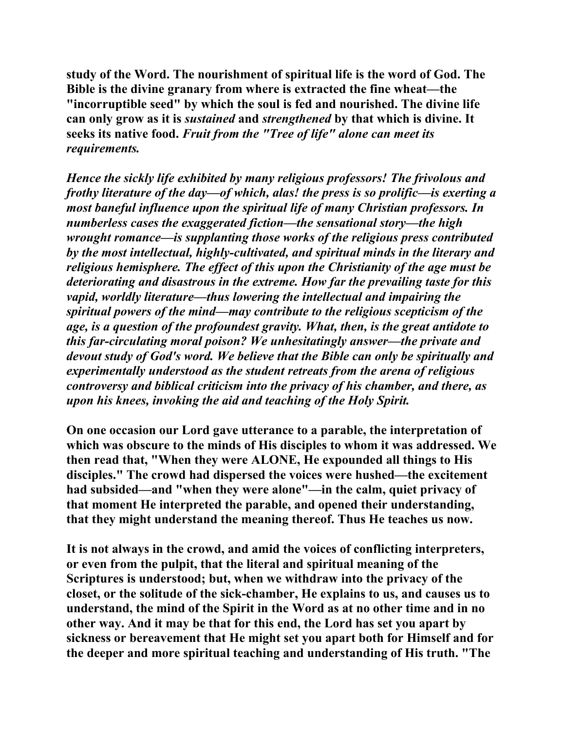**study of the Word. The nourishment of spiritual life is the word of God. The Bible is the divine granary from where is extracted the fine wheat—the "incorruptible seed" by which the soul is fed and nourished. The divine life can only grow as it is** *sustained* **and** *strengthened* **by that which is divine. It seeks its native food.** *Fruit from the "Tree of life" alone can meet its requirements.* 

*Hence the sickly life exhibited by many religious professors! The frivolous and frothy literature of the day—of which, alas! the press is so prolific—is exerting a most baneful influence upon the spiritual life of many Christian professors. In numberless cases the exaggerated fiction—the sensational story—the high wrought romance—is supplanting those works of the religious press contributed by the most intellectual, highly-cultivated, and spiritual minds in the literary and religious hemisphere. The effect of this upon the Christianity of the age must be deteriorating and disastrous in the extreme. How far the prevailing taste for this vapid, worldly literature—thus lowering the intellectual and impairing the spiritual powers of the mind—may contribute to the religious scepticism of the age, is a question of the profoundest gravity. What, then, is the great antidote to this far-circulating moral poison? We unhesitatingly answer—the private and devout study of God's word. We believe that the Bible can only be spiritually and experimentally understood as the student retreats from the arena of religious controversy and biblical criticism into the privacy of his chamber, and there, as upon his knees, invoking the aid and teaching of the Holy Spirit.* 

**On one occasion our Lord gave utterance to a parable, the interpretation of which was obscure to the minds of His disciples to whom it was addressed. We then read that, "When they were ALONE, He expounded all things to His disciples." The crowd had dispersed the voices were hushed—the excitement had subsided—and "when they were alone"—in the calm, quiet privacy of that moment He interpreted the parable, and opened their understanding, that they might understand the meaning thereof. Thus He teaches us now.** 

**It is not always in the crowd, and amid the voices of conflicting interpreters, or even from the pulpit, that the literal and spiritual meaning of the Scriptures is understood; but, when we withdraw into the privacy of the closet, or the solitude of the sick-chamber, He explains to us, and causes us to understand, the mind of the Spirit in the Word as at no other time and in no other way. And it may be that for this end, the Lord has set you apart by sickness or bereavement that He might set you apart both for Himself and for the deeper and more spiritual teaching and understanding of His truth. "The**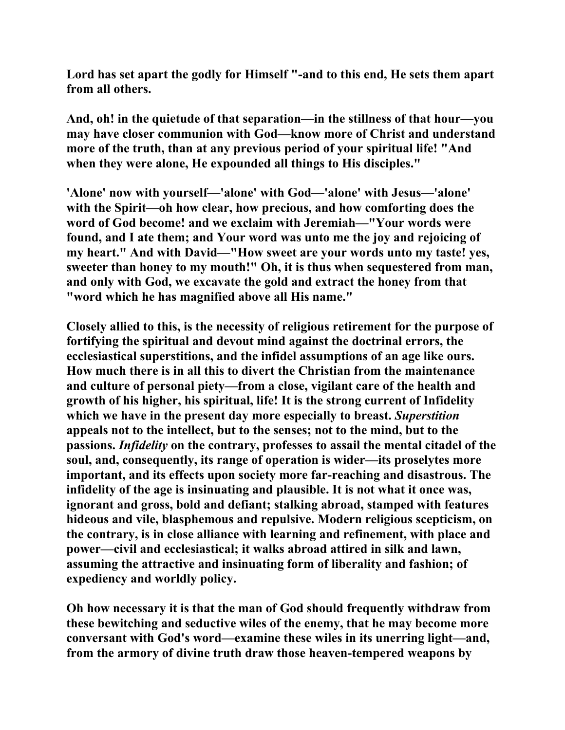**Lord has set apart the godly for Himself "-and to this end, He sets them apart from all others.** 

**And, oh! in the quietude of that separation—in the stillness of that hour—you may have closer communion with God—know more of Christ and understand more of the truth, than at any previous period of your spiritual life! "And when they were alone, He expounded all things to His disciples."** 

**'Alone' now with yourself—'alone' with God—'alone' with Jesus—'alone' with the Spirit—oh how clear, how precious, and how comforting does the word of God become! and we exclaim with Jeremiah—"Your words were found, and I ate them; and Your word was unto me the joy and rejoicing of my heart." And with David—"How sweet are your words unto my taste! yes, sweeter than honey to my mouth!" Oh, it is thus when sequestered from man, and only with God, we excavate the gold and extract the honey from that "word which he has magnified above all His name."** 

**Closely allied to this, is the necessity of religious retirement for the purpose of fortifying the spiritual and devout mind against the doctrinal errors, the ecclesiastical superstitions, and the infidel assumptions of an age like ours. How much there is in all this to divert the Christian from the maintenance and culture of personal piety—from a close, vigilant care of the health and growth of his higher, his spiritual, life! It is the strong current of Infidelity which we have in the present day more especially to breast.** *Superstition* **appeals not to the intellect, but to the senses; not to the mind, but to the passions.** *Infidelity* **on the contrary, professes to assail the mental citadel of the soul, and, consequently, its range of operation is wider—its proselytes more important, and its effects upon society more far-reaching and disastrous. The infidelity of the age is insinuating and plausible. It is not what it once was, ignorant and gross, bold and defiant; stalking abroad, stamped with features hideous and vile, blasphemous and repulsive. Modern religious scepticism, on the contrary, is in close alliance with learning and refinement, with place and power—civil and ecclesiastical; it walks abroad attired in silk and lawn, assuming the attractive and insinuating form of liberality and fashion; of expediency and worldly policy.** 

**Oh how necessary it is that the man of God should frequently withdraw from these bewitching and seductive wiles of the enemy, that he may become more conversant with God's word—examine these wiles in its unerring light—and, from the armory of divine truth draw those heaven-tempered weapons by**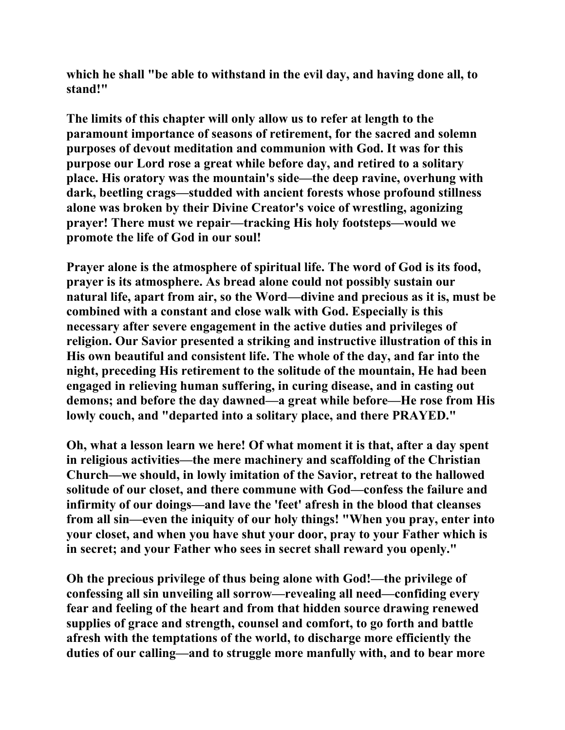**which he shall "be able to withstand in the evil day, and having done all, to stand!"** 

**The limits of this chapter will only allow us to refer at length to the paramount importance of seasons of retirement, for the sacred and solemn purposes of devout meditation and communion with God. It was for this purpose our Lord rose a great while before day, and retired to a solitary place. His oratory was the mountain's side—the deep ravine, overhung with dark, beetling crags—studded with ancient forests whose profound stillness alone was broken by their Divine Creator's voice of wrestling, agonizing prayer! There must we repair—tracking His holy footsteps—would we promote the life of God in our soul!** 

**Prayer alone is the atmosphere of spiritual life. The word of God is its food, prayer is its atmosphere. As bread alone could not possibly sustain our natural life, apart from air, so the Word—divine and precious as it is, must be combined with a constant and close walk with God. Especially is this necessary after severe engagement in the active duties and privileges of religion. Our Savior presented a striking and instructive illustration of this in His own beautiful and consistent life. The whole of the day, and far into the night, preceding His retirement to the solitude of the mountain, He had been engaged in relieving human suffering, in curing disease, and in casting out demons; and before the day dawned—a great while before—He rose from His lowly couch, and "departed into a solitary place, and there PRAYED."** 

**Oh, what a lesson learn we here! Of what moment it is that, after a day spent in religious activities—the mere machinery and scaffolding of the Christian Church—we should, in lowly imitation of the Savior, retreat to the hallowed solitude of our closet, and there commune with God—confess the failure and infirmity of our doings—and lave the 'feet' afresh in the blood that cleanses from all sin—even the iniquity of our holy things! "When you pray, enter into your closet, and when you have shut your door, pray to your Father which is in secret; and your Father who sees in secret shall reward you openly."** 

**Oh the precious privilege of thus being alone with God!—the privilege of confessing all sin unveiling all sorrow—revealing all need—confiding every fear and feeling of the heart and from that hidden source drawing renewed supplies of grace and strength, counsel and comfort, to go forth and battle afresh with the temptations of the world, to discharge more efficiently the duties of our calling—and to struggle more manfully with, and to bear more**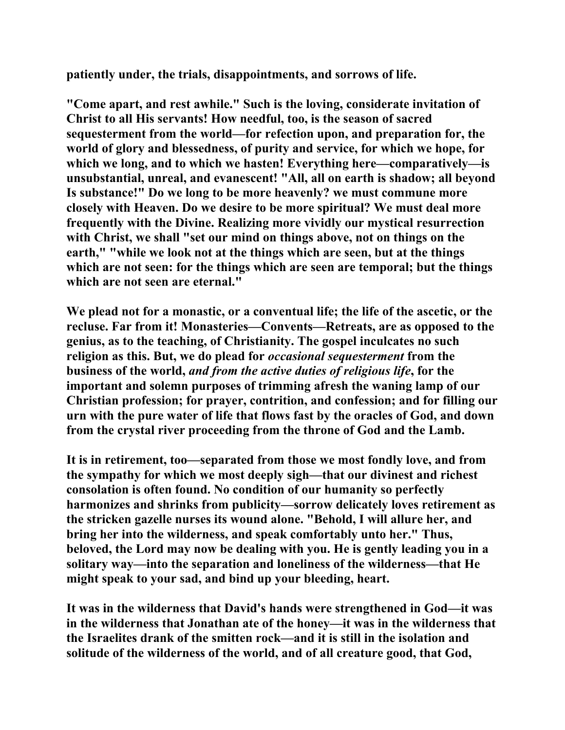**patiently under, the trials, disappointments, and sorrows of life.** 

**"Come apart, and rest awhile." Such is the loving, considerate invitation of Christ to all His servants! How needful, too, is the season of sacred sequesterment from the world—for refection upon, and preparation for, the world of glory and blessedness, of purity and service, for which we hope, for which we long, and to which we hasten! Everything here—comparatively—is unsubstantial, unreal, and evanescent! "All, all on earth is shadow; all beyond Is substance!" Do we long to be more heavenly? we must commune more closely with Heaven. Do we desire to be more spiritual? We must deal more frequently with the Divine. Realizing more vividly our mystical resurrection with Christ, we shall "set our mind on things above, not on things on the earth," "while we look not at the things which are seen, but at the things which are not seen: for the things which are seen are temporal; but the things which are not seen are eternal."** 

**We plead not for a monastic, or a conventual life; the life of the ascetic, or the recluse. Far from it! Monasteries—Convents—Retreats, are as opposed to the genius, as to the teaching, of Christianity. The gospel inculcates no such religion as this. But, we do plead for** *occasional sequesterment* **from the business of the world,** *and from the active duties of religious life***, for the important and solemn purposes of trimming afresh the waning lamp of our Christian profession; for prayer, contrition, and confession; and for filling our urn with the pure water of life that flows fast by the oracles of God, and down from the crystal river proceeding from the throne of God and the Lamb.** 

**It is in retirement, too—separated from those we most fondly love, and from the sympathy for which we most deeply sigh—that our divinest and richest consolation is often found. No condition of our humanity so perfectly harmonizes and shrinks from publicity—sorrow delicately loves retirement as the stricken gazelle nurses its wound alone. "Behold, I will allure her, and bring her into the wilderness, and speak comfortably unto her." Thus, beloved, the Lord may now be dealing with you. He is gently leading you in a solitary way—into the separation and loneliness of the wilderness—that He might speak to your sad, and bind up your bleeding, heart.** 

**It was in the wilderness that David's hands were strengthened in God—it was in the wilderness that Jonathan ate of the honey—it was in the wilderness that the Israelites drank of the smitten rock—and it is still in the isolation and solitude of the wilderness of the world, and of all creature good, that God,**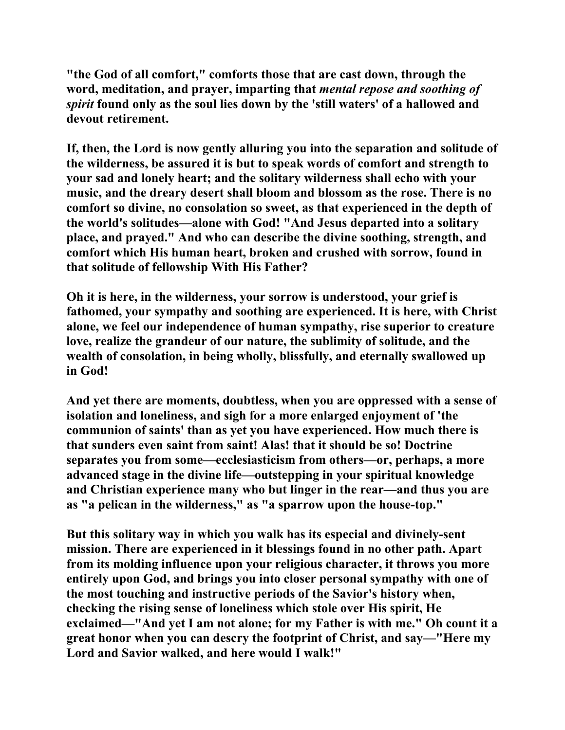**"the God of all comfort," comforts those that are cast down, through the word, meditation, and prayer, imparting that** *mental repose and soothing of spirit* **found only as the soul lies down by the 'still waters' of a hallowed and devout retirement.** 

**If, then, the Lord is now gently alluring you into the separation and solitude of the wilderness, be assured it is but to speak words of comfort and strength to your sad and lonely heart; and the solitary wilderness shall echo with your music, and the dreary desert shall bloom and blossom as the rose. There is no comfort so divine, no consolation so sweet, as that experienced in the depth of the world's solitudes—alone with God! "And Jesus departed into a solitary place, and prayed." And who can describe the divine soothing, strength, and comfort which His human heart, broken and crushed with sorrow, found in that solitude of fellowship With His Father?** 

**Oh it is here, in the wilderness, your sorrow is understood, your grief is fathomed, your sympathy and soothing are experienced. It is here, with Christ alone, we feel our independence of human sympathy, rise superior to creature love, realize the grandeur of our nature, the sublimity of solitude, and the wealth of consolation, in being wholly, blissfully, and eternally swallowed up in God!** 

**And yet there are moments, doubtless, when you are oppressed with a sense of isolation and loneliness, and sigh for a more enlarged enjoyment of 'the communion of saints' than as yet you have experienced. How much there is that sunders even saint from saint! Alas! that it should be so! Doctrine separates you from some—ecclesiasticism from others—or, perhaps, a more advanced stage in the divine life—outstepping in your spiritual knowledge and Christian experience many who but linger in the rear—and thus you are as "a pelican in the wilderness," as "a sparrow upon the house-top."** 

**But this solitary way in which you walk has its especial and divinely-sent mission. There are experienced in it blessings found in no other path. Apart from its molding influence upon your religious character, it throws you more entirely upon God, and brings you into closer personal sympathy with one of the most touching and instructive periods of the Savior's history when, checking the rising sense of loneliness which stole over His spirit, He exclaimed—"And yet I am not alone; for my Father is with me." Oh count it a great honor when you can descry the footprint of Christ, and say—"Here my Lord and Savior walked, and here would I walk!"**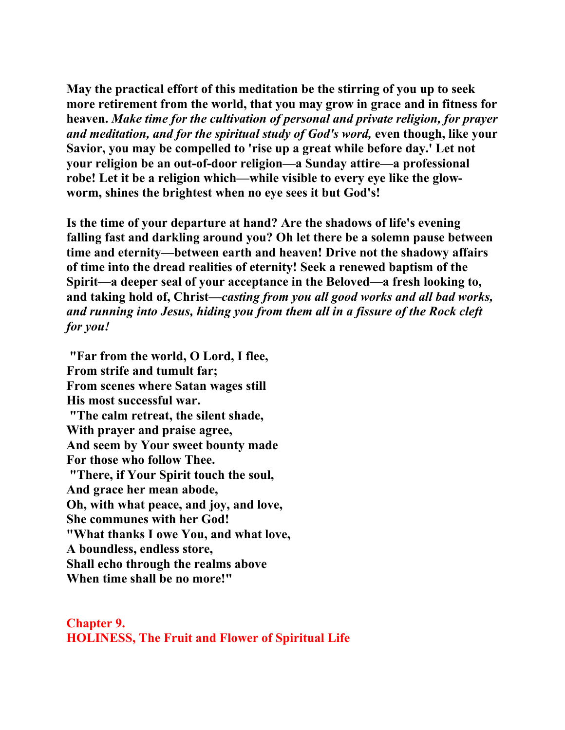**May the practical effort of this meditation be the stirring of you up to seek more retirement from the world, that you may grow in grace and in fitness for heaven.** *Make time for the cultivation of personal and private religion, for prayer and meditation, and for the spiritual study of God's word,* **even though, like your Savior, you may be compelled to 'rise up a great while before day.' Let not your religion be an out-of-door religion—a Sunday attire—a professional robe! Let it be a religion which—while visible to every eye like the glowworm, shines the brightest when no eye sees it but God's!** 

**Is the time of your departure at hand? Are the shadows of life's evening falling fast and darkling around you? Oh let there be a solemn pause between time and eternity—between earth and heaven! Drive not the shadowy affairs of time into the dread realities of eternity! Seek a renewed baptism of the Spirit—a deeper seal of your acceptance in the Beloved—a fresh looking to, and taking hold of, Christ—***casting from you all good works and all bad works, and running into Jesus, hiding you from them all in a fissure of the Rock cleft for you!* 

**"Far from the world, O Lord, I flee, From strife and tumult far; From scenes where Satan wages still His most successful war. "The calm retreat, the silent shade, With prayer and praise agree, And seem by Your sweet bounty made For those who follow Thee. "There, if Your Spirit touch the soul, And grace her mean abode, Oh, with what peace, and joy, and love, She communes with her God! "What thanks I owe You, and what love, A boundless, endless store, Shall echo through the realms above When time shall be no more!"**

**Chapter 9. HOLINESS, The Fruit and Flower of Spiritual Life**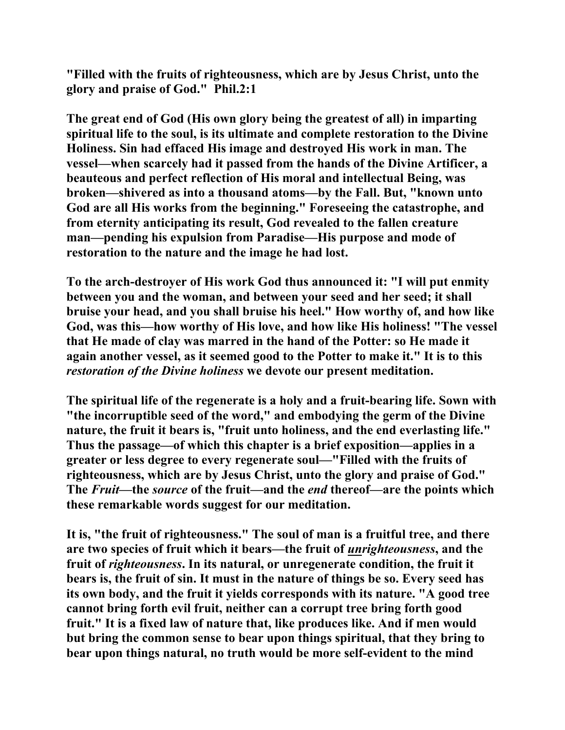**"Filled with the fruits of righteousness, which are by Jesus Christ, unto the glory and praise of God." Phil.2:1** 

**The great end of God (His own glory being the greatest of all) in imparting spiritual life to the soul, is its ultimate and complete restoration to the Divine Holiness. Sin had effaced His image and destroyed His work in man. The vessel—when scarcely had it passed from the hands of the Divine Artificer, a beauteous and perfect reflection of His moral and intellectual Being, was broken—shivered as into a thousand atoms—by the Fall. But, "known unto God are all His works from the beginning." Foreseeing the catastrophe, and from eternity anticipating its result, God revealed to the fallen creature man—pending his expulsion from Paradise—His purpose and mode of restoration to the nature and the image he had lost.** 

**To the arch-destroyer of His work God thus announced it: "I will put enmity between you and the woman, and between your seed and her seed; it shall bruise your head, and you shall bruise his heel." How worthy of, and how like God, was this—how worthy of His love, and how like His holiness! "The vessel that He made of clay was marred in the hand of the Potter: so He made it again another vessel, as it seemed good to the Potter to make it." It is to this**  *restoration of the Divine holiness* **we devote our present meditation.** 

**The spiritual life of the regenerate is a holy and a fruit-bearing life. Sown with "the incorruptible seed of the word," and embodying the germ of the Divine nature, the fruit it bears is, "fruit unto holiness, and the end everlasting life." Thus the passage—of which this chapter is a brief exposition—applies in a greater or less degree to every regenerate soul—"Filled with the fruits of righteousness, which are by Jesus Christ, unto the glory and praise of God." The** *Fruit***—the** *source* **of the fruit—and the** *end* **thereof—are the points which these remarkable words suggest for our meditation.** 

**It is, "the fruit of righteousness." The soul of man is a fruitful tree, and there are two species of fruit which it bears—the fruit of** *unrighteousness***, and the fruit of** *righteousness***. In its natural, or unregenerate condition, the fruit it bears is, the fruit of sin. It must in the nature of things be so. Every seed has its own body, and the fruit it yields corresponds with its nature. "A good tree cannot bring forth evil fruit, neither can a corrupt tree bring forth good fruit." It is a fixed law of nature that, like produces like. And if men would but bring the common sense to bear upon things spiritual, that they bring to bear upon things natural, no truth would be more self-evident to the mind**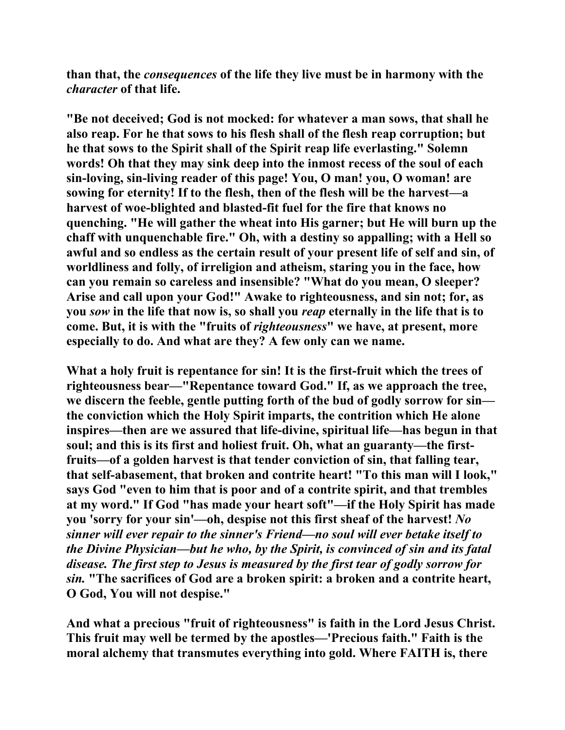**than that, the** *consequences* **of the life they live must be in harmony with the**  *character* **of that life.** 

**"Be not deceived; God is not mocked: for whatever a man sows, that shall he also reap. For he that sows to his flesh shall of the flesh reap corruption; but he that sows to the Spirit shall of the Spirit reap life everlasting." Solemn words! Oh that they may sink deep into the inmost recess of the soul of each sin-loving, sin-living reader of this page! You, O man! you, O woman! are sowing for eternity! If to the flesh, then of the flesh will be the harvest—a harvest of woe-blighted and blasted-fit fuel for the fire that knows no quenching. "He will gather the wheat into His garner; but He will burn up the chaff with unquenchable fire." Oh, with a destiny so appalling; with a Hell so awful and so endless as the certain result of your present life of self and sin, of worldliness and folly, of irreligion and atheism, staring you in the face, how can you remain so careless and insensible? "What do you mean, O sleeper? Arise and call upon your God!" Awake to righteousness, and sin not; for, as you** *sow* **in the life that now is, so shall you** *reap* **eternally in the life that is to come. But, it is with the "fruits of** *righteousness***" we have, at present, more especially to do. And what are they? A few only can we name.** 

**What a holy fruit is repentance for sin! It is the first-fruit which the trees of righteousness bear—"Repentance toward God." If, as we approach the tree, we discern the feeble, gentle putting forth of the bud of godly sorrow for sin the conviction which the Holy Spirit imparts, the contrition which He alone inspires—then are we assured that life-divine, spiritual life—has begun in that soul; and this is its first and holiest fruit. Oh, what an guaranty—the firstfruits—of a golden harvest is that tender conviction of sin, that falling tear, that self-abasement, that broken and contrite heart! "To this man will I look," says God "even to him that is poor and of a contrite spirit, and that trembles at my word." If God "has made your heart soft"—if the Holy Spirit has made you 'sorry for your sin'—oh, despise not this first sheaf of the harvest!** *No sinner will ever repair to the sinner's Friend—no soul will ever betake itself to the Divine Physician—but he who, by the Spirit, is convinced of sin and its fatal disease. The first step to Jesus is measured by the first tear of godly sorrow for sin.* **"The sacrifices of God are a broken spirit: a broken and a contrite heart, O God, You will not despise."** 

**And what a precious "fruit of righteousness" is faith in the Lord Jesus Christ. This fruit may well be termed by the apostles—'Precious faith." Faith is the moral alchemy that transmutes everything into gold. Where FAITH is, there**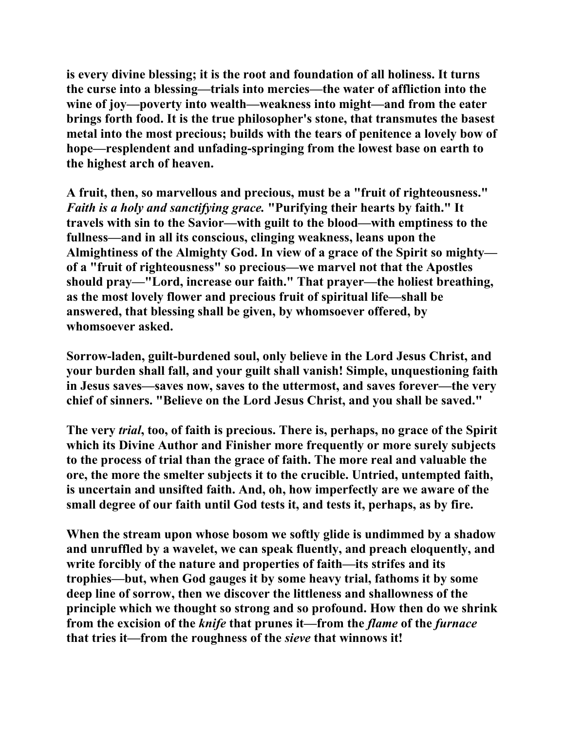**is every divine blessing; it is the root and foundation of all holiness. It turns the curse into a blessing—trials into mercies—the water of affliction into the wine of joy—poverty into wealth—weakness into might—and from the eater brings forth food. It is the true philosopher's stone, that transmutes the basest metal into the most precious; builds with the tears of penitence a lovely bow of hope—resplendent and unfading-springing from the lowest base on earth to the highest arch of heaven.** 

**A fruit, then, so marvellous and precious, must be a "fruit of righteousness."**  *Faith is a holy and sanctifying grace.* **"Purifying their hearts by faith." It travels with sin to the Savior—with guilt to the blood—with emptiness to the fullness—and in all its conscious, clinging weakness, leans upon the Almightiness of the Almighty God. In view of a grace of the Spirit so mighty of a "fruit of righteousness" so precious—we marvel not that the Apostles should pray—"Lord, increase our faith." That prayer—the holiest breathing, as the most lovely flower and precious fruit of spiritual life—shall be answered, that blessing shall be given, by whomsoever offered, by whomsoever asked.** 

**Sorrow-laden, guilt-burdened soul, only believe in the Lord Jesus Christ, and your burden shall fall, and your guilt shall vanish! Simple, unquestioning faith in Jesus saves—saves now, saves to the uttermost, and saves forever—the very chief of sinners. "Believe on the Lord Jesus Christ, and you shall be saved."** 

**The very** *trial***, too, of faith is precious. There is, perhaps, no grace of the Spirit which its Divine Author and Finisher more frequently or more surely subjects to the process of trial than the grace of faith. The more real and valuable the ore, the more the smelter subjects it to the crucible. Untried, untempted faith, is uncertain and unsifted faith. And, oh, how imperfectly are we aware of the small degree of our faith until God tests it, and tests it, perhaps, as by fire.** 

**When the stream upon whose bosom we softly glide is undimmed by a shadow and unruffled by a wavelet, we can speak fluently, and preach eloquently, and write forcibly of the nature and properties of faith—its strifes and its trophies—but, when God gauges it by some heavy trial, fathoms it by some deep line of sorrow, then we discover the littleness and shallowness of the principle which we thought so strong and so profound. How then do we shrink from the excision of the** *knife* **that prunes it—from the** *flame* **of the** *furnace* **that tries it—from the roughness of the** *sieve* **that winnows it!**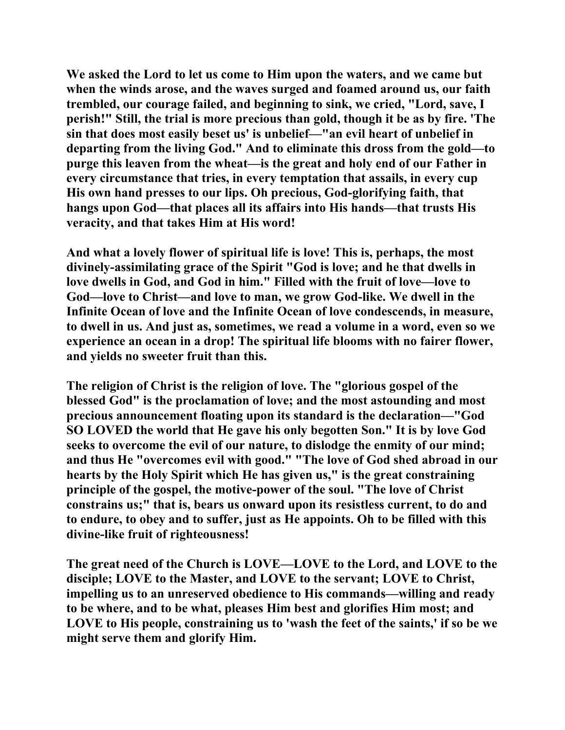**We asked the Lord to let us come to Him upon the waters, and we came but when the winds arose, and the waves surged and foamed around us, our faith trembled, our courage failed, and beginning to sink, we cried, "Lord, save, I perish!" Still, the trial is more precious than gold, though it be as by fire. 'The sin that does most easily beset us' is unbelief—"an evil heart of unbelief in departing from the living God." And to eliminate this dross from the gold—to purge this leaven from the wheat—is the great and holy end of our Father in every circumstance that tries, in every temptation that assails, in every cup His own hand presses to our lips. Oh precious, God-glorifying faith, that hangs upon God—that places all its affairs into His hands—that trusts His veracity, and that takes Him at His word!** 

**And what a lovely flower of spiritual life is love! This is, perhaps, the most divinely-assimilating grace of the Spirit "God is love; and he that dwells in love dwells in God, and God in him." Filled with the fruit of love—love to God—love to Christ—and love to man, we grow God-like. We dwell in the Infinite Ocean of love and the Infinite Ocean of love condescends, in measure, to dwell in us. And just as, sometimes, we read a volume in a word, even so we experience an ocean in a drop! The spiritual life blooms with no fairer flower, and yields no sweeter fruit than this.** 

**The religion of Christ is the religion of love. The "glorious gospel of the blessed God" is the proclamation of love; and the most astounding and most precious announcement floating upon its standard is the declaration—"God SO LOVED the world that He gave his only begotten Son." It is by love God seeks to overcome the evil of our nature, to dislodge the enmity of our mind; and thus He "overcomes evil with good." "The love of God shed abroad in our hearts by the Holy Spirit which He has given us," is the great constraining principle of the gospel, the motive-power of the soul. "The love of Christ constrains us;" that is, bears us onward upon its resistless current, to do and to endure, to obey and to suffer, just as He appoints. Oh to be filled with this divine-like fruit of righteousness!** 

**The great need of the Church is LOVE—LOVE to the Lord, and LOVE to the disciple; LOVE to the Master, and LOVE to the servant; LOVE to Christ, impelling us to an unreserved obedience to His commands—willing and ready to be where, and to be what, pleases Him best and glorifies Him most; and LOVE to His people, constraining us to 'wash the feet of the saints,' if so be we might serve them and glorify Him.**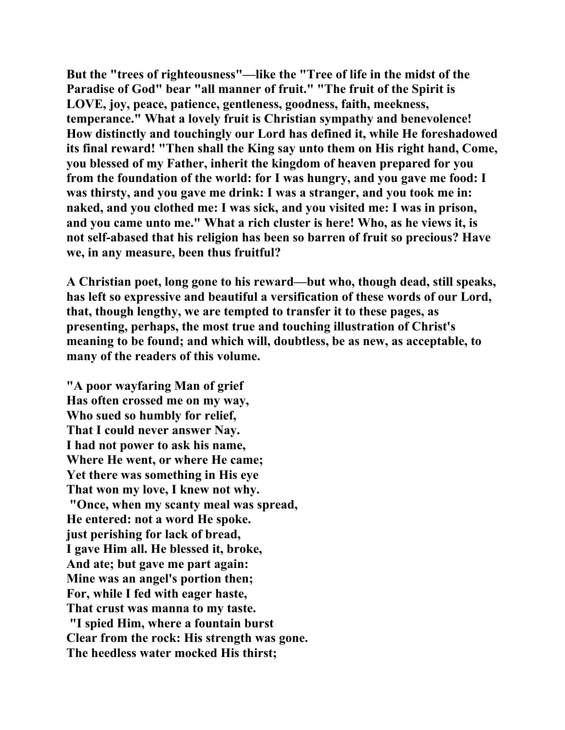**But the "trees of righteousness"—like the "Tree of life in the midst of the Paradise of God" bear "all manner of fruit." "The fruit of the Spirit is LOVE, joy, peace, patience, gentleness, goodness, faith, meekness, temperance." What a lovely fruit is Christian sympathy and benevolence! How distinctly and touchingly our Lord has defined it, while He foreshadowed its final reward! "Then shall the King say unto them on His right hand, Come, you blessed of my Father, inherit the kingdom of heaven prepared for you from the foundation of the world: for I was hungry, and you gave me food: I was thirsty, and you gave me drink: I was a stranger, and you took me in: naked, and you clothed me: I was sick, and you visited me: I was in prison, and you came unto me." What a rich cluster is here! Who, as he views it, is not self-abased that his religion has been so barren of fruit so precious? Have we, in any measure, been thus fruitful?** 

**A Christian poet, long gone to his reward—but who, though dead, still speaks, has left so expressive and beautiful a versification of these words of our Lord, that, though lengthy, we are tempted to transfer it to these pages, as presenting, perhaps, the most true and touching illustration of Christ's meaning to be found; and which will, doubtless, be as new, as acceptable, to many of the readers of this volume.** 

**"A poor wayfaring Man of grief Has often crossed me on my way, Who sued so humbly for relief, That I could never answer Nay. I had not power to ask his name, Where He went, or where He came; Yet there was something in His eye That won my love, I knew not why. "Once, when my scanty meal was spread, He entered: not a word He spoke. just perishing for lack of bread, I gave Him all. He blessed it, broke, And ate; but gave me part again: Mine was an angel's portion then; For, while I fed with eager haste, That crust was manna to my taste. "I spied Him, where a fountain burst Clear from the rock: His strength was gone. The heedless water mocked His thirst;**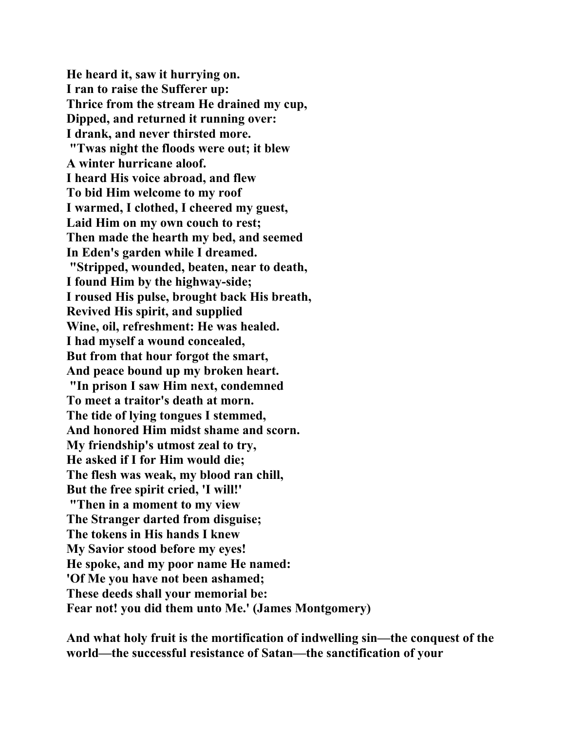**He heard it, saw it hurrying on. I ran to raise the Sufferer up: Thrice from the stream He drained my cup, Dipped, and returned it running over: I drank, and never thirsted more. "Twas night the floods were out; it blew A winter hurricane aloof. I heard His voice abroad, and flew To bid Him welcome to my roof I warmed, I clothed, I cheered my guest, Laid Him on my own couch to rest; Then made the hearth my bed, and seemed In Eden's garden while I dreamed. "Stripped, wounded, beaten, near to death, I found Him by the highway-side; I roused His pulse, brought back His breath, Revived His spirit, and supplied Wine, oil, refreshment: He was healed. I had myself a wound concealed, But from that hour forgot the smart, And peace bound up my broken heart. "In prison I saw Him next, condemned To meet a traitor's death at morn. The tide of lying tongues I stemmed, And honored Him midst shame and scorn. My friendship's utmost zeal to try, He asked if I for Him would die; The flesh was weak, my blood ran chill, But the free spirit cried, 'I will!' "Then in a moment to my view The Stranger darted from disguise; The tokens in His hands I knew My Savior stood before my eyes! He spoke, and my poor name He named: 'Of Me you have not been ashamed; These deeds shall your memorial be: Fear not! you did them unto Me.' (James Montgomery)** 

**And what holy fruit is the mortification of indwelling sin—the conquest of the world—the successful resistance of Satan—the sanctification of your**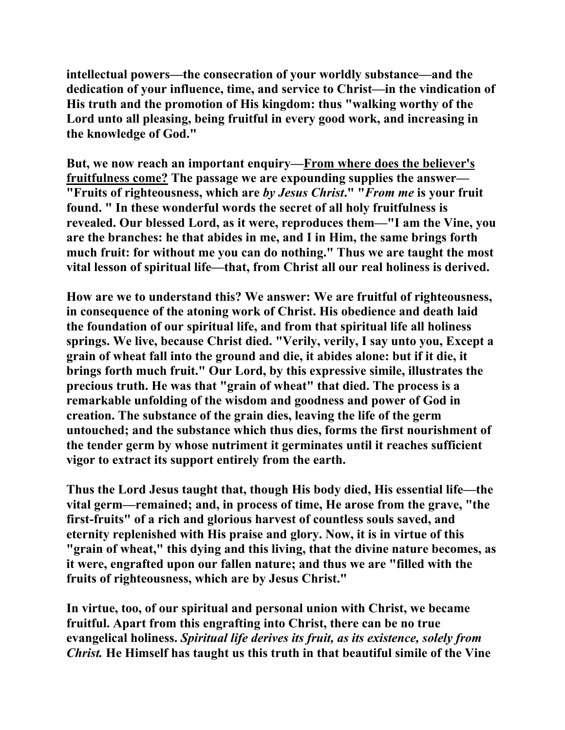**intellectual powers—the consecration of your worldly substance—and the dedication of your influence, time, and service to Christ—in the vindication of His truth and the promotion of His kingdom: thus "walking worthy of the Lord unto all pleasing, being fruitful in every good work, and increasing in the knowledge of God."** 

**But, we now reach an important enquiry—From where does the believer's fruitfulness come? The passage we are expounding supplies the answer— "Fruits of righteousness, which are** *by Jesus Christ***." "***From me* **is your fruit found. " In these wonderful words the secret of all holy fruitfulness is revealed. Our blessed Lord, as it were, reproduces them—"I am the Vine, you are the branches: he that abides in me, and I in Him, the same brings forth much fruit: for without me you can do nothing." Thus we are taught the most vital lesson of spiritual life—that, from Christ all our real holiness is derived.** 

**How are we to understand this? We answer: We are fruitful of righteousness, in consequence of the atoning work of Christ. His obedience and death laid the foundation of our spiritual life, and from that spiritual life all holiness springs. We live, because Christ died. "Verily, verily, I say unto you, Except a grain of wheat fall into the ground and die, it abides alone: but if it die, it brings forth much fruit." Our Lord, by this expressive simile, illustrates the precious truth. He was that "grain of wheat" that died. The process is a remarkable unfolding of the wisdom and goodness and power of God in creation. The substance of the grain dies, leaving the life of the germ untouched; and the substance which thus dies, forms the first nourishment of the tender germ by whose nutriment it germinates until it reaches sufficient vigor to extract its support entirely from the earth.** 

**Thus the Lord Jesus taught that, though His body died, His essential life—the vital germ—remained; and, in process of time, He arose from the grave, "the first-fruits" of a rich and glorious harvest of countless souls saved, and eternity replenished with His praise and glory. Now, it is in virtue of this "grain of wheat," this dying and this living, that the divine nature becomes, as it were, engrafted upon our fallen nature; and thus we are "filled with the fruits of righteousness, which are by Jesus Christ."** 

**In virtue, too, of our spiritual and personal union with Christ, we became fruitful. Apart from this engrafting into Christ, there can be no true evangelical holiness.** *Spiritual life derives its fruit, as its existence, solely from Christ.* **He Himself has taught us this truth in that beautiful simile of the Vine**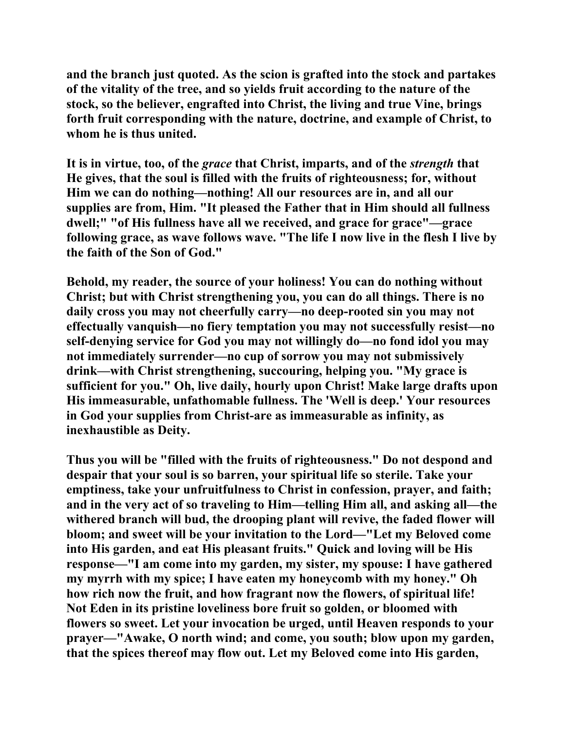**and the branch just quoted. As the scion is grafted into the stock and partakes of the vitality of the tree, and so yields fruit according to the nature of the stock, so the believer, engrafted into Christ, the living and true Vine, brings forth fruit corresponding with the nature, doctrine, and example of Christ, to whom he is thus united.** 

**It is in virtue, too, of the** *grace* **that Christ, imparts, and of the** *strength* **that He gives, that the soul is filled with the fruits of righteousness; for, without Him we can do nothing—nothing! All our resources are in, and all our supplies are from, Him. "It pleased the Father that in Him should all fullness dwell;" "of His fullness have all we received, and grace for grace"—grace following grace, as wave follows wave. "The life I now live in the flesh I live by the faith of the Son of God."** 

**Behold, my reader, the source of your holiness! You can do nothing without Christ; but with Christ strengthening you, you can do all things. There is no daily cross you may not cheerfully carry—no deep-rooted sin you may not effectually vanquish—no fiery temptation you may not successfully resist—no self-denying service for God you may not willingly do—no fond idol you may not immediately surrender—no cup of sorrow you may not submissively drink—with Christ strengthening, succouring, helping you. "My grace is sufficient for you." Oh, live daily, hourly upon Christ! Make large drafts upon His immeasurable, unfathomable fullness. The 'Well is deep.' Your resources in God your supplies from Christ-are as immeasurable as infinity, as inexhaustible as Deity.** 

**Thus you will be "filled with the fruits of righteousness." Do not despond and despair that your soul is so barren, your spiritual life so sterile. Take your emptiness, take your unfruitfulness to Christ in confession, prayer, and faith; and in the very act of so traveling to Him—telling Him all, and asking all—the withered branch will bud, the drooping plant will revive, the faded flower will bloom; and sweet will be your invitation to the Lord—"Let my Beloved come into His garden, and eat His pleasant fruits." Quick and loving will be His response—"I am come into my garden, my sister, my spouse: I have gathered my myrrh with my spice; I have eaten my honeycomb with my honey." Oh how rich now the fruit, and how fragrant now the flowers, of spiritual life! Not Eden in its pristine loveliness bore fruit so golden, or bloomed with flowers so sweet. Let your invocation be urged, until Heaven responds to your prayer—"Awake, O north wind; and come, you south; blow upon my garden, that the spices thereof may flow out. Let my Beloved come into His garden,**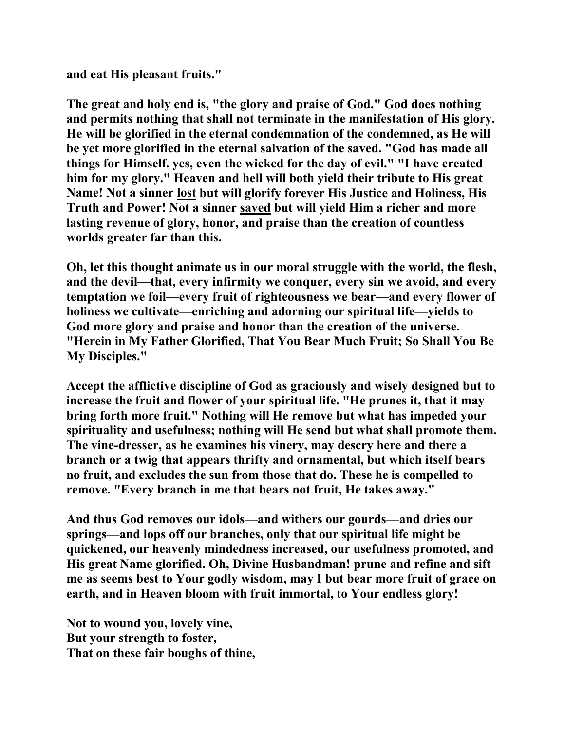**and eat His pleasant fruits."** 

**The great and holy end is, "the glory and praise of God." God does nothing and permits nothing that shall not terminate in the manifestation of His glory. He will be glorified in the eternal condemnation of the condemned, as He will be yet more glorified in the eternal salvation of the saved. "God has made all things for Himself. yes, even the wicked for the day of evil." "I have created him for my glory." Heaven and hell will both yield their tribute to His great Name! Not a sinner lost but will glorify forever His Justice and Holiness, His Truth and Power! Not a sinner saved but will yield Him a richer and more lasting revenue of glory, honor, and praise than the creation of countless worlds greater far than this.** 

**Oh, let this thought animate us in our moral struggle with the world, the flesh, and the devil—that, every infirmity we conquer, every sin we avoid, and every temptation we foil—every fruit of righteousness we bear—and every flower of holiness we cultivate—enriching and adorning our spiritual life—yields to God more glory and praise and honor than the creation of the universe. "Herein in My Father Glorified, That You Bear Much Fruit; So Shall You Be My Disciples."** 

**Accept the afflictive discipline of God as graciously and wisely designed but to increase the fruit and flower of your spiritual life. "He prunes it, that it may bring forth more fruit." Nothing will He remove but what has impeded your spirituality and usefulness; nothing will He send but what shall promote them. The vine-dresser, as he examines his vinery, may descry here and there a branch or a twig that appears thrifty and ornamental, but which itself bears no fruit, and excludes the sun from those that do. These he is compelled to remove. "Every branch in me that bears not fruit, He takes away."** 

**And thus God removes our idols—and withers our gourds—and dries our springs—and lops off our branches, only that our spiritual life might be quickened, our heavenly mindedness increased, our usefulness promoted, and His great Name glorified. Oh, Divine Husbandman! prune and refine and sift me as seems best to Your godly wisdom, may I but bear more fruit of grace on earth, and in Heaven bloom with fruit immortal, to Your endless glory!** 

**Not to wound you, lovely vine, But your strength to foster, That on these fair boughs of thine,**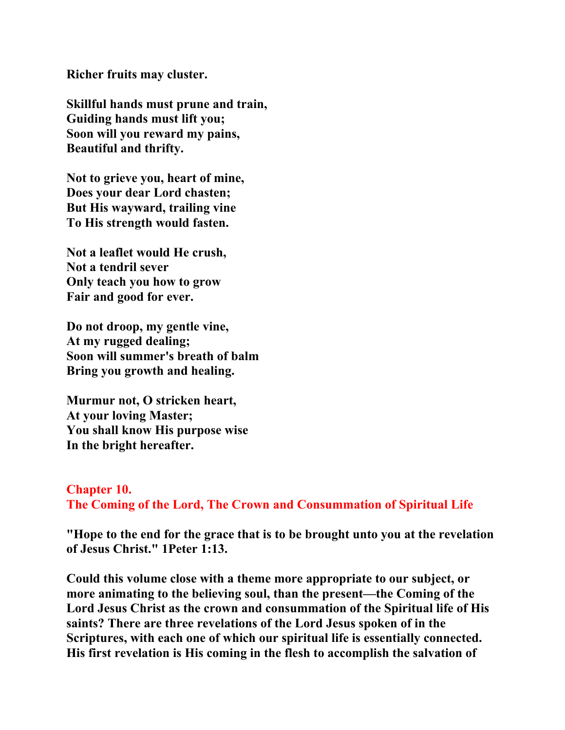**Richer fruits may cluster.** 

**Skillful hands must prune and train, Guiding hands must lift you; Soon will you reward my pains, Beautiful and thrifty.** 

**Not to grieve you, heart of mine, Does your dear Lord chasten; But His wayward, trailing vine To His strength would fasten.** 

**Not a leaflet would He crush, Not a tendril sever Only teach you how to grow Fair and good for ever.** 

**Do not droop, my gentle vine, At my rugged dealing; Soon will summer's breath of balm Bring you growth and healing.** 

**Murmur not, O stricken heart, At your loving Master; You shall know His purpose wise In the bright hereafter.** 

### **Chapter 10. The Coming of the Lord, The Crown and Consummation of Spiritual Life**

**"Hope to the end for the grace that is to be brought unto you at the revelation of Jesus Christ." 1Peter 1:13.** 

**Could this volume close with a theme more appropriate to our subject, or more animating to the believing soul, than the present—the Coming of the Lord Jesus Christ as the crown and consummation of the Spiritual life of His saints? There are three revelations of the Lord Jesus spoken of in the Scriptures, with each one of which our spiritual life is essentially connected. His first revelation is His coming in the flesh to accomplish the salvation of**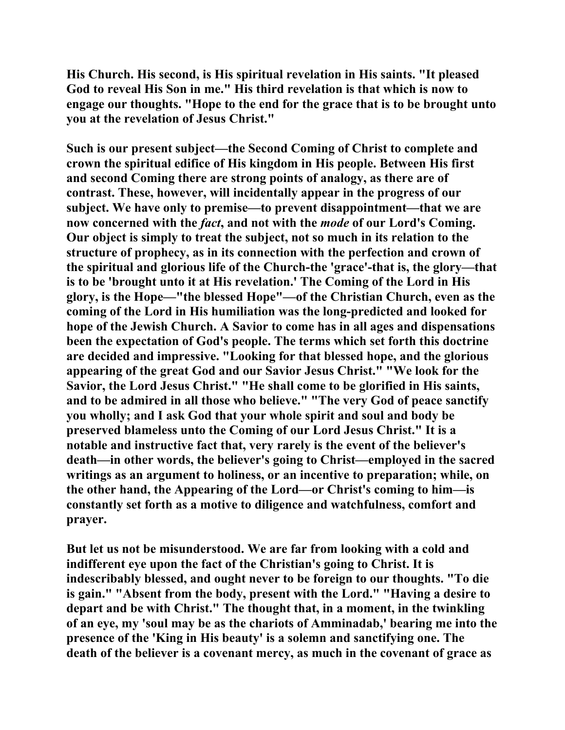**His Church. His second, is His spiritual revelation in His saints. "It pleased God to reveal His Son in me." His third revelation is that which is now to engage our thoughts. "Hope to the end for the grace that is to be brought unto you at the revelation of Jesus Christ."** 

**Such is our present subject—the Second Coming of Christ to complete and crown the spiritual edifice of His kingdom in His people. Between His first and second Coming there are strong points of analogy, as there are of contrast. These, however, will incidentally appear in the progress of our subject. We have only to premise—to prevent disappointment—that we are now concerned with the** *fact***, and not with the** *mode* **of our Lord's Coming. Our object is simply to treat the subject, not so much in its relation to the structure of prophecy, as in its connection with the perfection and crown of the spiritual and glorious life of the Church-the 'grace'-that is, the glory—that is to be 'brought unto it at His revelation.' The Coming of the Lord in His glory, is the Hope—"the blessed Hope"—of the Christian Church, even as the coming of the Lord in His humiliation was the long-predicted and looked for hope of the Jewish Church. A Savior to come has in all ages and dispensations been the expectation of God's people. The terms which set forth this doctrine are decided and impressive. "Looking for that blessed hope, and the glorious appearing of the great God and our Savior Jesus Christ." "We look for the Savior, the Lord Jesus Christ." "He shall come to be glorified in His saints, and to be admired in all those who believe." "The very God of peace sanctify you wholly; and I ask God that your whole spirit and soul and body be preserved blameless unto the Coming of our Lord Jesus Christ." It is a notable and instructive fact that, very rarely is the event of the believer's death—in other words, the believer's going to Christ—employed in the sacred writings as an argument to holiness, or an incentive to preparation; while, on the other hand, the Appearing of the Lord—or Christ's coming to him—is constantly set forth as a motive to diligence and watchfulness, comfort and prayer.** 

**But let us not be misunderstood. We are far from looking with a cold and indifferent eye upon the fact of the Christian's going to Christ. It is indescribably blessed, and ought never to be foreign to our thoughts. "To die is gain." "Absent from the body, present with the Lord." "Having a desire to depart and be with Christ." The thought that, in a moment, in the twinkling of an eye, my 'soul may be as the chariots of Amminadab,' bearing me into the presence of the 'King in His beauty' is a solemn and sanctifying one. The death of the believer is a covenant mercy, as much in the covenant of grace as**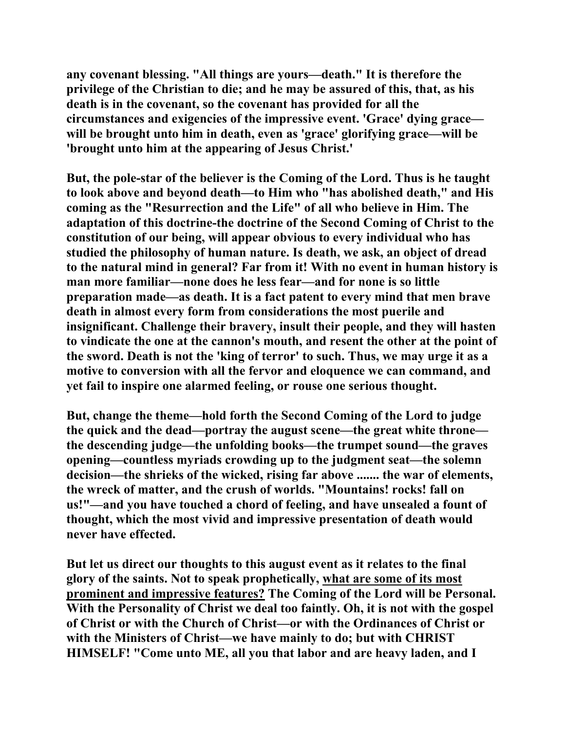**any covenant blessing. "All things are yours—death." It is therefore the privilege of the Christian to die; and he may be assured of this, that, as his death is in the covenant, so the covenant has provided for all the circumstances and exigencies of the impressive event. 'Grace' dying grace will be brought unto him in death, even as 'grace' glorifying grace—will be 'brought unto him at the appearing of Jesus Christ.'** 

**But, the pole-star of the believer is the Coming of the Lord. Thus is he taught to look above and beyond death—to Him who "has abolished death," and His coming as the "Resurrection and the Life" of all who believe in Him. The adaptation of this doctrine-the doctrine of the Second Coming of Christ to the constitution of our being, will appear obvious to every individual who has studied the philosophy of human nature. Is death, we ask, an object of dread to the natural mind in general? Far from it! With no event in human history is man more familiar—none does he less fear—and for none is so little preparation made—as death. It is a fact patent to every mind that men brave death in almost every form from considerations the most puerile and insignificant. Challenge their bravery, insult their people, and they will hasten to vindicate the one at the cannon's mouth, and resent the other at the point of the sword. Death is not the 'king of terror' to such. Thus, we may urge it as a motive to conversion with all the fervor and eloquence we can command, and yet fail to inspire one alarmed feeling, or rouse one serious thought.** 

**But, change the theme—hold forth the Second Coming of the Lord to judge the quick and the dead—portray the august scene—the great white throne the descending judge—the unfolding books—the trumpet sound—the graves opening—countless myriads crowding up to the judgment seat—the solemn decision—the shrieks of the wicked, rising far above ....... the war of elements, the wreck of matter, and the crush of worlds. "Mountains! rocks! fall on us!"—and you have touched a chord of feeling, and have unsealed a fount of thought, which the most vivid and impressive presentation of death would never have effected.** 

**But let us direct our thoughts to this august event as it relates to the final glory of the saints. Not to speak prophetically, what are some of its most prominent and impressive features? The Coming of the Lord will be Personal. With the Personality of Christ we deal too faintly. Oh, it is not with the gospel of Christ or with the Church of Christ—or with the Ordinances of Christ or with the Ministers of Christ—we have mainly to do; but with CHRIST HIMSELF! "Come unto ME, all you that labor and are heavy laden, and I**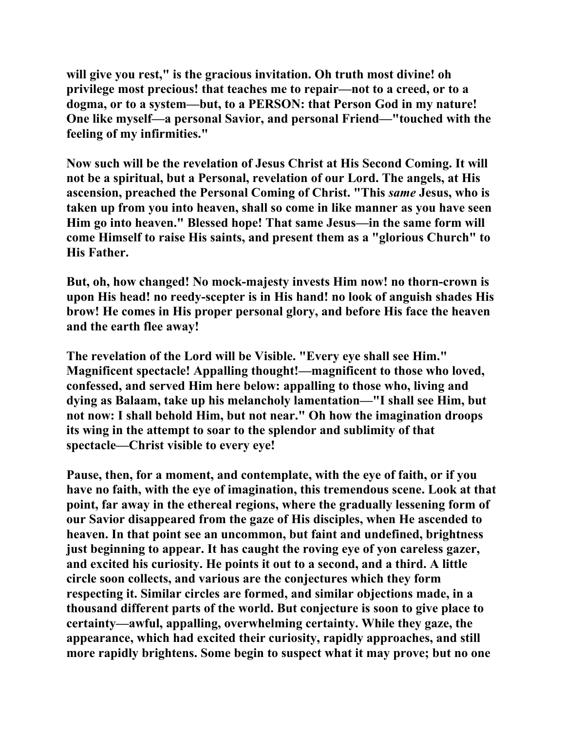**will give you rest," is the gracious invitation. Oh truth most divine! oh privilege most precious! that teaches me to repair—not to a creed, or to a dogma, or to a system—but, to a PERSON: that Person God in my nature! One like myself—a personal Savior, and personal Friend—"touched with the feeling of my infirmities."** 

**Now such will be the revelation of Jesus Christ at His Second Coming. It will not be a spiritual, but a Personal, revelation of our Lord. The angels, at His ascension, preached the Personal Coming of Christ. "This** *same* **Jesus, who is taken up from you into heaven, shall so come in like manner as you have seen Him go into heaven." Blessed hope! That same Jesus—in the same form will come Himself to raise His saints, and present them as a "glorious Church" to His Father.** 

**But, oh, how changed! No mock-majesty invests Him now! no thorn-crown is upon His head! no reedy-scepter is in His hand! no look of anguish shades His brow! He comes in His proper personal glory, and before His face the heaven and the earth flee away!** 

**The revelation of the Lord will be Visible. "Every eye shall see Him." Magnificent spectacle! Appalling thought!—magnificent to those who loved, confessed, and served Him here below: appalling to those who, living and dying as Balaam, take up his melancholy lamentation—"I shall see Him, but not now: I shall behold Him, but not near." Oh how the imagination droops its wing in the attempt to soar to the splendor and sublimity of that spectacle—Christ visible to every eye!** 

**Pause, then, for a moment, and contemplate, with the eye of faith, or if you have no faith, with the eye of imagination, this tremendous scene. Look at that point, far away in the ethereal regions, where the gradually lessening form of our Savior disappeared from the gaze of His disciples, when He ascended to heaven. In that point see an uncommon, but faint and undefined, brightness just beginning to appear. It has caught the roving eye of yon careless gazer, and excited his curiosity. He points it out to a second, and a third. A little circle soon collects, and various are the conjectures which they form respecting it. Similar circles are formed, and similar objections made, in a thousand different parts of the world. But conjecture is soon to give place to certainty—awful, appalling, overwhelming certainty. While they gaze, the appearance, which had excited their curiosity, rapidly approaches, and still more rapidly brightens. Some begin to suspect what it may prove; but no one**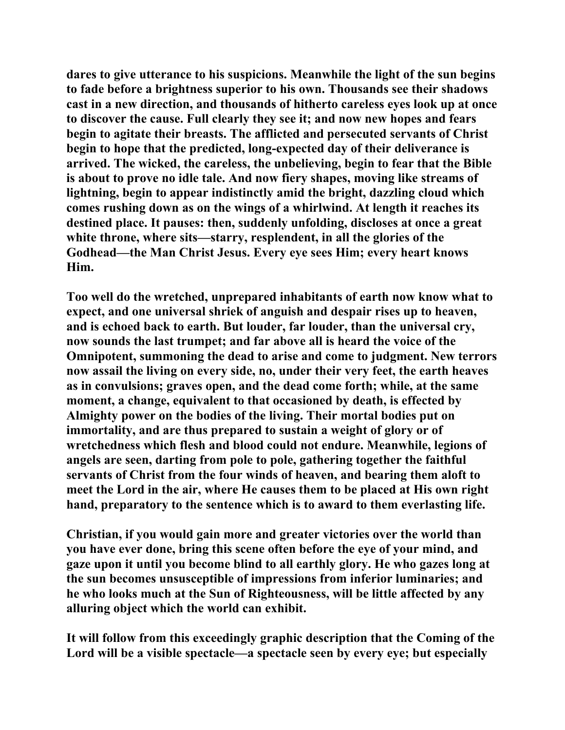**dares to give utterance to his suspicions. Meanwhile the light of the sun begins to fade before a brightness superior to his own. Thousands see their shadows cast in a new direction, and thousands of hitherto careless eyes look up at once to discover the cause. Full clearly they see it; and now new hopes and fears begin to agitate their breasts. The afflicted and persecuted servants of Christ begin to hope that the predicted, long-expected day of their deliverance is arrived. The wicked, the careless, the unbelieving, begin to fear that the Bible is about to prove no idle tale. And now fiery shapes, moving like streams of lightning, begin to appear indistinctly amid the bright, dazzling cloud which comes rushing down as on the wings of a whirlwind. At length it reaches its destined place. It pauses: then, suddenly unfolding, discloses at once a great white throne, where sits—starry, resplendent, in all the glories of the Godhead—the Man Christ Jesus. Every eye sees Him; every heart knows Him.** 

**Too well do the wretched, unprepared inhabitants of earth now know what to expect, and one universal shriek of anguish and despair rises up to heaven, and is echoed back to earth. But louder, far louder, than the universal cry, now sounds the last trumpet; and far above all is heard the voice of the Omnipotent, summoning the dead to arise and come to judgment. New terrors now assail the living on every side, no, under their very feet, the earth heaves as in convulsions; graves open, and the dead come forth; while, at the same moment, a change, equivalent to that occasioned by death, is effected by Almighty power on the bodies of the living. Their mortal bodies put on immortality, and are thus prepared to sustain a weight of glory or of wretchedness which flesh and blood could not endure. Meanwhile, legions of angels are seen, darting from pole to pole, gathering together the faithful servants of Christ from the four winds of heaven, and bearing them aloft to meet the Lord in the air, where He causes them to be placed at His own right hand, preparatory to the sentence which is to award to them everlasting life.** 

**Christian, if you would gain more and greater victories over the world than you have ever done, bring this scene often before the eye of your mind, and gaze upon it until you become blind to all earthly glory. He who gazes long at the sun becomes unsusceptible of impressions from inferior luminaries; and he who looks much at the Sun of Righteousness, will be little affected by any alluring object which the world can exhibit.** 

**It will follow from this exceedingly graphic description that the Coming of the Lord will be a visible spectacle—a spectacle seen by every eye; but especially**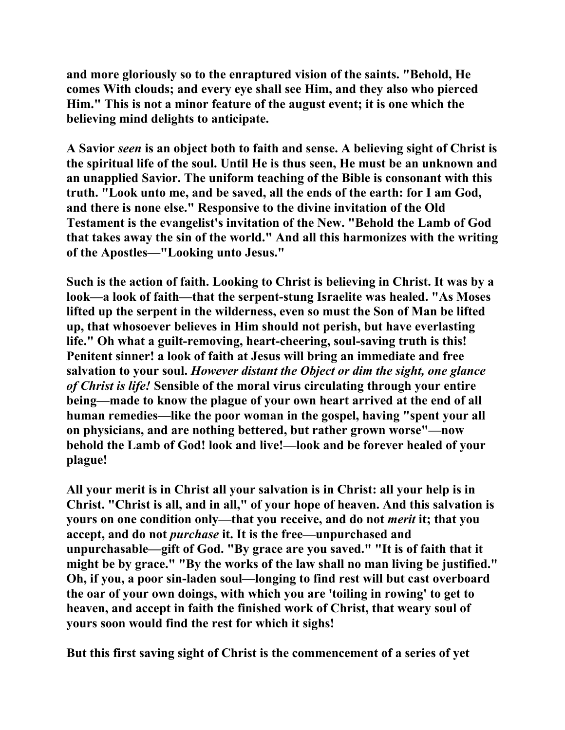**and more gloriously so to the enraptured vision of the saints. "Behold, He comes With clouds; and every eye shall see Him, and they also who pierced Him." This is not a minor feature of the august event; it is one which the believing mind delights to anticipate.** 

**A Savior** *seen* **is an object both to faith and sense. A believing sight of Christ is the spiritual life of the soul. Until He is thus seen, He must be an unknown and an unapplied Savior. The uniform teaching of the Bible is consonant with this truth. "Look unto me, and be saved, all the ends of the earth: for I am God, and there is none else." Responsive to the divine invitation of the Old Testament is the evangelist's invitation of the New. "Behold the Lamb of God that takes away the sin of the world." And all this harmonizes with the writing of the Apostles—"Looking unto Jesus."** 

**Such is the action of faith. Looking to Christ is believing in Christ. It was by a look—a look of faith—that the serpent-stung Israelite was healed. "As Moses lifted up the serpent in the wilderness, even so must the Son of Man be lifted up, that whosoever believes in Him should not perish, but have everlasting life." Oh what a guilt-removing, heart-cheering, soul-saving truth is this! Penitent sinner! a look of faith at Jesus will bring an immediate and free salvation to your soul.** *However distant the Object or dim the sight, one glance of Christ is life!* **Sensible of the moral virus circulating through your entire being—made to know the plague of your own heart arrived at the end of all human remedies—like the poor woman in the gospel, having "spent your all on physicians, and are nothing bettered, but rather grown worse"—now behold the Lamb of God! look and live!—look and be forever healed of your plague!** 

**All your merit is in Christ all your salvation is in Christ: all your help is in Christ. "Christ is all, and in all," of your hope of heaven. And this salvation is yours on one condition only—that you receive, and do not** *merit* **it; that you accept, and do not** *purchase* **it. It is the free—unpurchased and unpurchasable—gift of God. "By grace are you saved." "It is of faith that it might be by grace." "By the works of the law shall no man living be justified." Oh, if you, a poor sin-laden soul—longing to find rest will but cast overboard the oar of your own doings, with which you are 'toiling in rowing' to get to heaven, and accept in faith the finished work of Christ, that weary soul of yours soon would find the rest for which it sighs!** 

**But this first saving sight of Christ is the commencement of a series of yet**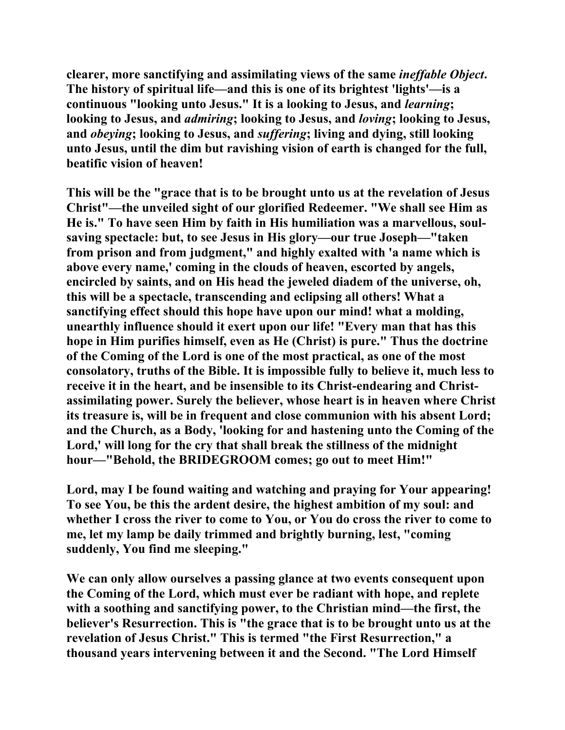**clearer, more sanctifying and assimilating views of the same** *ineffable Object***. The history of spiritual life—and this is one of its brightest 'lights'—is a continuous "looking unto Jesus." It is a looking to Jesus, and** *learning***; looking to Jesus, and** *admiring***; looking to Jesus, and** *loving***; looking to Jesus, and** *obeying***; looking to Jesus, and** *suffering***; living and dying, still looking unto Jesus, until the dim but ravishing vision of earth is changed for the full, beatific vision of heaven!** 

**This will be the "grace that is to be brought unto us at the revelation of Jesus Christ"—the unveiled sight of our glorified Redeemer. "We shall see Him as He is." To have seen Him by faith in His humiliation was a marvellous, soulsaving spectacle: but, to see Jesus in His glory—our true Joseph—"taken from prison and from judgment," and highly exalted with 'a name which is above every name,' coming in the clouds of heaven, escorted by angels, encircled by saints, and on His head the jeweled diadem of the universe, oh, this will be a spectacle, transcending and eclipsing all others! What a sanctifying effect should this hope have upon our mind! what a molding, unearthly influence should it exert upon our life! "Every man that has this hope in Him purifies himself, even as He (Christ) is pure." Thus the doctrine of the Coming of the Lord is one of the most practical, as one of the most consolatory, truths of the Bible. It is impossible fully to believe it, much less to receive it in the heart, and be insensible to its Christ-endearing and Christassimilating power. Surely the believer, whose heart is in heaven where Christ its treasure is, will be in frequent and close communion with his absent Lord; and the Church, as a Body, 'looking for and hastening unto the Coming of the Lord,' will long for the cry that shall break the stillness of the midnight hour—"Behold, the BRIDEGROOM comes; go out to meet Him!"** 

**Lord, may I be found waiting and watching and praying for Your appearing! To see You, be this the ardent desire, the highest ambition of my soul: and whether I cross the river to come to You, or You do cross the river to come to me, let my lamp be daily trimmed and brightly burning, lest, "coming suddenly, You find me sleeping."** 

**We can only allow ourselves a passing glance at two events consequent upon the Coming of the Lord, which must ever be radiant with hope, and replete with a soothing and sanctifying power, to the Christian mind—the first, the believer's Resurrection. This is "the grace that is to be brought unto us at the revelation of Jesus Christ." This is termed "the First Resurrection," a thousand years intervening between it and the Second. "The Lord Himself**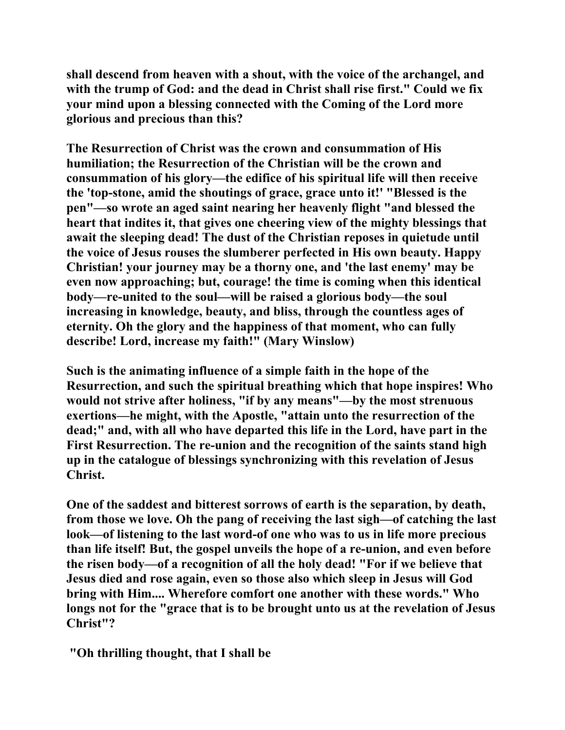**shall descend from heaven with a shout, with the voice of the archangel, and with the trump of God: and the dead in Christ shall rise first." Could we fix your mind upon a blessing connected with the Coming of the Lord more glorious and precious than this?** 

**The Resurrection of Christ was the crown and consummation of His humiliation; the Resurrection of the Christian will be the crown and consummation of his glory—the edifice of his spiritual life will then receive the 'top-stone, amid the shoutings of grace, grace unto it!' "Blessed is the pen"—so wrote an aged saint nearing her heavenly flight "and blessed the heart that indites it, that gives one cheering view of the mighty blessings that await the sleeping dead! The dust of the Christian reposes in quietude until the voice of Jesus rouses the slumberer perfected in His own beauty. Happy Christian! your journey may be a thorny one, and 'the last enemy' may be even now approaching; but, courage! the time is coming when this identical body—re-united to the soul—will be raised a glorious body—the soul increasing in knowledge, beauty, and bliss, through the countless ages of eternity. Oh the glory and the happiness of that moment, who can fully describe! Lord, increase my faith!" (Mary Winslow)** 

**Such is the animating influence of a simple faith in the hope of the Resurrection, and such the spiritual breathing which that hope inspires! Who would not strive after holiness, "if by any means"—by the most strenuous exertions—he might, with the Apostle, "attain unto the resurrection of the dead;" and, with all who have departed this life in the Lord, have part in the First Resurrection. The re-union and the recognition of the saints stand high up in the catalogue of blessings synchronizing with this revelation of Jesus Christ.** 

**One of the saddest and bitterest sorrows of earth is the separation, by death, from those we love. Oh the pang of receiving the last sigh—of catching the last look—of listening to the last word-of one who was to us in life more precious than life itself! But, the gospel unveils the hope of a re-union, and even before the risen body—of a recognition of all the holy dead! "For if we believe that Jesus died and rose again, even so those also which sleep in Jesus will God bring with Him.... Wherefore comfort one another with these words." Who longs not for the "grace that is to be brought unto us at the revelation of Jesus Christ"?** 

 **"Oh thrilling thought, that I shall be**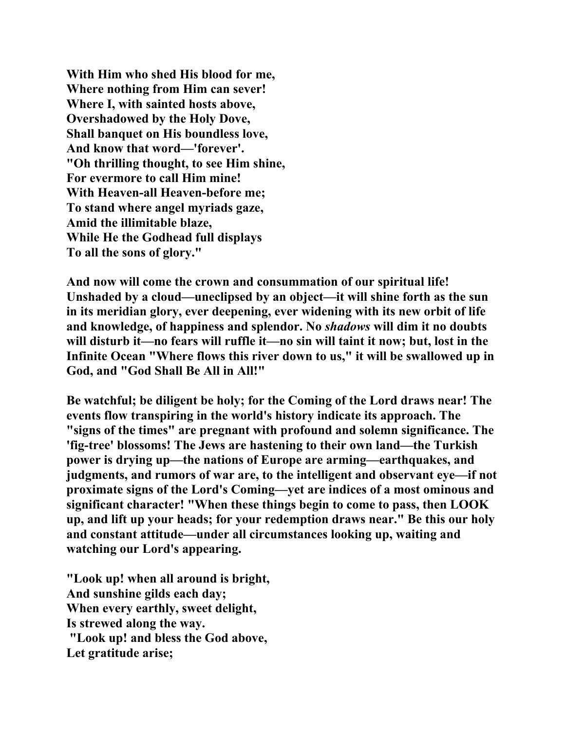**With Him who shed His blood for me, Where nothing from Him can sever! Where I, with sainted hosts above, Overshadowed by the Holy Dove, Shall banquet on His boundless love, And know that word—'forever'. "Oh thrilling thought, to see Him shine, For evermore to call Him mine! With Heaven-all Heaven-before me; To stand where angel myriads gaze, Amid the illimitable blaze, While He the Godhead full displays To all the sons of glory."** 

**And now will come the crown and consummation of our spiritual life! Unshaded by a cloud—uneclipsed by an object—it will shine forth as the sun in its meridian glory, ever deepening, ever widening with its new orbit of life and knowledge, of happiness and splendor. No** *shadows* **will dim it no doubts will disturb it—no fears will ruffle it—no sin will taint it now; but, lost in the Infinite Ocean "Where flows this river down to us," it will be swallowed up in God, and "God Shall Be All in All!"** 

**Be watchful; be diligent be holy; for the Coming of the Lord draws near! The events flow transpiring in the world's history indicate its approach. The "signs of the times" are pregnant with profound and solemn significance. The 'fig-tree' blossoms! The Jews are hastening to their own land—the Turkish power is drying up—the nations of Europe are arming—earthquakes, and judgments, and rumors of war are, to the intelligent and observant eye—if not proximate signs of the Lord's Coming—yet are indices of a most ominous and significant character! "When these things begin to come to pass, then LOOK up, and lift up your heads; for your redemption draws near." Be this our holy and constant attitude—under all circumstances looking up, waiting and watching our Lord's appearing.** 

**"Look up! when all around is bright, And sunshine gilds each day; When every earthly, sweet delight, Is strewed along the way. "Look up! and bless the God above, Let gratitude arise;**